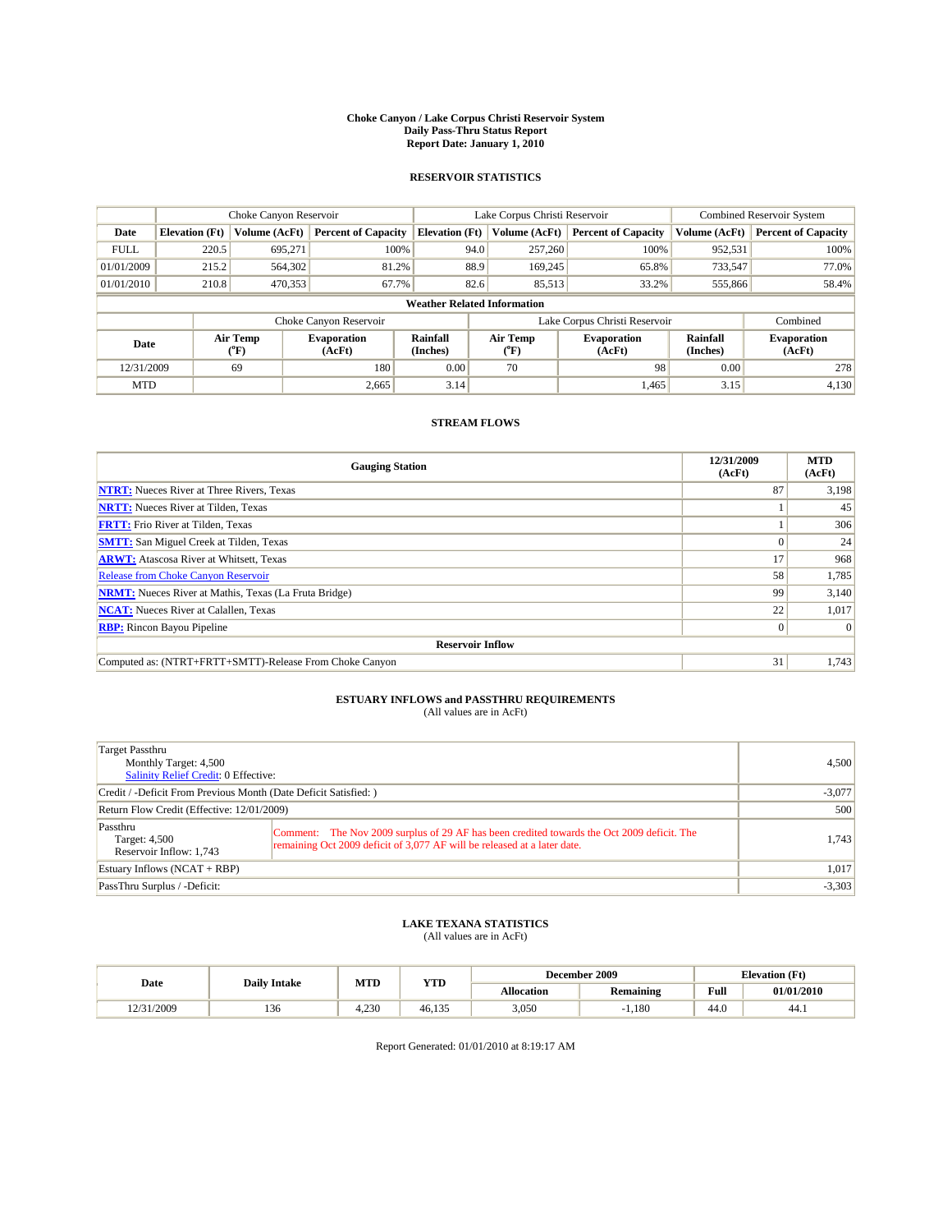#### **Choke Canyon / Lake Corpus Christi Reservoir System Daily Pass-Thru Status Report Report Date: January 1, 2010**

## **RESERVOIR STATISTICS**

|             | Choke Canyon Reservoir             |                  |                              |                       | Lake Corpus Christi Reservoir | <b>Combined Reservoir System</b> |                      |                              |  |  |
|-------------|------------------------------------|------------------|------------------------------|-----------------------|-------------------------------|----------------------------------|----------------------|------------------------------|--|--|
| Date        | <b>Elevation</b> (Ft)              | Volume (AcFt)    | <b>Percent of Capacity</b>   | <b>Elevation</b> (Ft) | Volume (AcFt)                 | <b>Percent of Capacity</b>       | Volume (AcFt)        | <b>Percent of Capacity</b>   |  |  |
| <b>FULL</b> | 220.5                              | 695,271          | 100%                         | 94.0                  | 257,260                       | 100%                             | 952,531              | 100%                         |  |  |
| 01/01/2009  | 215.2                              | 564,302          | 81.2%                        | 88.9                  | 169,245                       | 65.8%                            | 733,547              | 77.0%                        |  |  |
| 01/01/2010  | 210.8                              | 470,353          | 67.7%                        | 82.6                  | 85,513                        | 33.2%                            | 555,866              | 58.4%                        |  |  |
|             | <b>Weather Related Information</b> |                  |                              |                       |                               |                                  |                      |                              |  |  |
|             |                                    |                  | Choke Canyon Reservoir       |                       |                               | Lake Corpus Christi Reservoir    |                      | Combined                     |  |  |
| Date        |                                    | Air Temp<br>(°F) | <b>Evaporation</b><br>(AcFt) | Rainfall<br>(Inches)  | Air Temp<br>("F)              | <b>Evaporation</b><br>(AcFt)     | Rainfall<br>(Inches) | <b>Evaporation</b><br>(AcFt) |  |  |
| 12/31/2009  |                                    | 69               | 180                          | 0.00                  | 70                            | 98                               | 0.00                 | 278                          |  |  |
| <b>MTD</b>  |                                    |                  | 2,665                        | 3.14                  |                               | 1,465                            | 3.15                 | 4,130                        |  |  |

## **STREAM FLOWS**

| <b>Gauging Station</b>                                       | 12/31/2009<br>(AcFt) | <b>MTD</b><br>(AcFt) |
|--------------------------------------------------------------|----------------------|----------------------|
| <b>NTRT:</b> Nueces River at Three Rivers, Texas             | 87                   | 3,198                |
| <b>NRTT:</b> Nueces River at Tilden, Texas                   |                      | 45                   |
| <b>FRTT:</b> Frio River at Tilden, Texas                     |                      | 306                  |
| <b>SMTT:</b> San Miguel Creek at Tilden, Texas               |                      | 24                   |
| <b>ARWT:</b> Atascosa River at Whitsett, Texas               | 17                   | 968                  |
| <b>Release from Choke Canyon Reservoir</b>                   | 58                   | 1,785                |
| <b>NRMT:</b> Nueces River at Mathis, Texas (La Fruta Bridge) | 99                   | 3,140                |
| <b>NCAT:</b> Nueces River at Calallen, Texas                 | 22                   | 1,017                |
| <b>RBP:</b> Rincon Bayou Pipeline                            | $\Omega$             | $\Omega$             |
| <b>Reservoir Inflow</b>                                      |                      |                      |
| Computed as: (NTRT+FRTT+SMTT)-Release From Choke Canyon      | 31                   | 1,743                |

# **ESTUARY INFLOWS and PASSTHRU REQUIREMENTS**<br>(All values are in AcFt)

| Target Passthru<br>Monthly Target: 4,500<br><b>Salinity Relief Credit: 0 Effective:</b> |                                                                                                                                                                        | 4,500    |
|-----------------------------------------------------------------------------------------|------------------------------------------------------------------------------------------------------------------------------------------------------------------------|----------|
| Credit / -Deficit From Previous Month (Date Deficit Satisfied: )                        | $-3,077$                                                                                                                                                               |          |
| Return Flow Credit (Effective: 12/01/2009)                                              | 500                                                                                                                                                                    |          |
| Passthru<br>Target: 4,500<br>Reservoir Inflow: 1,743                                    | Comment: The Nov 2009 surplus of 29 AF has been credited towards the Oct 2009 deficit. The<br>remaining Oct 2009 deficit of 3,077 AF will be released at a later date. | 1.743    |
| Estuary Inflows (NCAT + RBP)                                                            |                                                                                                                                                                        | 1,017    |
| PassThru Surplus / -Deficit:                                                            |                                                                                                                                                                        | $-3,303$ |

## **LAKE TEXANA STATISTICS** (All values are in AcFt)

|            | <b>Daily Intake</b> | MTD   | <b>YTD</b> | December 2009<br><b>Elevation</b> (Ft) |                  |      |            |
|------------|---------------------|-------|------------|----------------------------------------|------------------|------|------------|
| Date       |                     |       |            | Allocation                             | <b>Remaining</b> | Full | 01/01/2010 |
| 12/31/2009 | 136                 | +.230 | 46.13.     | 3,050                                  | 1.180            | 44.0 | 44.)       |

Report Generated: 01/01/2010 at 8:19:17 AM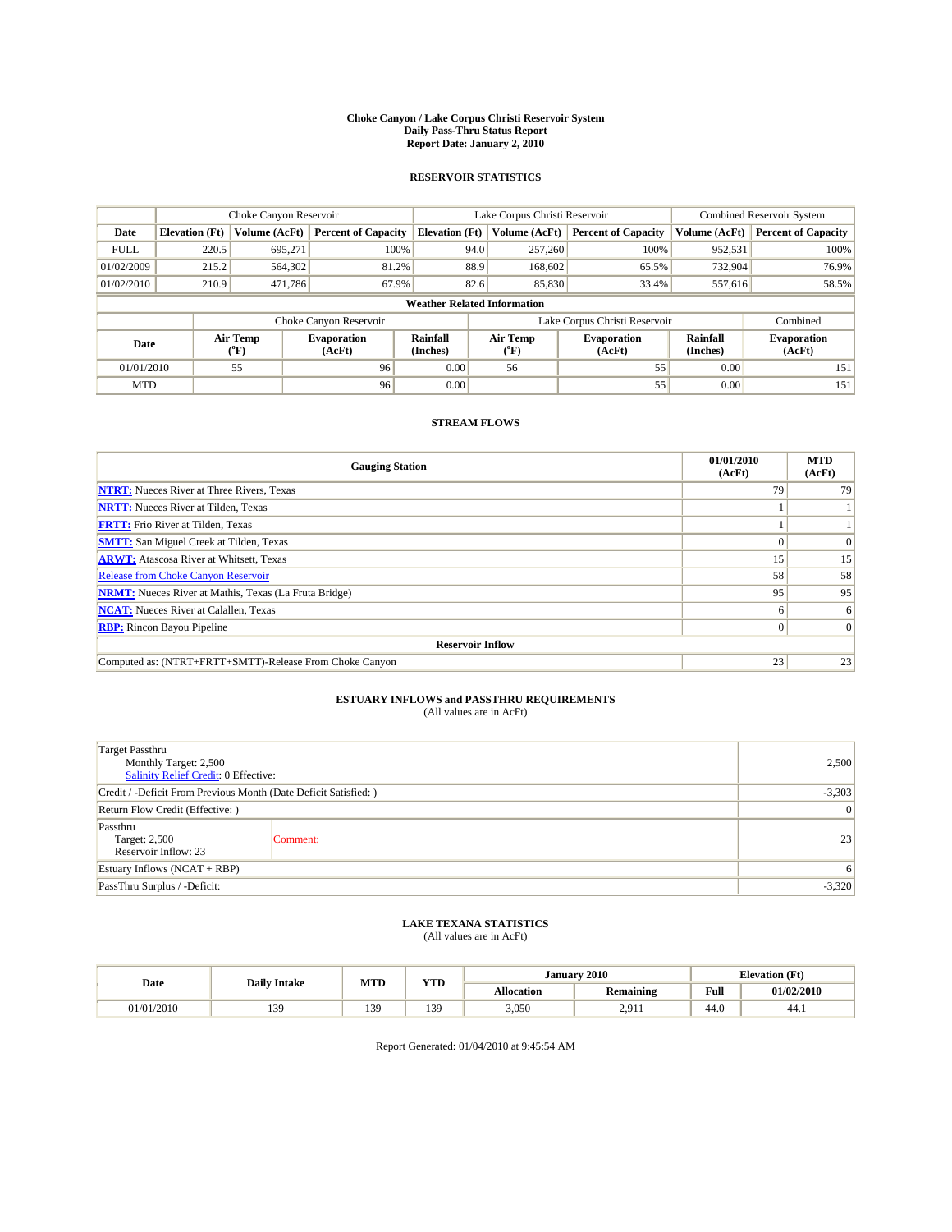#### **Choke Canyon / Lake Corpus Christi Reservoir System Daily Pass-Thru Status Report Report Date: January 2, 2010**

## **RESERVOIR STATISTICS**

|             | Choke Canyon Reservoir             |                  |                              |                             | Lake Corpus Christi Reservoir |                               |                      | <b>Combined Reservoir System</b> |  |  |
|-------------|------------------------------------|------------------|------------------------------|-----------------------------|-------------------------------|-------------------------------|----------------------|----------------------------------|--|--|
| Date        | <b>Elevation</b> (Ft)              | Volume (AcFt)    | <b>Percent of Capacity</b>   | <b>Elevation</b> (Ft)       | Volume (AcFt)                 | <b>Percent of Capacity</b>    | Volume (AcFt)        | <b>Percent of Capacity</b>       |  |  |
| <b>FULL</b> | 220.5                              | 695,271          | 100%                         | 94.0                        | 257,260                       | 100%                          | 952,531              | 100%                             |  |  |
| 01/02/2009  | 215.2                              | 564,302          | 81.2%                        | 88.9                        | 168,602                       | 65.5%                         | 732,904              | 76.9%                            |  |  |
| 01/02/2010  | 210.9                              | 471.786          | 67.9%                        | 82.6                        | 85,830                        | 33.4%                         | 557,616              | 58.5%                            |  |  |
|             | <b>Weather Related Information</b> |                  |                              |                             |                               |                               |                      |                                  |  |  |
|             |                                    |                  | Choke Canyon Reservoir       |                             |                               | Lake Corpus Christi Reservoir |                      | Combined                         |  |  |
| Date        |                                    | Air Temp<br>(°F) | <b>Evaporation</b><br>(AcFt) | <b>Rainfall</b><br>(Inches) | Air Temp<br>(°F)              | <b>Evaporation</b><br>(AcFt)  | Rainfall<br>(Inches) | <b>Evaporation</b><br>(AcFt)     |  |  |
| 01/01/2010  |                                    | 55               | 96                           | 0.00                        | 56                            | 55                            | 0.00                 | 151                              |  |  |
| <b>MTD</b>  |                                    |                  | 96                           | 0.00                        |                               | 55                            | 0.00                 | 151                              |  |  |

## **STREAM FLOWS**

| <b>Gauging Station</b>                                       | 01/01/2010<br>(AcFt) | <b>MTD</b><br>(AcFt) |
|--------------------------------------------------------------|----------------------|----------------------|
| <b>NTRT:</b> Nueces River at Three Rivers, Texas             | 79                   | 79                   |
| <b>NRTT:</b> Nueces River at Tilden, Texas                   |                      |                      |
| <b>FRTT:</b> Frio River at Tilden, Texas                     |                      |                      |
| <b>SMTT:</b> San Miguel Creek at Tilden, Texas               |                      | $\Omega$             |
| <b>ARWT:</b> Atascosa River at Whitsett, Texas               | 15 <sup>1</sup>      | 15                   |
| <b>Release from Choke Canyon Reservoir</b>                   | 58                   | 58                   |
| <b>NRMT:</b> Nueces River at Mathis, Texas (La Fruta Bridge) | 95                   | 95                   |
| <b>NCAT:</b> Nueces River at Calallen, Texas                 | 6                    | 6                    |
| <b>RBP:</b> Rincon Bayou Pipeline                            | $\overline{0}$       | $\Omega$             |
| <b>Reservoir Inflow</b>                                      |                      |                      |
| Computed as: (NTRT+FRTT+SMTT)-Release From Choke Canyon      | 23                   | 23                   |

# **ESTUARY INFLOWS and PASSTHRU REQUIREMENTS**<br>(All values are in AcFt)

| <b>Target Passthru</b><br>Monthly Target: 2,500<br>Salinity Relief Credit: 0 Effective: | 2,500    |    |
|-----------------------------------------------------------------------------------------|----------|----|
| Credit / -Deficit From Previous Month (Date Deficit Satisfied: )                        | $-3,303$ |    |
| Return Flow Credit (Effective: )                                                        | 0        |    |
| Passthru<br>Target: 2,500<br>Reservoir Inflow: 23                                       | Comment: | 23 |
| Estuary Inflows $(NCAT + RBP)$                                                          | 6        |    |
| PassThru Surplus / -Deficit:                                                            | $-3,320$ |    |

## **LAKE TEXANA STATISTICS** (All values are in AcFt)

|            | <b>Daily Intake</b> | MTD | T/TD<br>1 I D |            | January 2010     |                                             | <b>Elevation</b> (Ft) |
|------------|---------------------|-----|---------------|------------|------------------|---------------------------------------------|-----------------------|
| Date       |                     |     |               | Allocation | <b>Remaining</b> | Full<br>the contract of the contract of the | 01/02/2010            |
| 01/01/2010 | 139<br>1J.          | 139 | 139           | 3,050      | 2.01<br>2.711    | 44.0                                        | 44.1                  |

Report Generated: 01/04/2010 at 9:45:54 AM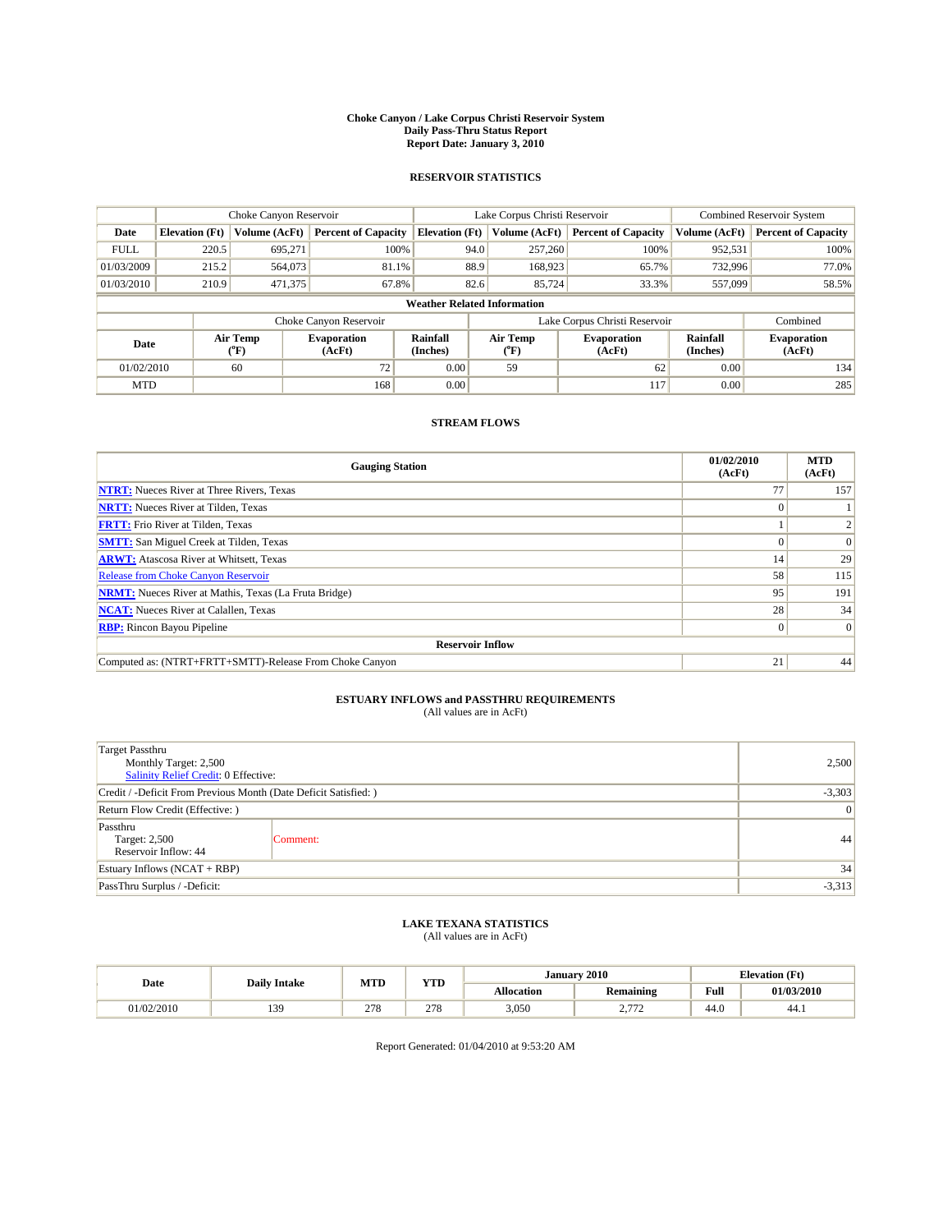#### **Choke Canyon / Lake Corpus Christi Reservoir System Daily Pass-Thru Status Report Report Date: January 3, 2010**

## **RESERVOIR STATISTICS**

|             | Choke Canyon Reservoir             |                  |                              |                             | Lake Corpus Christi Reservoir |                               |                      | <b>Combined Reservoir System</b> |  |  |
|-------------|------------------------------------|------------------|------------------------------|-----------------------------|-------------------------------|-------------------------------|----------------------|----------------------------------|--|--|
| Date        | <b>Elevation</b> (Ft)              | Volume (AcFt)    | <b>Percent of Capacity</b>   | <b>Elevation</b> (Ft)       | Volume (AcFt)                 | <b>Percent of Capacity</b>    | Volume (AcFt)        | <b>Percent of Capacity</b>       |  |  |
| <b>FULL</b> | 220.5                              | 695,271          | 100%                         | 94.0                        | 257,260                       | 100%                          | 952,531              | 100%                             |  |  |
| 01/03/2009  | 215.2                              | 564,073          | 81.1%                        | 88.9                        | 168,923                       | 65.7%                         | 732,996              | 77.0%                            |  |  |
| 01/03/2010  | 210.9                              | 471,375          | 67.8%                        | 82.6                        | 85.724                        | 33.3%                         | 557,099              | 58.5%                            |  |  |
|             | <b>Weather Related Information</b> |                  |                              |                             |                               |                               |                      |                                  |  |  |
|             |                                    |                  | Choke Canyon Reservoir       |                             |                               | Lake Corpus Christi Reservoir |                      | Combined                         |  |  |
| Date        |                                    | Air Temp<br>(°F) | <b>Evaporation</b><br>(AcFt) | <b>Rainfall</b><br>(Inches) | Air Temp<br>(°F)              | <b>Evaporation</b><br>(AcFt)  | Rainfall<br>(Inches) | <b>Evaporation</b><br>(AcFt)     |  |  |
| 01/02/2010  |                                    | 60               | 72                           | 0.00                        | 59                            | 62                            | 0.00                 | 134                              |  |  |
| <b>MTD</b>  |                                    |                  | 168                          | 0.00                        |                               | 117                           | 0.00                 | 285                              |  |  |

## **STREAM FLOWS**

| <b>Gauging Station</b>                                       | 01/02/2010<br>(AcFt) | <b>MTD</b><br>(AcFt) |  |  |  |  |
|--------------------------------------------------------------|----------------------|----------------------|--|--|--|--|
| <b>NTRT:</b> Nueces River at Three Rivers, Texas             | 77                   | 157                  |  |  |  |  |
| <b>NRTT:</b> Nueces River at Tilden, Texas                   | $\Omega$             |                      |  |  |  |  |
| <b>FRTT:</b> Frio River at Tilden, Texas                     |                      |                      |  |  |  |  |
| <b>SMTT:</b> San Miguel Creek at Tilden, Texas               |                      | $\Omega$             |  |  |  |  |
| <b>ARWT:</b> Atascosa River at Whitsett, Texas               | 14                   | 29                   |  |  |  |  |
| <b>Release from Choke Canyon Reservoir</b>                   | 58                   | 115                  |  |  |  |  |
| <b>NRMT:</b> Nueces River at Mathis, Texas (La Fruta Bridge) | 95                   | 191                  |  |  |  |  |
| <b>NCAT:</b> Nueces River at Calallen, Texas                 | 28                   | 34                   |  |  |  |  |
| <b>RBP:</b> Rincon Bayou Pipeline                            | $\vert 0 \vert$      | $\Omega$             |  |  |  |  |
| <b>Reservoir Inflow</b>                                      |                      |                      |  |  |  |  |
| Computed as: (NTRT+FRTT+SMTT)-Release From Choke Canyon      | 21                   | 44                   |  |  |  |  |

# **ESTUARY INFLOWS and PASSTHRU REQUIREMENTS**<br>(All values are in AcFt)

| <b>Target Passthru</b><br>Monthly Target: 2,500<br>Salinity Relief Credit: 0 Effective: | 2,500    |    |
|-----------------------------------------------------------------------------------------|----------|----|
| Credit / -Deficit From Previous Month (Date Deficit Satisfied: )                        | $-3,303$ |    |
| Return Flow Credit (Effective: )                                                        | 0        |    |
| Passthru<br>Target: 2,500<br>Reservoir Inflow: 44                                       | Comment: | 44 |
| Estuary Inflows $(NCAT + RBP)$                                                          | 34       |    |
| PassThru Surplus / -Deficit:                                                            | $-3,313$ |    |

## **LAKE TEXANA STATISTICS** (All values are in AcFt)

|           | <b>Daily Intake</b> | <b>MTD</b> | VTD<br>1 I.D |            | January 2010           | <b>Elevation</b> (Ft)                   |            |
|-----------|---------------------|------------|--------------|------------|------------------------|-----------------------------------------|------------|
| Date      |                     |            |              | Allocation | . .<br>Remaining       | Full<br>the contract of the contract of | 01/03/2010 |
| 1/02/2010 | 20<br>13,           | 278        | 270<br>21c   | 3,050      | 770<br><u>.</u><br>. . | 44.0                                    | 44. I      |

Report Generated: 01/04/2010 at 9:53:20 AM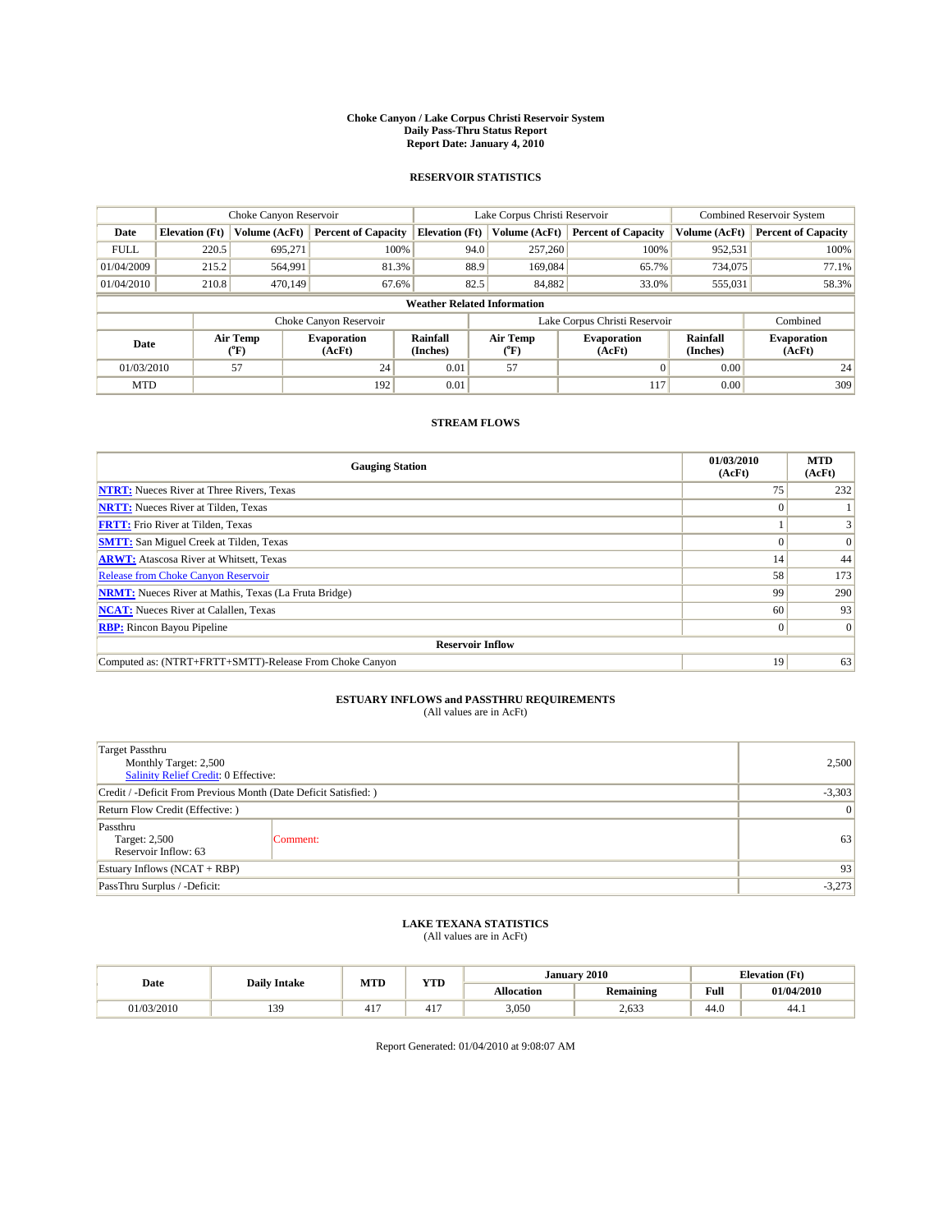#### **Choke Canyon / Lake Corpus Christi Reservoir System Daily Pass-Thru Status Report Report Date: January 4, 2010**

## **RESERVOIR STATISTICS**

|             | Choke Canyon Reservoir                                                                                 |               |                            |                       | Lake Corpus Christi Reservoir |                               |               | <b>Combined Reservoir System</b> |  |  |
|-------------|--------------------------------------------------------------------------------------------------------|---------------|----------------------------|-----------------------|-------------------------------|-------------------------------|---------------|----------------------------------|--|--|
| Date        | <b>Elevation</b> (Ft)                                                                                  | Volume (AcFt) | <b>Percent of Capacity</b> | <b>Elevation</b> (Ft) | Volume (AcFt)                 | <b>Percent of Capacity</b>    | Volume (AcFt) | <b>Percent of Capacity</b>       |  |  |
| <b>FULL</b> | 220.5                                                                                                  | 695,271       | 100%                       | 94.0                  | 257,260                       | 100%                          | 952,531       | 100%                             |  |  |
| 01/04/2009  | 215.2                                                                                                  | 564,991       | 81.3%                      | 88.9                  | 169,084                       | 65.7%                         | 734,075       | 77.1%                            |  |  |
| 01/04/2010  | 210.8                                                                                                  | 470.149       | 67.6%                      | 82.5                  | 84,882                        | 33.0%                         | 555,031       | 58.3%                            |  |  |
|             | <b>Weather Related Information</b>                                                                     |               |                            |                       |                               |                               |               |                                  |  |  |
|             |                                                                                                        |               | Choke Canyon Reservoir     |                       |                               | Lake Corpus Christi Reservoir |               | Combined                         |  |  |
|             | Air Temp<br>Air Temp<br>Rainfall<br>Evaporation<br>Date<br>(Inches)<br>(AcFt)<br>(°F)<br>(AcFt)<br>°F) |               | <b>Evaporation</b>         | Rainfall<br>(Inches)  | <b>Evaporation</b><br>(AcFt)  |                               |               |                                  |  |  |
| 01/03/2010  |                                                                                                        | 57            | 24                         | 0.01                  | 57                            |                               | 0.00          | 24                               |  |  |
| <b>MTD</b>  |                                                                                                        |               | 192                        | 0.01                  |                               | 117                           | 0.00          | 309                              |  |  |

## **STREAM FLOWS**

| <b>Gauging Station</b>                                       | 01/03/2010<br>(AcFt) | <b>MTD</b><br>(AcFt) |  |  |  |  |
|--------------------------------------------------------------|----------------------|----------------------|--|--|--|--|
| <b>NTRT:</b> Nueces River at Three Rivers, Texas             | 75                   | 232                  |  |  |  |  |
| <b>NRTT:</b> Nueces River at Tilden, Texas                   | $\theta$             |                      |  |  |  |  |
| <b>FRTT:</b> Frio River at Tilden, Texas                     |                      |                      |  |  |  |  |
| <b>SMTT:</b> San Miguel Creek at Tilden, Texas               |                      | $\Omega$             |  |  |  |  |
| <b>ARWT:</b> Atascosa River at Whitsett, Texas               | 14                   | 44                   |  |  |  |  |
| <b>Release from Choke Canyon Reservoir</b>                   | 58                   | 173                  |  |  |  |  |
| <b>NRMT:</b> Nueces River at Mathis, Texas (La Fruta Bridge) | 99                   | 290                  |  |  |  |  |
| <b>NCAT:</b> Nueces River at Calallen, Texas                 | 60                   | 93                   |  |  |  |  |
| <b>RBP:</b> Rincon Bayou Pipeline                            | $\overline{0}$       | $\Omega$             |  |  |  |  |
| <b>Reservoir Inflow</b>                                      |                      |                      |  |  |  |  |
| Computed as: (NTRT+FRTT+SMTT)-Release From Choke Canyon      | 19                   | 63                   |  |  |  |  |

# **ESTUARY INFLOWS and PASSTHRU REQUIREMENTS**<br>(All values are in AcFt)

| <b>Target Passthru</b><br>Monthly Target: 2,500<br>Salinity Relief Credit: 0 Effective: | 2,500    |    |
|-----------------------------------------------------------------------------------------|----------|----|
| Credit / -Deficit From Previous Month (Date Deficit Satisfied: )                        | $-3,303$ |    |
| Return Flow Credit (Effective: )                                                        |          | 0  |
| Passthru<br>Target: 2,500<br>Reservoir Inflow: 63                                       | Comment: | 63 |
| Estuary Inflows $(NCAT + RBP)$                                                          | 93       |    |
| PassThru Surplus / -Deficit:                                                            | $-3,273$ |    |

## **LAKE TEXANA STATISTICS** (All values are in AcFt)

|            | <b>Daily Intake</b> | <b>MTD</b> | VTD            |                   | January 2010     | <b>Elevation</b> (Ft)                   |            |
|------------|---------------------|------------|----------------|-------------------|------------------|-----------------------------------------|------------|
| Date       |                     |            | 1 I.D          | <b>Allocation</b> | . .<br>Remaining | Full<br>the contract of the contract of | 01/04/2010 |
| 01/03/2010 | 20<br>13,           | $-1$<br>т. | $41-$<br>+ 1 + | 3,050             | 2,633            | 44.0                                    | 44.1       |

Report Generated: 01/04/2010 at 9:08:07 AM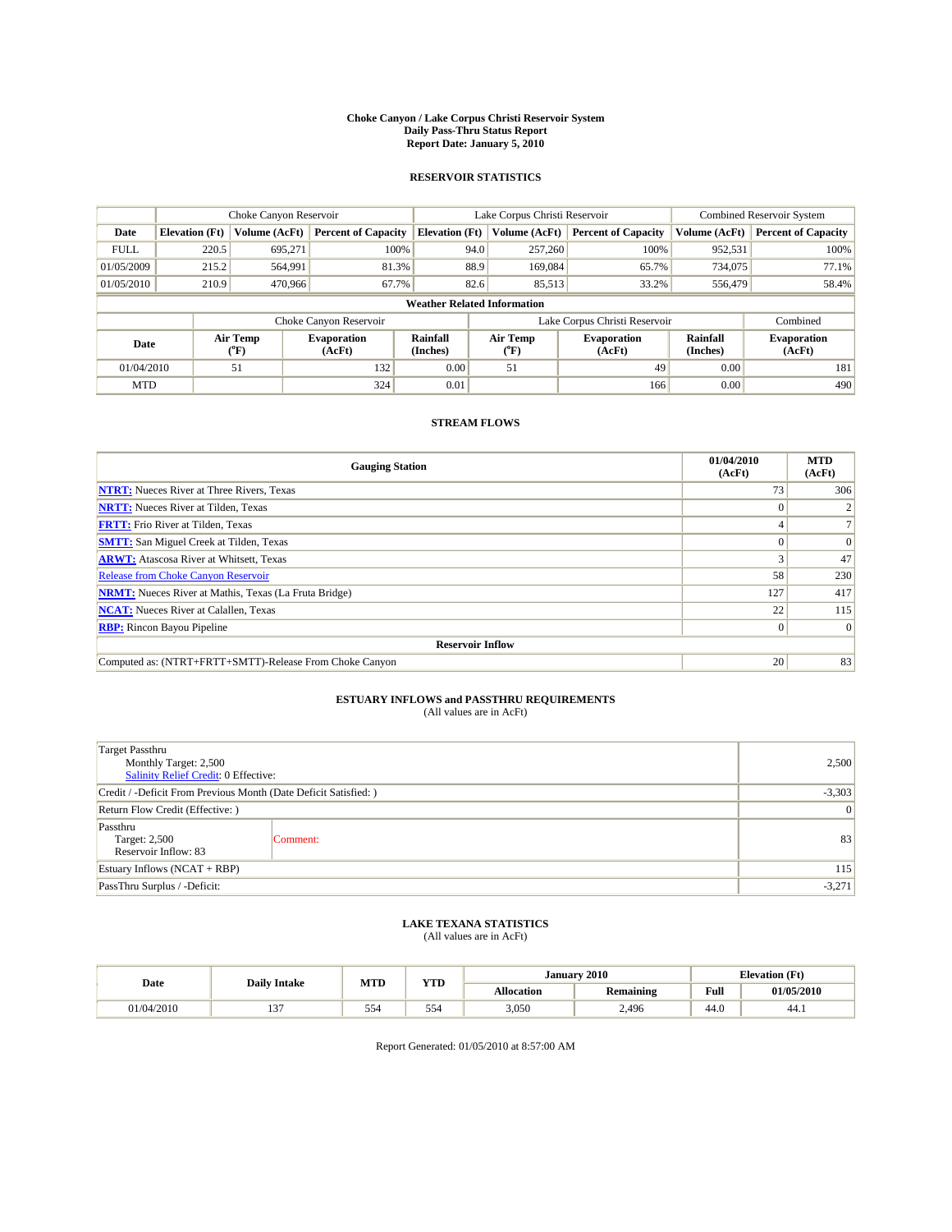#### **Choke Canyon / Lake Corpus Christi Reservoir System Daily Pass-Thru Status Report Report Date: January 5, 2010**

## **RESERVOIR STATISTICS**

|                                                                                                             |                                    | Choke Canyon Reservoir       |                            |                              | Lake Corpus Christi Reservoir |                               |               | <b>Combined Reservoir System</b> |  |  |
|-------------------------------------------------------------------------------------------------------------|------------------------------------|------------------------------|----------------------------|------------------------------|-------------------------------|-------------------------------|---------------|----------------------------------|--|--|
| Date                                                                                                        | <b>Elevation</b> (Ft)              | Volume (AcFt)                | <b>Percent of Capacity</b> | <b>Elevation</b> (Ft)        | Volume (AcFt)                 | <b>Percent of Capacity</b>    | Volume (AcFt) | <b>Percent of Capacity</b>       |  |  |
| <b>FULL</b>                                                                                                 | 220.5                              | 695,271                      | 100%                       | 94.0                         | 257,260                       | 100%                          | 952,531       | 100%                             |  |  |
| 01/05/2009                                                                                                  | 215.2                              | 564,991                      | 81.3%                      | 88.9                         | 169,084                       | 65.7%                         | 734,075       | 77.1%                            |  |  |
| 01/05/2010                                                                                                  | 210.9                              | 470,966                      | 67.7%                      | 82.6                         | 85,513                        | 33.2%                         | 556,479       | 58.4%                            |  |  |
|                                                                                                             | <b>Weather Related Information</b> |                              |                            |                              |                               |                               |               |                                  |  |  |
|                                                                                                             |                                    |                              | Choke Canyon Reservoir     |                              |                               | Lake Corpus Christi Reservoir |               | Combined                         |  |  |
| Air Temp<br><b>Rainfall</b><br>Air Temp<br><b>Evaporation</b><br>Date<br>(Inches)<br>(AcFt)<br>(°F)<br>(°F) |                                    | <b>Evaporation</b><br>(AcFt) | Rainfall<br>(Inches)       | <b>Evaporation</b><br>(AcFt) |                               |                               |               |                                  |  |  |
| 01/04/2010                                                                                                  |                                    | 51                           | 132                        | 0.00                         | 51                            | 49                            | 0.00          | 181                              |  |  |
| <b>MTD</b>                                                                                                  |                                    |                              | 324                        | 0.01                         |                               | 166                           | 0.00          | 490                              |  |  |

## **STREAM FLOWS**

| <b>Gauging Station</b>                                       | 01/04/2010<br>(AcFt) | <b>MTD</b><br>(AcFt) |  |  |  |  |
|--------------------------------------------------------------|----------------------|----------------------|--|--|--|--|
| <b>NTRT:</b> Nueces River at Three Rivers, Texas             | 73                   | 306                  |  |  |  |  |
| <b>NRTT:</b> Nueces River at Tilden, Texas                   |                      |                      |  |  |  |  |
| <b>FRTT:</b> Frio River at Tilden, Texas                     |                      |                      |  |  |  |  |
| <b>SMTT:</b> San Miguel Creek at Tilden, Texas               |                      | $\Omega$             |  |  |  |  |
| <b>ARWT:</b> Atascosa River at Whitsett, Texas               |                      | 47                   |  |  |  |  |
| <b>Release from Choke Canyon Reservoir</b>                   | 58                   | 230                  |  |  |  |  |
| <b>NRMT:</b> Nueces River at Mathis, Texas (La Fruta Bridge) | 127                  | 417                  |  |  |  |  |
| <b>NCAT:</b> Nueces River at Calallen, Texas                 | 22                   | 115                  |  |  |  |  |
| <b>RBP:</b> Rincon Bayou Pipeline                            | $\vert 0 \vert$      | $\Omega$             |  |  |  |  |
| <b>Reservoir Inflow</b>                                      |                      |                      |  |  |  |  |
| Computed as: (NTRT+FRTT+SMTT)-Release From Choke Canyon      | 20                   | 83                   |  |  |  |  |

# **ESTUARY INFLOWS and PASSTHRU REQUIREMENTS**<br>(All values are in AcFt)

| <b>Target Passthru</b><br>Monthly Target: 2,500<br>Salinity Relief Credit: 0 Effective: | 2,500    |    |
|-----------------------------------------------------------------------------------------|----------|----|
| Credit / -Deficit From Previous Month (Date Deficit Satisfied: )                        | $-3,303$ |    |
| Return Flow Credit (Effective: )                                                        |          | 0  |
| Passthru<br>Target: 2,500<br>Reservoir Inflow: 83                                       | Comment: | 83 |
| Estuary Inflows $(NCAT + RBP)$                                                          | 115      |    |
| PassThru Surplus / -Deficit:                                                            | $-3,271$ |    |

## **LAKE TEXANA STATISTICS** (All values are in AcFt)

| Date       | <b>Daily Intake</b> | MTD       | VTD        |                   | January 2010     | <b>Elevation</b> (Ft)                   |            |
|------------|---------------------|-----------|------------|-------------------|------------------|-----------------------------------------|------------|
|            |                     |           | 1 I.D      | <b>Allocation</b> | . .<br>Remaining | Full<br>the contract of the contract of | 01/05/2010 |
| 01/04/2010 | $\sim$<br>          | --<br>554 | - -<br>554 | 3,050             | 2,496            | 44.0                                    | 44. I      |

Report Generated: 01/05/2010 at 8:57:00 AM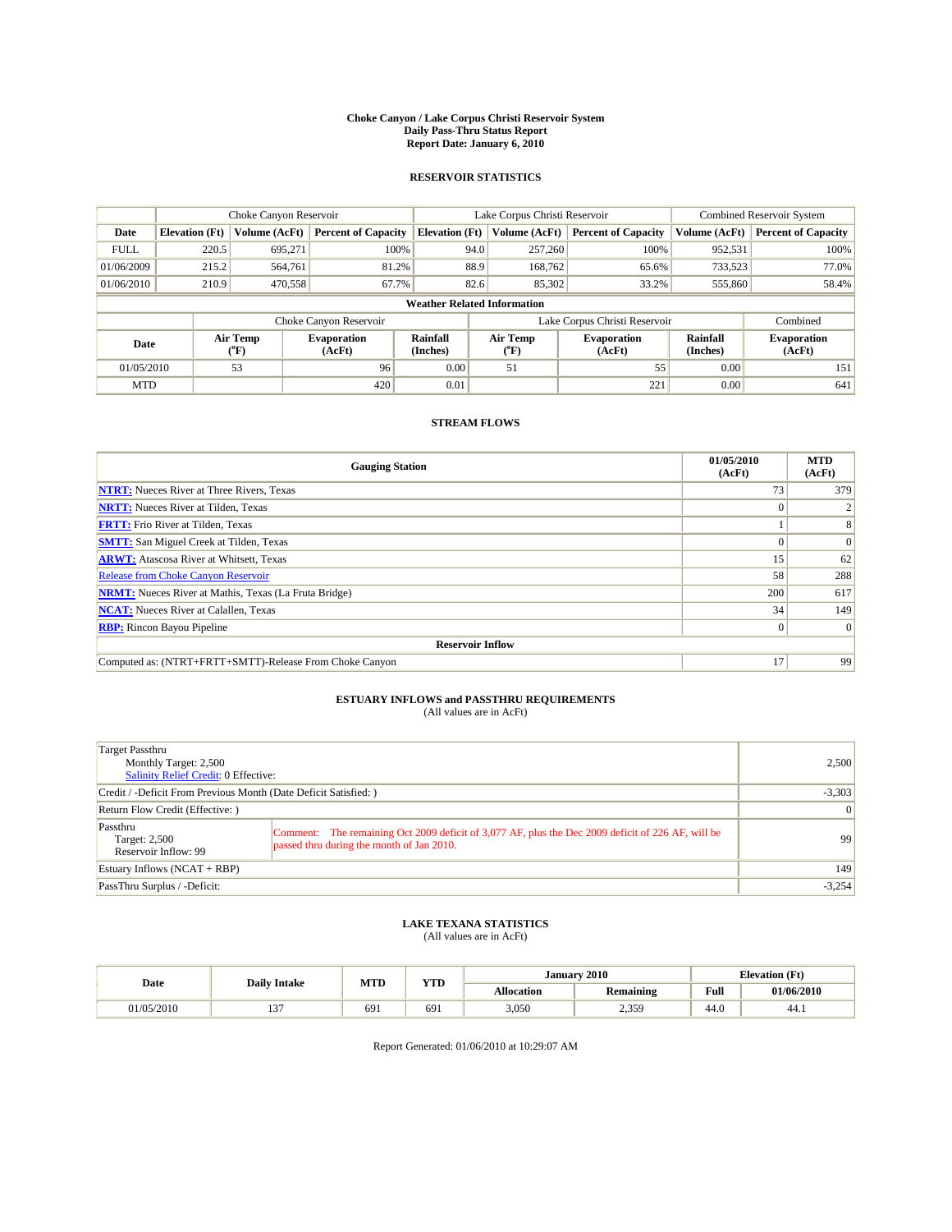#### **Choke Canyon / Lake Corpus Christi Reservoir System Daily Pass-Thru Status Report Report Date: January 6, 2010**

## **RESERVOIR STATISTICS**

|                                    |                                    | Choke Canyon Reservoir |                            |                       | Lake Corpus Christi Reservoir |                               |                              | <b>Combined Reservoir System</b> |  |  |
|------------------------------------|------------------------------------|------------------------|----------------------------|-----------------------|-------------------------------|-------------------------------|------------------------------|----------------------------------|--|--|
| Date                               | <b>Elevation</b> (Ft)              | Volume (AcFt)          | <b>Percent of Capacity</b> | <b>Elevation</b> (Ft) | Volume (AcFt)                 | <b>Percent of Capacity</b>    | Volume (AcFt)                | <b>Percent of Capacity</b>       |  |  |
| <b>FULL</b>                        | 220.5                              | 695,271                | 100%                       | 94.0                  | 257,260                       | 100%                          | 952,531                      | 100%                             |  |  |
| 01/06/2009                         | 215.2                              | 564,761                | 81.2%                      | 88.9                  | 168,762                       | 65.6%                         | 733,523                      | 77.0%                            |  |  |
| 01/06/2010                         | 210.9                              | 470,558                | 67.7%                      | 82.6                  | 85,302                        | 33.2%                         | 555,860                      | 58.4%                            |  |  |
|                                    | <b>Weather Related Information</b> |                        |                            |                       |                               |                               |                              |                                  |  |  |
|                                    |                                    |                        | Choke Canyon Reservoir     |                       |                               | Lake Corpus Christi Reservoir |                              | Combined                         |  |  |
| Air Temp<br>Date<br>(AcFt)<br>(°F) |                                    | <b>Evaporation</b>     | Rainfall<br>(Inches)       | Air Temp<br>(°F)      | <b>Evaporation</b><br>(AcFt)  | Rainfall<br>(Inches)          | <b>Evaporation</b><br>(AcFt) |                                  |  |  |
| 01/05/2010                         |                                    | 53                     | 96                         | 0.00                  | 51                            | 55                            | 0.00                         | 151                              |  |  |
| <b>MTD</b>                         |                                    |                        | 420                        | 0.01                  |                               | 221                           | 0.00                         | 641                              |  |  |

## **STREAM FLOWS**

| <b>Gauging Station</b>                                       | 01/05/2010<br>(AcFt) | <b>MTD</b><br>(AcFt) |  |  |  |
|--------------------------------------------------------------|----------------------|----------------------|--|--|--|
| <b>NTRT:</b> Nueces River at Three Rivers, Texas             | 73                   | 379                  |  |  |  |
| <b>NRTT:</b> Nueces River at Tilden, Texas                   |                      |                      |  |  |  |
| <b>FRTT:</b> Frio River at Tilden, Texas                     |                      |                      |  |  |  |
| <b>SMTT:</b> San Miguel Creek at Tilden, Texas               |                      | $\Omega$             |  |  |  |
| <b>ARWT:</b> Atascosa River at Whitsett, Texas               | 15                   | 62                   |  |  |  |
| Release from Choke Canyon Reservoir                          | 58                   | 288                  |  |  |  |
| <b>NRMT:</b> Nueces River at Mathis, Texas (La Fruta Bridge) | 200                  | 617                  |  |  |  |
| <b>NCAT:</b> Nueces River at Calallen, Texas                 | 34                   | 149                  |  |  |  |
| <b>RBP:</b> Rincon Bayou Pipeline                            | $\overline{0}$       | $\Omega$             |  |  |  |
| <b>Reservoir Inflow</b>                                      |                      |                      |  |  |  |
| Computed as: (NTRT+FRTT+SMTT)-Release From Choke Canyon      | 17                   | 99                   |  |  |  |

## **ESTUARY INFLOWS and PASSTHRU REQUIREMENTS**

|  | (All values are in AcFt) |  |
|--|--------------------------|--|
|--|--------------------------|--|

| Target Passthru<br>Monthly Target: 2,500<br><b>Salinity Relief Credit: 0 Effective:</b> |                                                                                                                                                | 2,500           |
|-----------------------------------------------------------------------------------------|------------------------------------------------------------------------------------------------------------------------------------------------|-----------------|
| Credit / -Deficit From Previous Month (Date Deficit Satisfied: )                        |                                                                                                                                                | $-3,303$        |
| Return Flow Credit (Effective: )                                                        |                                                                                                                                                | $\vert 0 \vert$ |
| Passthru<br>Target: 2,500<br>Reservoir Inflow: 99                                       | Comment: The remaining Oct 2009 deficit of 3,077 AF, plus the Dec 2009 deficit of 226 AF, will be<br>passed thru during the month of Jan 2010. | 99              |
| Estuary Inflows $(NCAT + RBP)$                                                          |                                                                                                                                                | 149             |
| PassThru Surplus / -Deficit:                                                            |                                                                                                                                                | $-3,254$        |

## **LAKE TEXANA STATISTICS** (All values are in AcFt)

|           | <b>Daily Intake</b> | MTD | <b>YTD</b> | January 2010      |                         | <b>Elevation</b> (Ft)                   |            |
|-----------|---------------------|-----|------------|-------------------|-------------------------|-----------------------------------------|------------|
| Date      |                     |     |            | <b>Allocation</b> | . .<br><b>Remaining</b> | Full<br>the contract of the contract of | 01/06/2010 |
| 1/05/2010 | $\sim$<br>$\sim$    | 691 | 691        | 3,050             | 2,359                   | 44.0                                    | 44.)       |

Report Generated: 01/06/2010 at 10:29:07 AM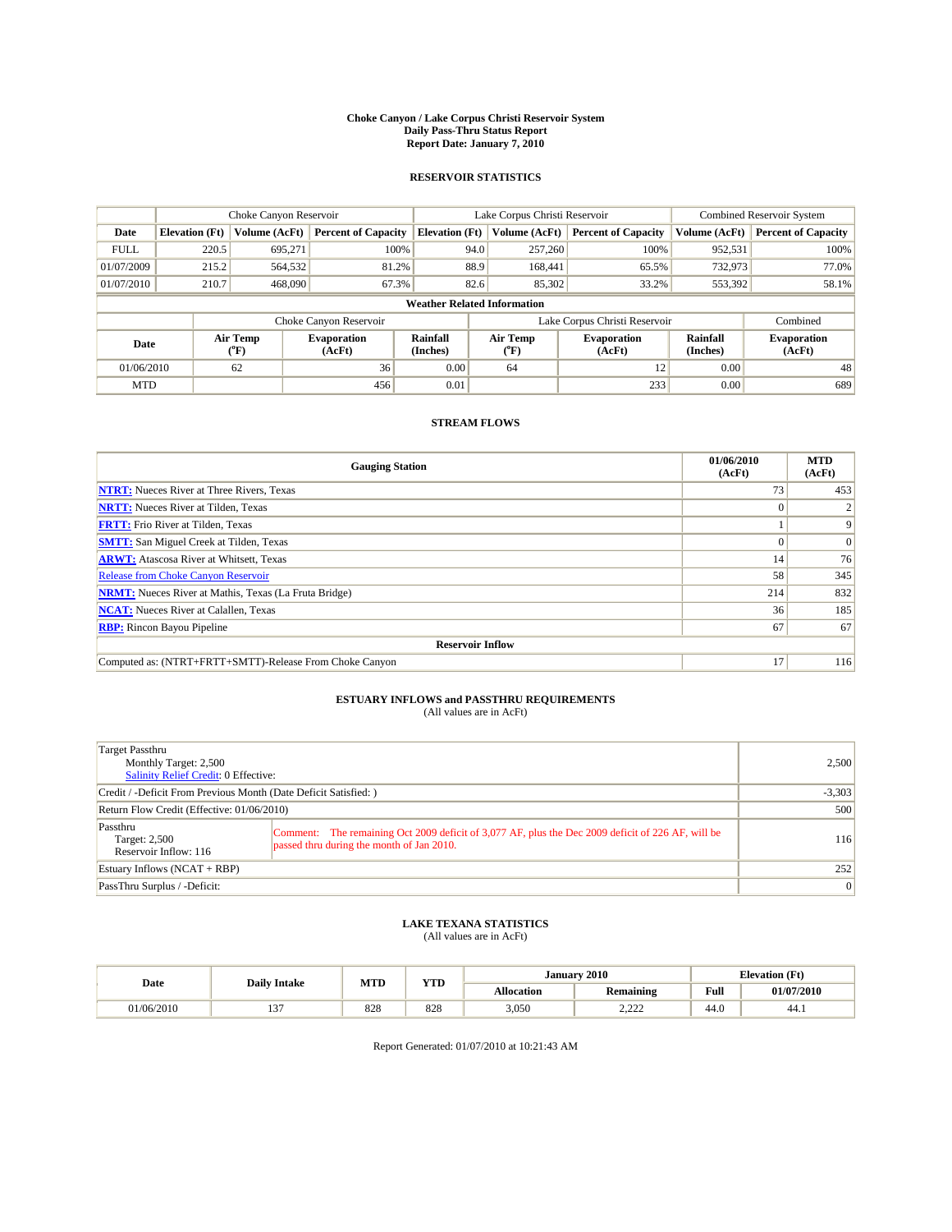#### **Choke Canyon / Lake Corpus Christi Reservoir System Daily Pass-Thru Status Report Report Date: January 7, 2010**

## **RESERVOIR STATISTICS**

|             | Choke Canyon Reservoir |                             |                              |                       | Lake Corpus Christi Reservoir      | <b>Combined Reservoir System</b>                     |               |                              |
|-------------|------------------------|-----------------------------|------------------------------|-----------------------|------------------------------------|------------------------------------------------------|---------------|------------------------------|
| Date        | <b>Elevation</b> (Ft)  | Volume (AcFt)               | <b>Percent of Capacity</b>   | <b>Elevation</b> (Ft) | Volume (AcFt)                      | <b>Percent of Capacity</b>                           | Volume (AcFt) | <b>Percent of Capacity</b>   |
| <b>FULL</b> | 220.5                  | 695,271                     | 100%                         |                       | 257,260<br>94.0                    | 100%                                                 | 952,531       | 100%                         |
| 01/07/2009  | 215.2                  | 564,532                     | 81.2%                        |                       | 88.9<br>168,441                    | 65.5%                                                | 732,973       | 77.0%                        |
| 01/07/2010  | 210.7                  | 468,090                     | 67.3%                        |                       | 82.6<br>85,302                     | 33.2%                                                | 553,392       | 58.1%                        |
|             |                        |                             |                              |                       | <b>Weather Related Information</b> |                                                      |               |                              |
|             |                        |                             | Choke Canyon Reservoir       |                       | Lake Corpus Christi Reservoir      |                                                      |               | Combined                     |
| Date        |                        | Air Temp<br>${}^{\circ}$ F) | <b>Evaporation</b><br>(AcFt) | Rainfall<br>(Inches)  | Air Temp<br>(°F)                   | Rainfall<br><b>Evaporation</b><br>(Inches)<br>(AcFt) |               | <b>Evaporation</b><br>(AcFt) |
| 01/06/2010  |                        | 62                          | 36                           | 0.00                  | 64                                 | 12                                                   | 0.00          | 48                           |
| <b>MTD</b>  |                        |                             | 456                          | 0.01                  |                                    | 233                                                  | 0.00          | 689                          |

## **STREAM FLOWS**

| <b>Gauging Station</b>                                       | 01/06/2010<br>(AcFt) | <b>MTD</b><br>(AcFt) |
|--------------------------------------------------------------|----------------------|----------------------|
| <b>NTRT:</b> Nueces River at Three Rivers, Texas             | 73                   | 453                  |
| <b>NRTT:</b> Nueces River at Tilden, Texas                   | $\Omega$             |                      |
| <b>FRTT:</b> Frio River at Tilden, Texas                     |                      | 9                    |
| <b>SMTT:</b> San Miguel Creek at Tilden, Texas               |                      | $\Omega$             |
| <b>ARWT:</b> Atascosa River at Whitsett, Texas               | 14                   | 76                   |
| <b>Release from Choke Canyon Reservoir</b>                   | 58                   | 345                  |
| <b>NRMT:</b> Nueces River at Mathis, Texas (La Fruta Bridge) | 214                  | 832                  |
| <b>NCAT:</b> Nueces River at Calallen, Texas                 | 36                   | 185                  |
| <b>RBP:</b> Rincon Bayou Pipeline                            | 67                   | 67                   |
| <b>Reservoir Inflow</b>                                      |                      |                      |
| Computed as: (NTRT+FRTT+SMTT)-Release From Choke Canyon      | 17                   | 116                  |

# **ESTUARY INFLOWS and PASSTHRU REQUIREMENTS**<br>(All values are in AcFt)

| Target Passthru<br>Monthly Target: 2,500<br>Salinity Relief Credit: 0 Effective: |                                                                                                                                                | 2,500    |
|----------------------------------------------------------------------------------|------------------------------------------------------------------------------------------------------------------------------------------------|----------|
| Credit / -Deficit From Previous Month (Date Deficit Satisfied: )                 |                                                                                                                                                | $-3,303$ |
| Return Flow Credit (Effective: 01/06/2010)                                       |                                                                                                                                                | 500      |
| Passthru<br>Target: 2,500<br>Reservoir Inflow: 116                               | Comment: The remaining Oct 2009 deficit of 3,077 AF, plus the Dec 2009 deficit of 226 AF, will be<br>passed thru during the month of Jan 2010. | 116      |
| Estuary Inflows $(NCAT + RBP)$                                                   |                                                                                                                                                | 252      |
| PassThru Surplus / -Deficit:                                                     |                                                                                                                                                | 0        |

# **LAKE TEXANA STATISTICS** (All values are in AcFt)

|            | <b>Daily Intake</b> |     | <b>TIMP</b><br>MTD | 2010<br><b>January</b> |                            |      | <b>Elevation</b> (Ft) |
|------------|---------------------|-----|--------------------|------------------------|----------------------------|------|-----------------------|
| Date       |                     |     | 1 I.D              | Allocation             | Remaining                  | Full | 01/07/2010            |
| 01/06/2010 | $\sim$              | 828 | 828                | 3,050                  | 222<br><i><u>L.LLL</u></i> | 44.0 | 44.1                  |

Report Generated: 01/07/2010 at 10:21:43 AM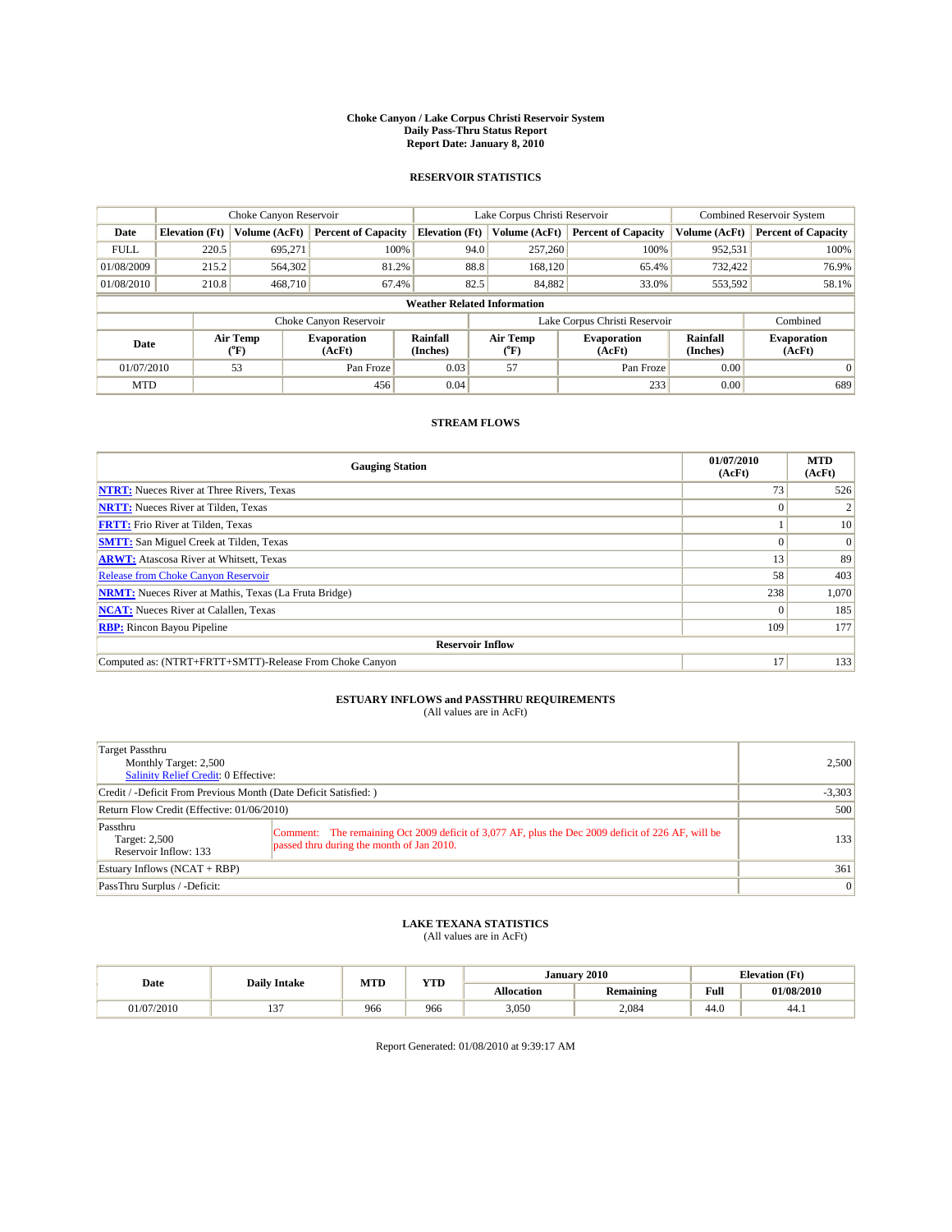#### **Choke Canyon / Lake Corpus Christi Reservoir System Daily Pass-Thru Status Report Report Date: January 8, 2010**

## **RESERVOIR STATISTICS**

|             | Choke Canyon Reservoir |                  |                              |                                    | Lake Corpus Christi Reservoir           | <b>Combined Reservoir System</b>                     |               |                              |
|-------------|------------------------|------------------|------------------------------|------------------------------------|-----------------------------------------|------------------------------------------------------|---------------|------------------------------|
| Date        | <b>Elevation</b> (Ft)  | Volume (AcFt)    | <b>Percent of Capacity</b>   | <b>Elevation (Ft)</b>              | Volume (AcFt)                           | <b>Percent of Capacity</b>                           | Volume (AcFt) | <b>Percent of Capacity</b>   |
| <b>FULL</b> | 220.5                  | 695,271          | 100%                         | 94.0                               | 257,260                                 | 100%                                                 | 952,531       | 100%                         |
| 01/08/2009  | 215.2                  | 564,302          | 81.2%                        | 88.8                               | 168,120                                 | 65.4%                                                | 732.422       | 76.9%                        |
| 01/08/2010  | 210.8                  | 468,710          | 67.4%                        | 82.5                               | 84,882                                  | 33.0%                                                | 553,592       | 58.1%                        |
|             |                        |                  |                              | <b>Weather Related Information</b> |                                         |                                                      |               |                              |
|             |                        |                  | Choke Canyon Reservoir       |                                    |                                         | Lake Corpus Christi Reservoir                        |               | Combined                     |
| Date        |                        | Air Temp<br>(°F) | <b>Evaporation</b><br>(AcFt) | Rainfall<br>(Inches)               | Air Temp<br>$(^{\mathrm{o}}\mathrm{F})$ | Rainfall<br><b>Evaporation</b><br>(Inches)<br>(AcFt) |               | <b>Evaporation</b><br>(AcFt) |
| 01/07/2010  |                        | 53               | Pan Froze                    | 0.03                               | 57                                      | Pan Froze                                            | 0.00          | $\Omega$                     |
| <b>MTD</b>  |                        |                  | 456                          | 0.04                               |                                         | 233                                                  | 0.00          | 689                          |

## **STREAM FLOWS**

| <b>Gauging Station</b>                                       | 01/07/2010<br>(AcFt) | <b>MTD</b><br>(AcFt) |
|--------------------------------------------------------------|----------------------|----------------------|
| <b>NTRT:</b> Nueces River at Three Rivers, Texas             | 73                   | 526                  |
| <b>NRTT:</b> Nueces River at Tilden, Texas                   |                      |                      |
| <b>FRTT:</b> Frio River at Tilden, Texas                     |                      | 10                   |
| <b>SMTT:</b> San Miguel Creek at Tilden, Texas               |                      | $\Omega$             |
| <b>ARWT:</b> Atascosa River at Whitsett, Texas               | 13                   | 89                   |
| <b>Release from Choke Canyon Reservoir</b>                   | 58                   | 403                  |
| <b>NRMT:</b> Nueces River at Mathis, Texas (La Fruta Bridge) | 238                  | 1,070                |
| <b>NCAT:</b> Nueces River at Calallen, Texas                 | $\Omega$             | 185                  |
| <b>RBP:</b> Rincon Bayou Pipeline                            | 109                  | 177                  |
| <b>Reservoir Inflow</b>                                      |                      |                      |
| Computed as: (NTRT+FRTT+SMTT)-Release From Choke Canyon      | 17                   | 133                  |

# **ESTUARY INFLOWS and PASSTHRU REQUIREMENTS**<br>(All values are in AcFt)

| Target Passthru<br>Monthly Target: 2,500<br>Salinity Relief Credit: 0 Effective: |                                                                                                                                                | 2,500          |
|----------------------------------------------------------------------------------|------------------------------------------------------------------------------------------------------------------------------------------------|----------------|
| Credit / -Deficit From Previous Month (Date Deficit Satisfied: )                 |                                                                                                                                                | $-3,303$       |
| Return Flow Credit (Effective: 01/06/2010)                                       |                                                                                                                                                | 500            |
| Passthru<br>Target: 2,500<br>Reservoir Inflow: 133                               | Comment: The remaining Oct 2009 deficit of 3,077 AF, plus the Dec 2009 deficit of 226 AF, will be<br>passed thru during the month of Jan 2010. | 133            |
| Estuary Inflows (NCAT + RBP)                                                     |                                                                                                                                                | 361            |
| PassThru Surplus / -Deficit:                                                     |                                                                                                                                                | $\overline{0}$ |

## **LAKE TEXANA STATISTICS** (All values are in AcFt)

|                       | <b>Daily Intake</b> | <b>MTD</b> | VTD   | <b>January</b> | 2010             | <b>Elevation</b> (Ft) |            |
|-----------------------|---------------------|------------|-------|----------------|------------------|-----------------------|------------|
| Date                  |                     |            | 1 I.D | Allocation     | <b>Remaining</b> | <b>Full</b><br>_____  | 01/08/2010 |
| $^{07/2010}$<br>470 L | $\sim$<br>$\sim$    | 966        | 966   | 3,050          | 2,084            | $\sqrt{2}$<br>44.U    | 44.1       |

Report Generated: 01/08/2010 at 9:39:17 AM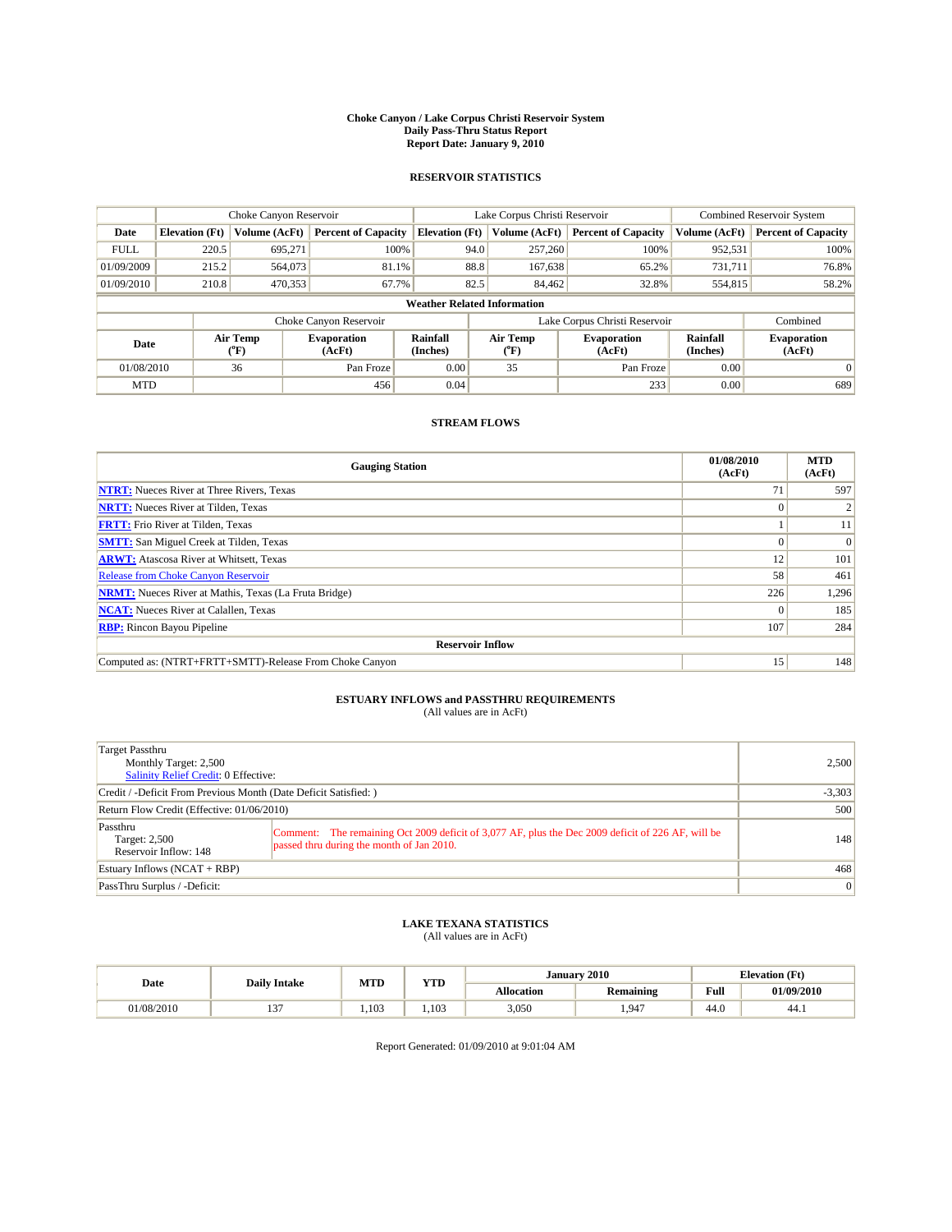#### **Choke Canyon / Lake Corpus Christi Reservoir System Daily Pass-Thru Status Report Report Date: January 9, 2010**

## **RESERVOIR STATISTICS**

|             | Choke Canyon Reservoir |                  |                              |                                    | Lake Corpus Christi Reservoir           | <b>Combined Reservoir System</b>                     |               |                              |
|-------------|------------------------|------------------|------------------------------|------------------------------------|-----------------------------------------|------------------------------------------------------|---------------|------------------------------|
| Date        | <b>Elevation</b> (Ft)  | Volume (AcFt)    | <b>Percent of Capacity</b>   | <b>Elevation (Ft)</b>              | Volume (AcFt)                           | <b>Percent of Capacity</b>                           | Volume (AcFt) | <b>Percent of Capacity</b>   |
| <b>FULL</b> | 220.5                  | 695,271          | 100%                         | 94.0                               | 257,260                                 | 100%                                                 | 952,531       | 100%                         |
| 01/09/2009  | 215.2                  | 564,073          | 81.1%                        | 88.8                               | 167,638                                 | 65.2%                                                | 731.711       | 76.8%                        |
| 01/09/2010  | 210.8                  | 470,353          | 67.7%                        | 82.5                               | 84.462                                  | 32.8%                                                | 554,815       | 58.2%                        |
|             |                        |                  |                              | <b>Weather Related Information</b> |                                         |                                                      |               |                              |
|             |                        |                  | Choke Canyon Reservoir       |                                    | Lake Corpus Christi Reservoir           |                                                      |               | Combined                     |
| Date        |                        | Air Temp<br>(°F) | <b>Evaporation</b><br>(AcFt) | Rainfall<br>(Inches)               | Air Temp<br>$(^{\mathrm{o}}\mathrm{F})$ | Rainfall<br><b>Evaporation</b><br>(Inches)<br>(AcFt) |               | <b>Evaporation</b><br>(AcFt) |
| 01/08/2010  |                        | 36               | Pan Froze                    | 0.00                               | 35                                      | Pan Froze                                            | 0.00          | $\Omega$                     |
| <b>MTD</b>  |                        |                  | 456                          | 0.04                               |                                         | 233                                                  | 0.00          | 689                          |

## **STREAM FLOWS**

| <b>Gauging Station</b>                                       | 01/08/2010<br>(AcFt) | <b>MTD</b><br>(AcFt) |
|--------------------------------------------------------------|----------------------|----------------------|
| <b>NTRT:</b> Nueces River at Three Rivers, Texas             | 71                   | 597                  |
| <b>NRTT:</b> Nueces River at Tilden, Texas                   |                      |                      |
| <b>FRTT:</b> Frio River at Tilden, Texas                     |                      | 11                   |
| <b>SMTT:</b> San Miguel Creek at Tilden, Texas               | $\theta$             | $\Omega$             |
| <b>ARWT:</b> Atascosa River at Whitsett, Texas               | 12                   | 101                  |
| <b>Release from Choke Canyon Reservoir</b>                   | 58                   | 461                  |
| <b>NRMT:</b> Nueces River at Mathis, Texas (La Fruta Bridge) | 226                  | 1,296                |
| <b>NCAT:</b> Nueces River at Calallen, Texas                 | $\Omega$             | 185                  |
| <b>RBP:</b> Rincon Bayou Pipeline                            | 107                  | 284                  |
| <b>Reservoir Inflow</b>                                      |                      |                      |
| Computed as: (NTRT+FRTT+SMTT)-Release From Choke Canyon      | 15 <sup>1</sup>      | 148                  |

# **ESTUARY INFLOWS and PASSTHRU REQUIREMENTS**<br>(All values are in AcFt)

| Target Passthru<br>Monthly Target: 2,500<br>Salinity Relief Credit: 0 Effective: |                                                                                                                                                | 2,500    |
|----------------------------------------------------------------------------------|------------------------------------------------------------------------------------------------------------------------------------------------|----------|
| Credit / -Deficit From Previous Month (Date Deficit Satisfied: )                 |                                                                                                                                                | $-3,303$ |
| Return Flow Credit (Effective: 01/06/2010)                                       |                                                                                                                                                | 500      |
| Passthru<br>Target: 2,500<br>Reservoir Inflow: 148                               | Comment: The remaining Oct 2009 deficit of 3,077 AF, plus the Dec 2009 deficit of 226 AF, will be<br>passed thru during the month of Jan 2010. | 148      |
| Estuary Inflows (NCAT + RBP)                                                     |                                                                                                                                                | 468      |
| PassThru Surplus / -Deficit:                                                     |                                                                                                                                                | 0        |

## **LAKE TEXANA STATISTICS** (All values are in AcFt)

|            | <b>Daily Intake</b> | MTD   |       |            | January 2010     | <b>Elevation (Ft)</b>                       |            |
|------------|---------------------|-------|-------|------------|------------------|---------------------------------------------|------------|
| Date       |                     |       | YTD   | Allocation | <b>Remaining</b> | Full<br>the state of the state of the state | 01/09/2010 |
| 01/08/2010 | $\sim$              | 1.103 | 1.103 | 3,050      | 1.947            | 44.0                                        | 44.)       |

Report Generated: 01/09/2010 at 9:01:04 AM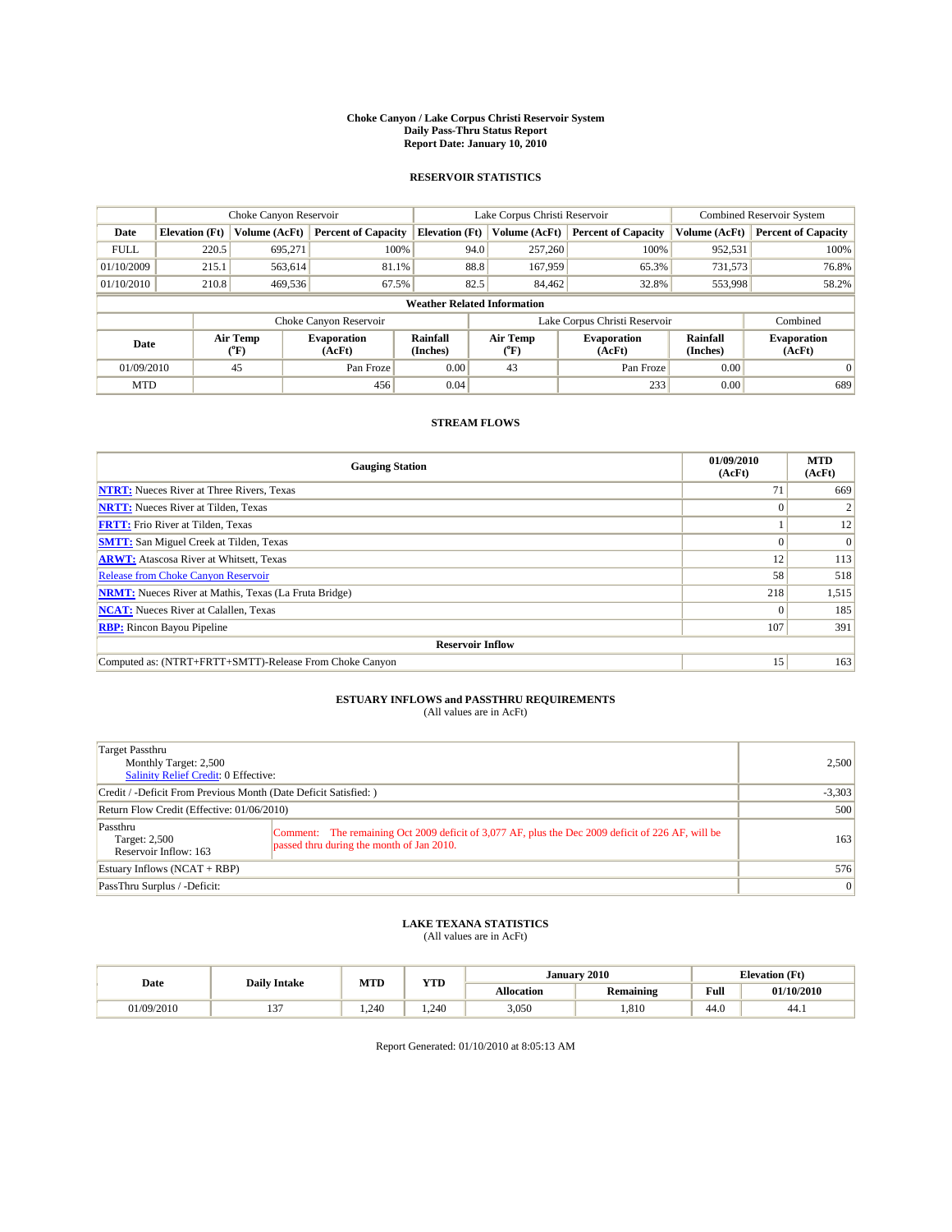#### **Choke Canyon / Lake Corpus Christi Reservoir System Daily Pass-Thru Status Report Report Date: January 10, 2010**

## **RESERVOIR STATISTICS**

|             | Choke Canyon Reservoir |                  |                              |                                    | Lake Corpus Christi Reservoir | <b>Combined Reservoir System</b>                     |               |                              |
|-------------|------------------------|------------------|------------------------------|------------------------------------|-------------------------------|------------------------------------------------------|---------------|------------------------------|
| Date        | <b>Elevation</b> (Ft)  | Volume (AcFt)    | <b>Percent of Capacity</b>   | <b>Elevation</b> (Ft)              | Volume (AcFt)                 | <b>Percent of Capacity</b>                           | Volume (AcFt) | <b>Percent of Capacity</b>   |
| <b>FULL</b> | 220.5                  | 695,271          | 100%                         | 94.0                               | 257,260                       | 100%                                                 | 952,531       | 100%                         |
| 01/10/2009  | 215.1                  | 563,614          | 81.1%                        | 88.8                               | 167,959                       | 65.3%                                                | 731,573       | 76.8%                        |
| 01/10/2010  | 210.8                  | 469,536          | 67.5%                        | 82.5                               | 84,462                        | 32.8%                                                | 553,998       | 58.2%                        |
|             |                        |                  |                              | <b>Weather Related Information</b> |                               |                                                      |               |                              |
|             |                        |                  | Choke Canyon Reservoir       |                                    | Lake Corpus Christi Reservoir |                                                      |               | Combined                     |
| Date        |                        | Air Temp<br>(°F) | <b>Evaporation</b><br>(AcFt) | Rainfall<br>(Inches)               | Air Temp<br>(°F)              | Rainfall<br><b>Evaporation</b><br>(Inches)<br>(AcFt) |               | <b>Evaporation</b><br>(AcFt) |
| 01/09/2010  |                        | 45               | Pan Froze                    | 0.00                               | 43                            | Pan Froze                                            | 0.00          | $\Omega$                     |
| <b>MTD</b>  |                        |                  | 456                          | 0.04                               |                               | 233                                                  | 0.00          | 689                          |

## **STREAM FLOWS**

| <b>Gauging Station</b>                                       | 01/09/2010<br>(AcFt) | <b>MTD</b><br>(AcFt) |  |  |  |  |  |
|--------------------------------------------------------------|----------------------|----------------------|--|--|--|--|--|
| <b>NTRT:</b> Nueces River at Three Rivers, Texas             | 71                   | 669                  |  |  |  |  |  |
| <b>NRTT:</b> Nueces River at Tilden, Texas                   | $\Omega$             |                      |  |  |  |  |  |
| <b>FRTT:</b> Frio River at Tilden, Texas                     |                      | 12                   |  |  |  |  |  |
| <b>SMTT:</b> San Miguel Creek at Tilden, Texas               |                      | $\Omega$             |  |  |  |  |  |
| <b>ARWT:</b> Atascosa River at Whitsett, Texas               | 12                   | 113                  |  |  |  |  |  |
| <b>Release from Choke Canyon Reservoir</b>                   | 58                   | 518                  |  |  |  |  |  |
| <b>NRMT:</b> Nueces River at Mathis, Texas (La Fruta Bridge) | 218                  | 1,515                |  |  |  |  |  |
| <b>NCAT:</b> Nueces River at Calallen, Texas                 | $\Omega$             | 185                  |  |  |  |  |  |
| <b>RBP:</b> Rincon Bayou Pipeline                            | 107                  | 391                  |  |  |  |  |  |
| <b>Reservoir Inflow</b>                                      |                      |                      |  |  |  |  |  |
| Computed as: (NTRT+FRTT+SMTT)-Release From Choke Canyon      | 15 <sup>7</sup>      | 163                  |  |  |  |  |  |

# **ESTUARY INFLOWS and PASSTHRU REQUIREMENTS**<br>(All values are in AcFt)

| Target Passthru<br>Monthly Target: 2,500<br>Salinity Relief Credit: 0 Effective: |                                                                                                                                                | 2.500           |
|----------------------------------------------------------------------------------|------------------------------------------------------------------------------------------------------------------------------------------------|-----------------|
| Credit / -Deficit From Previous Month (Date Deficit Satisfied: )                 |                                                                                                                                                | $-3,303$        |
| Return Flow Credit (Effective: 01/06/2010)                                       |                                                                                                                                                | 500             |
| Passthru<br>Target: 2,500<br>Reservoir Inflow: 163                               | Comment: The remaining Oct 2009 deficit of 3,077 AF, plus the Dec 2009 deficit of 226 AF, will be<br>passed thru during the month of Jan 2010. | 163             |
| Estuary Inflows $(NCAT + RBP)$                                                   |                                                                                                                                                | 576             |
| PassThru Surplus / -Deficit:                                                     |                                                                                                                                                | $\vert 0 \vert$ |

# **LAKE TEXANA STATISTICS** (All values are in AcFt)

|            | <b>Daily Intake</b> | <b>MTD</b> | <b>YTD</b> |                   | January 2010     | <b>Elevation (Ft)</b> |            |
|------------|---------------------|------------|------------|-------------------|------------------|-----------------------|------------|
| Date       |                     |            |            | <b>Allocation</b> | <b>Remaining</b> | Full                  | 01/10/2010 |
| 01/09/2010 | $\sim$              | 1.240      | 1.240      | 3,050             | .810             | 44.0                  | 44.1       |

Report Generated: 01/10/2010 at 8:05:13 AM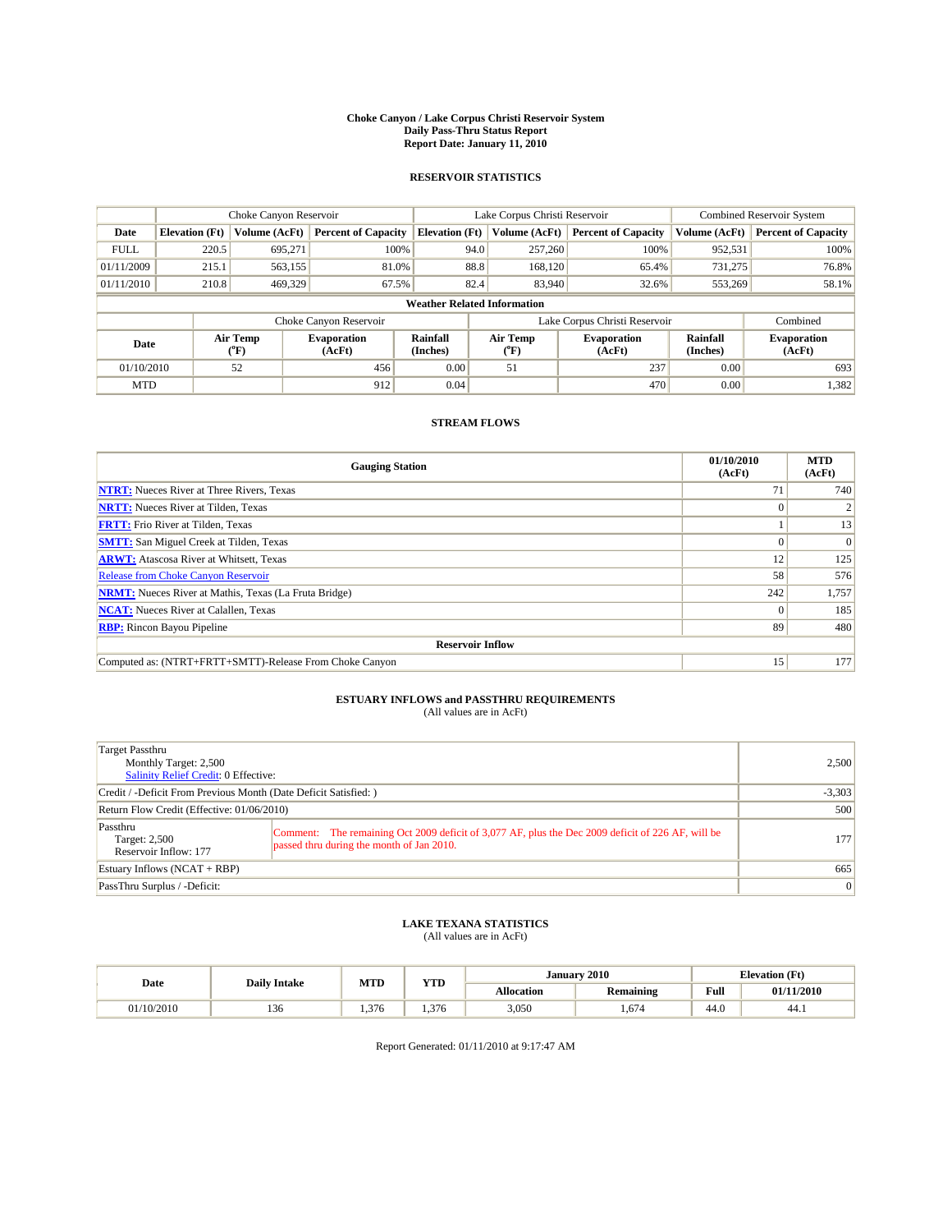#### **Choke Canyon / Lake Corpus Christi Reservoir System Daily Pass-Thru Status Report Report Date: January 11, 2010**

## **RESERVOIR STATISTICS**

|             |                       | Choke Canyon Reservoir |                              |                                    | Lake Corpus Christi Reservoir | <b>Combined Reservoir System</b>                     |               |                              |
|-------------|-----------------------|------------------------|------------------------------|------------------------------------|-------------------------------|------------------------------------------------------|---------------|------------------------------|
| Date        | <b>Elevation</b> (Ft) | <b>Volume (AcFt)</b>   | <b>Percent of Capacity</b>   | <b>Elevation</b> (Ft)              | Volume (AcFt)                 | <b>Percent of Capacity</b>                           | Volume (AcFt) | <b>Percent of Capacity</b>   |
| <b>FULL</b> | 220.5                 | 695,271                | 100%                         | 94.0                               | 257,260                       | 100%                                                 | 952,531       | 100%                         |
| 01/11/2009  | 215.1                 | 563,155                | 81.0%                        | 88.8                               | 168,120                       | 65.4%                                                | 731,275       | 76.8%                        |
| 01/11/2010  | 210.8                 | 469,329                | 67.5%                        | 82.4                               | 83,940                        | 32.6%                                                | 553,269       | 58.1%                        |
|             |                       |                        |                              | <b>Weather Related Information</b> |                               |                                                      |               |                              |
|             |                       |                        | Choke Canyon Reservoir       |                                    | Lake Corpus Christi Reservoir |                                                      |               | Combined                     |
| Date        |                       | Air Temp<br>(°F)       | <b>Evaporation</b><br>(AcFt) | <b>Rainfall</b><br>(Inches)        | Air Temp<br>(°F)              | Rainfall<br><b>Evaporation</b><br>(Inches)<br>(AcFt) |               | <b>Evaporation</b><br>(AcFt) |
| 01/10/2010  |                       | 52                     | 456                          | 0.00                               | 51                            | 237                                                  | 0.00          | 693                          |
| <b>MTD</b>  |                       |                        | 912                          | 0.04                               |                               | 470                                                  | 0.00          | 1,382                        |

## **STREAM FLOWS**

| <b>Gauging Station</b>                                       | 01/10/2010<br>(AcFt) | <b>MTD</b><br>(AcFt) |
|--------------------------------------------------------------|----------------------|----------------------|
| <b>NTRT:</b> Nueces River at Three Rivers, Texas             | 71                   | 740                  |
| <b>NRTT:</b> Nueces River at Tilden, Texas                   | $\Omega$             |                      |
| <b>FRTT:</b> Frio River at Tilden, Texas                     |                      | 13                   |
| <b>SMTT:</b> San Miguel Creek at Tilden, Texas               |                      | $\Omega$             |
| <b>ARWT:</b> Atascosa River at Whitsett, Texas               | 12                   | 125                  |
| <b>Release from Choke Canyon Reservoir</b>                   | 58                   | 576                  |
| <b>NRMT:</b> Nueces River at Mathis, Texas (La Fruta Bridge) | 242                  | 1,757                |
| <b>NCAT:</b> Nueces River at Calallen, Texas                 | $\Omega$             | 185                  |
| <b>RBP:</b> Rincon Bayou Pipeline                            | 89                   | 480                  |
| <b>Reservoir Inflow</b>                                      |                      |                      |
| Computed as: (NTRT+FRTT+SMTT)-Release From Choke Canyon      | 15 <sup>7</sup>      | 177                  |

# **ESTUARY INFLOWS and PASSTHRU REQUIREMENTS**<br>(All values are in AcFt)

| Target Passthru<br>Monthly Target: 2,500<br>Salinity Relief Credit: 0 Effective: |                                                                                                                                                | 2.500           |
|----------------------------------------------------------------------------------|------------------------------------------------------------------------------------------------------------------------------------------------|-----------------|
| Credit / -Deficit From Previous Month (Date Deficit Satisfied: )                 |                                                                                                                                                | $-3,303$        |
| Return Flow Credit (Effective: 01/06/2010)                                       |                                                                                                                                                | 500             |
| Passthru<br>Target: 2,500<br>Reservoir Inflow: 177                               | Comment: The remaining Oct 2009 deficit of 3,077 AF, plus the Dec 2009 deficit of 226 AF, will be<br>passed thru during the month of Jan 2010. | 177             |
| Estuary Inflows $(NCAT + RBP)$                                                   |                                                                                                                                                | 665             |
| PassThru Surplus / -Deficit:                                                     |                                                                                                                                                | $\vert 0 \vert$ |

# **LAKE TEXANA STATISTICS** (All values are in AcFt)

|            |                     | <b>MTD</b> | <b>YTD</b> |                   | January 2010     | <b>Elevation</b> (Ft) |            |
|------------|---------------------|------------|------------|-------------------|------------------|-----------------------|------------|
| Date       | <b>Daily Intake</b> |            |            | <b>Allocation</b> | <b>Remaining</b> | Full                  | 01/11/2010 |
| 01/10/2010 | 150                 | 1.376      | .376       | 3,050             | . . 674          | 44.0                  | 44.)       |

Report Generated: 01/11/2010 at 9:17:47 AM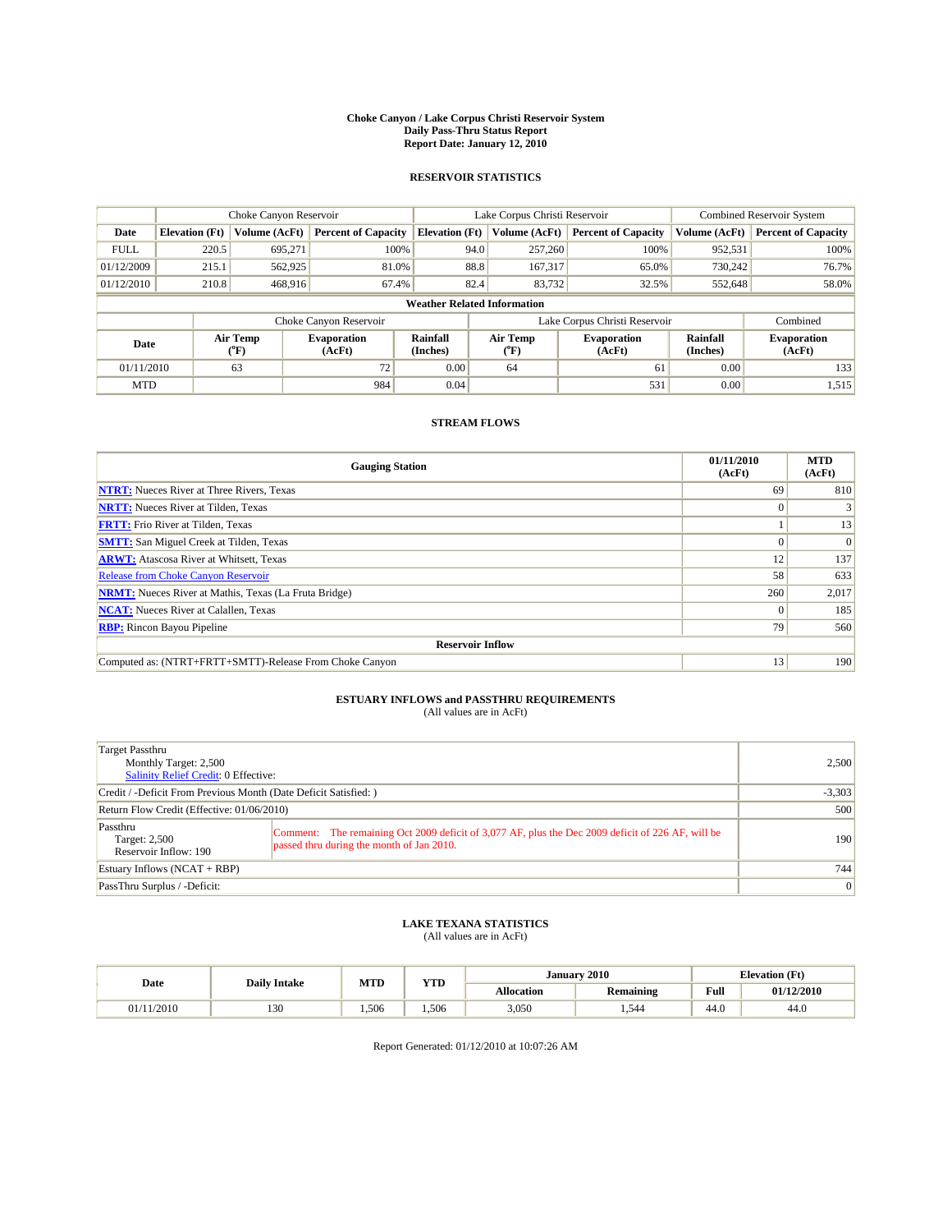#### **Choke Canyon / Lake Corpus Christi Reservoir System Daily Pass-Thru Status Report Report Date: January 12, 2010**

## **RESERVOIR STATISTICS**

|             | Choke Canyon Reservoir |                      |                              |                                    | Lake Corpus Christi Reservoir | <b>Combined Reservoir System</b>                     |               |                              |
|-------------|------------------------|----------------------|------------------------------|------------------------------------|-------------------------------|------------------------------------------------------|---------------|------------------------------|
| Date        | <b>Elevation</b> (Ft)  | <b>Volume (AcFt)</b> | <b>Percent of Capacity</b>   | <b>Elevation</b> (Ft)              | Volume (AcFt)                 | <b>Percent of Capacity</b>                           | Volume (AcFt) | <b>Percent of Capacity</b>   |
| <b>FULL</b> | 220.5                  | 695,271              | 100%                         | 94.0                               | 257,260                       | 100%                                                 | 952,531       | 100%                         |
| 01/12/2009  | 215.1                  | 562,925              | 81.0%                        | 88.8                               | 167,317                       | 65.0%                                                | 730,242       | 76.7%                        |
| 01/12/2010  | 210.8                  | 468,916              | 67.4%                        | 82.4                               | 83,732                        | 32.5%                                                | 552,648       | 58.0%                        |
|             |                        |                      |                              | <b>Weather Related Information</b> |                               |                                                      |               |                              |
|             |                        |                      | Choke Canyon Reservoir       |                                    | Lake Corpus Christi Reservoir |                                                      |               | Combined                     |
| Date        |                        | Air Temp<br>(°F)     | <b>Evaporation</b><br>(AcFt) | <b>Rainfall</b><br>(Inches)        | Air Temp<br>(°F)              | Rainfall<br><b>Evaporation</b><br>(Inches)<br>(AcFt) |               | <b>Evaporation</b><br>(AcFt) |
| 01/11/2010  |                        | 63                   | 72                           | 0.00                               | 64                            | 61                                                   | 0.00          | 133                          |
| <b>MTD</b>  |                        |                      | 984                          | 0.04                               |                               | 531                                                  | 0.00          | 1,515                        |

## **STREAM FLOWS**

| <b>Gauging Station</b>                                       | 01/11/2010<br>(AcFt) | <b>MTD</b><br>(AcFt) |
|--------------------------------------------------------------|----------------------|----------------------|
| <b>NTRT:</b> Nueces River at Three Rivers, Texas             | 69                   | 810                  |
| <b>NRTT:</b> Nueces River at Tilden, Texas                   | $\Omega$             |                      |
| <b>FRTT:</b> Frio River at Tilden, Texas                     |                      | 13                   |
| <b>SMTT:</b> San Miguel Creek at Tilden, Texas               |                      | $\Omega$             |
| <b>ARWT:</b> Atascosa River at Whitsett, Texas               | 12                   | 137                  |
| <b>Release from Choke Canyon Reservoir</b>                   | 58                   | 633                  |
| <b>NRMT:</b> Nueces River at Mathis, Texas (La Fruta Bridge) | 260                  | 2,017                |
| <b>NCAT:</b> Nueces River at Calallen, Texas                 | $\Omega$             | 185                  |
| <b>RBP:</b> Rincon Bayou Pipeline                            | 79                   | 560                  |
| <b>Reservoir Inflow</b>                                      |                      |                      |
| Computed as: (NTRT+FRTT+SMTT)-Release From Choke Canyon      | 13                   | 190                  |

# **ESTUARY INFLOWS and PASSTHRU REQUIREMENTS**<br>(All values are in AcFt)

| Target Passthru<br>Monthly Target: 2,500<br>Salinity Relief Credit: 0 Effective: |                                                                                                                                                | 2.500           |
|----------------------------------------------------------------------------------|------------------------------------------------------------------------------------------------------------------------------------------------|-----------------|
| Credit / -Deficit From Previous Month (Date Deficit Satisfied: )                 | $-3,303$                                                                                                                                       |                 |
| Return Flow Credit (Effective: 01/06/2010)                                       | 500                                                                                                                                            |                 |
| Passthru<br>Target: 2,500<br>Reservoir Inflow: 190                               | Comment: The remaining Oct 2009 deficit of 3,077 AF, plus the Dec 2009 deficit of 226 AF, will be<br>passed thru during the month of Jan 2010. | 190             |
| Estuary Inflows $(NCAT + RBP)$                                                   |                                                                                                                                                | 744             |
| PassThru Surplus / -Deficit:                                                     |                                                                                                                                                | $\vert 0 \vert$ |

# **LAKE TEXANA STATISTICS** (All values are in AcFt)

| Date       | <b>Daily Intake</b> | <b>MTD</b> | <b>YTD</b> | <b>Elevation</b> (Ft)<br>January 2010 |                  |      |            |
|------------|---------------------|------------|------------|---------------------------------------|------------------|------|------------|
|            |                     |            |            | <b>Allocation</b>                     | <b>Remaining</b> | Full | 01/12/2010 |
| 01/11/2010 | 130                 | 1.506      | 1.506      | 3,050                                 | 1.544            | 44.0 | 44.0       |

Report Generated: 01/12/2010 at 10:07:26 AM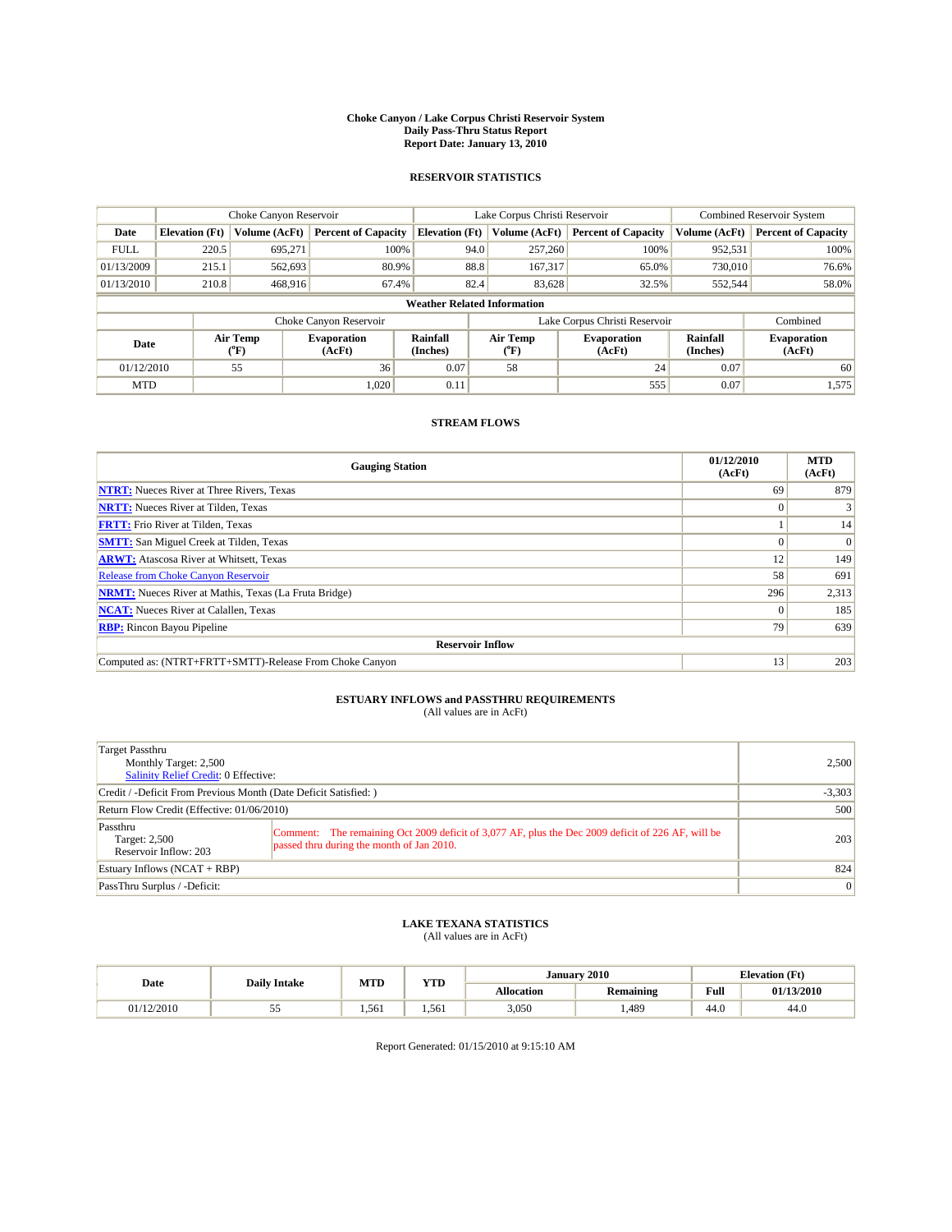#### **Choke Canyon / Lake Corpus Christi Reservoir System Daily Pass-Thru Status Report Report Date: January 13, 2010**

## **RESERVOIR STATISTICS**

|             |                       | Choke Canyon Reservoir |                              |                                    | Lake Corpus Christi Reservoir | <b>Combined Reservoir System</b> |                      |                              |
|-------------|-----------------------|------------------------|------------------------------|------------------------------------|-------------------------------|----------------------------------|----------------------|------------------------------|
| Date        | <b>Elevation</b> (Ft) | Volume (AcFt)          | <b>Percent of Capacity</b>   | <b>Elevation</b> (Ft)              | Volume (AcFt)                 | <b>Percent of Capacity</b>       | Volume (AcFt)        | <b>Percent of Capacity</b>   |
| <b>FULL</b> | 220.5                 | 695,271                | 100%                         | 94.0                               | 257,260                       | 100%                             | 952,531              | 100%                         |
| 01/13/2009  | 215.1                 | 562,693                | 80.9%                        | 88.8                               | 167,317                       | 65.0%                            | 730,010              | 76.6%                        |
| 01/13/2010  | 210.8                 | 468,916                | 67.4%                        | 82.4                               | 83,628                        | 32.5%                            | 552,544              | 58.0%                        |
|             |                       |                        |                              | <b>Weather Related Information</b> |                               |                                  |                      |                              |
|             |                       |                        | Choke Canyon Reservoir       |                                    | Lake Corpus Christi Reservoir |                                  |                      | Combined                     |
| Date        |                       | Air Temp<br>(°F)       | <b>Evaporation</b><br>(AcFt) | Rainfall<br>(Inches)               | Air Temp<br>("F)              | <b>Evaporation</b><br>(AcFt)     | Rainfall<br>(Inches) | <b>Evaporation</b><br>(AcFt) |
| 01/12/2010  |                       | 55                     | 36                           | 0.07                               | 58                            | 24                               | 0.07                 | 60                           |
| <b>MTD</b>  |                       |                        | 1.020                        | 0.11                               |                               | 555                              | 0.07                 | 1,575                        |

## **STREAM FLOWS**

| <b>Gauging Station</b>                                       | 01/12/2010<br>(AcFt) | <b>MTD</b><br>(AcFt) |
|--------------------------------------------------------------|----------------------|----------------------|
| <b>NTRT:</b> Nueces River at Three Rivers, Texas             | 69                   | 879                  |
| <b>NRTT:</b> Nueces River at Tilden, Texas                   | $\Omega$             |                      |
| <b>FRTT:</b> Frio River at Tilden, Texas                     |                      | 14                   |
| <b>SMTT:</b> San Miguel Creek at Tilden, Texas               |                      | $\Omega$             |
| <b>ARWT:</b> Atascosa River at Whitsett, Texas               | 12                   | 149                  |
| <b>Release from Choke Canyon Reservoir</b>                   | 58                   | 691                  |
| <b>NRMT:</b> Nueces River at Mathis, Texas (La Fruta Bridge) | 296                  | 2,313                |
| <b>NCAT:</b> Nueces River at Calallen, Texas                 | $\Omega$             | 185                  |
| <b>RBP:</b> Rincon Bayou Pipeline                            | 79                   | 639                  |
| <b>Reservoir Inflow</b>                                      |                      |                      |
| Computed as: (NTRT+FRTT+SMTT)-Release From Choke Canyon      | 13                   | 203                  |

# **ESTUARY INFLOWS and PASSTHRU REQUIREMENTS**

| (All values are in AcFt) |  |
|--------------------------|--|
|--------------------------|--|

| Target Passthru<br>Monthly Target: 2,500<br><b>Salinity Relief Credit: 0 Effective:</b> |                                                                                                                                                |     |  |  |
|-----------------------------------------------------------------------------------------|------------------------------------------------------------------------------------------------------------------------------------------------|-----|--|--|
| Credit / -Deficit From Previous Month (Date Deficit Satisfied: )                        |                                                                                                                                                |     |  |  |
| Return Flow Credit (Effective: 01/06/2010)                                              |                                                                                                                                                |     |  |  |
| Passthru<br>Target: 2,500<br>Reservoir Inflow: 203                                      | Comment: The remaining Oct 2009 deficit of 3,077 AF, plus the Dec 2009 deficit of 226 AF, will be<br>passed thru during the month of Jan 2010. | 203 |  |  |
| Estuary Inflows $(NCAT + RBP)$                                                          | 824                                                                                                                                            |     |  |  |
| PassThru Surplus / -Deficit:                                                            | $\vert 0 \vert$                                                                                                                                |     |  |  |

## **LAKE TEXANA STATISTICS** (All values are in AcFt)

| Date       | <b>Daily Intake</b> | MTD   | VTT<br>1 I.D | January 2010<br><b>Elevation</b> (Ft) |                  |                                             |            |
|------------|---------------------|-------|--------------|---------------------------------------|------------------|---------------------------------------------|------------|
|            |                     |       |              | <b>Allocation</b>                     | <b>Remaining</b> | Full<br>the state of the state of the state | 01/13/2010 |
| 01/12/2010 | ر. ر                | 1.561 | 1.561        | 3,050                                 | 1,489            | 44.0                                        | 44.U       |

Report Generated: 01/15/2010 at 9:15:10 AM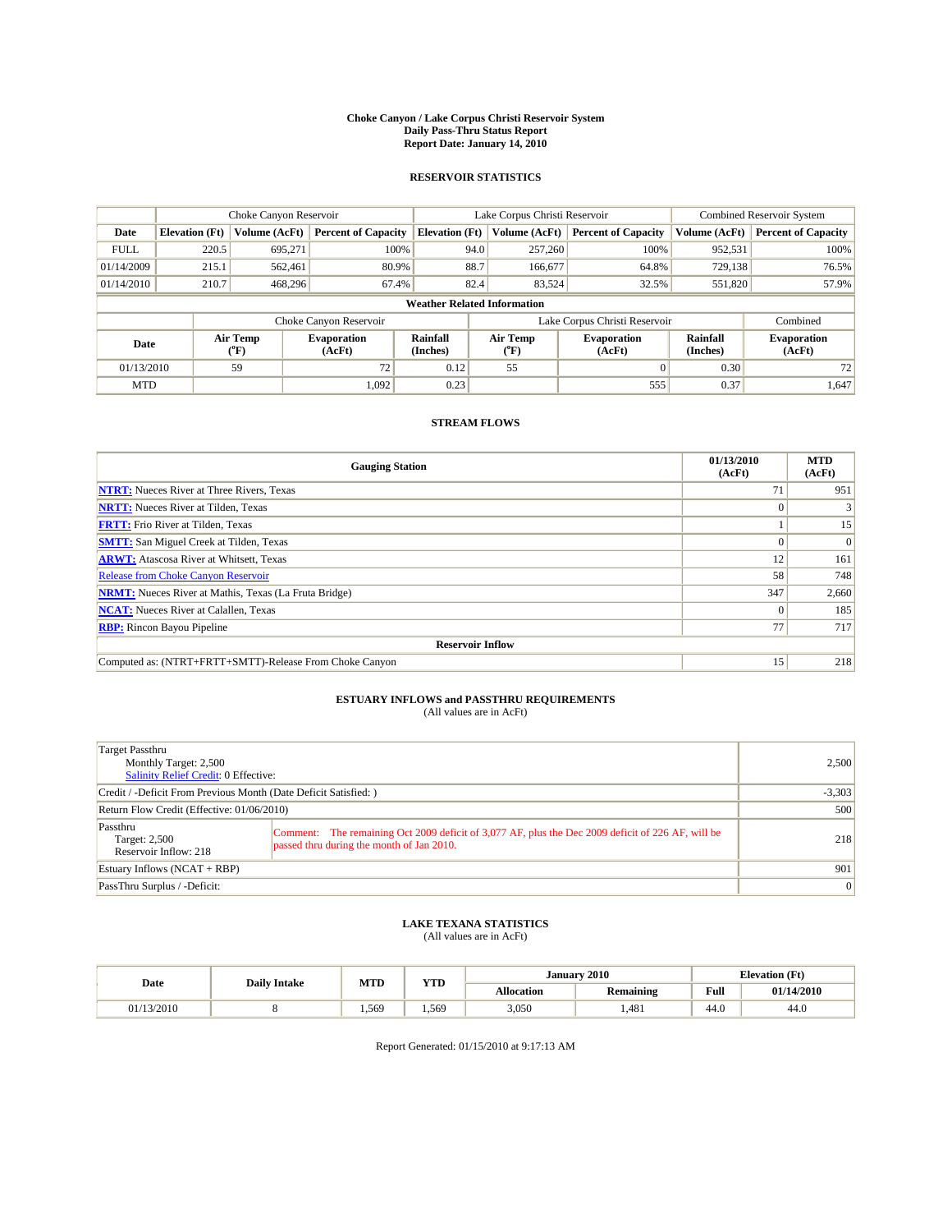#### **Choke Canyon / Lake Corpus Christi Reservoir System Daily Pass-Thru Status Report Report Date: January 14, 2010**

## **RESERVOIR STATISTICS**

|             |                       | Choke Canyon Reservoir |                              |                                    | Lake Corpus Christi Reservoir | <b>Combined Reservoir System</b> |                      |                              |
|-------------|-----------------------|------------------------|------------------------------|------------------------------------|-------------------------------|----------------------------------|----------------------|------------------------------|
| Date        | <b>Elevation</b> (Ft) | Volume (AcFt)          | <b>Percent of Capacity</b>   | <b>Elevation</b> (Ft)              | Volume (AcFt)                 | <b>Percent of Capacity</b>       | Volume (AcFt)        | <b>Percent of Capacity</b>   |
| <b>FULL</b> | 220.5                 | 695,271                | 100%                         | 94.0                               | 257,260                       | 100%                             | 952,531              | 100%                         |
| 01/14/2009  | 215.1                 | 562,461                | 80.9%                        | 88.7                               | 166,677                       | 64.8%                            | 729,138              | 76.5%                        |
| 01/14/2010  | 210.7                 | 468,296                | 67.4%                        | 82.4                               | 83,524                        | 32.5%                            | 551,820              | 57.9%                        |
|             |                       |                        |                              | <b>Weather Related Information</b> |                               |                                  |                      |                              |
|             |                       |                        | Choke Canyon Reservoir       |                                    | Lake Corpus Christi Reservoir |                                  |                      | Combined                     |
| Date        |                       | Air Temp<br>(°F)       | <b>Evaporation</b><br>(AcFt) | Rainfall<br>(Inches)               | Air Temp<br>("F)              | <b>Evaporation</b><br>(AcFt)     | Rainfall<br>(Inches) | <b>Evaporation</b><br>(AcFt) |
| 01/13/2010  |                       | 59                     | 72                           | 0.12                               | 55                            |                                  | 0.30                 | 72                           |
| <b>MTD</b>  |                       |                        | 1.092                        | 0.23                               |                               | 555                              | 0.37                 | 1,647                        |

## **STREAM FLOWS**

| <b>Gauging Station</b>                                       | 01/13/2010<br>(AcFt) | <b>MTD</b><br>(AcFt) |
|--------------------------------------------------------------|----------------------|----------------------|
| <b>NTRT:</b> Nueces River at Three Rivers, Texas             | 71                   | 951                  |
| <b>NRTT:</b> Nueces River at Tilden, Texas                   | $\theta$             |                      |
| <b>FRTT:</b> Frio River at Tilden, Texas                     |                      | 15                   |
| <b>SMTT:</b> San Miguel Creek at Tilden, Texas               |                      | $\Omega$             |
| <b>ARWT:</b> Atascosa River at Whitsett, Texas               | 12                   | 161                  |
| <b>Release from Choke Canyon Reservoir</b>                   | 58                   | 748                  |
| <b>NRMT:</b> Nueces River at Mathis, Texas (La Fruta Bridge) | 347                  | 2,660                |
| <b>NCAT:</b> Nueces River at Calallen, Texas                 | $\theta$             | 185                  |
| <b>RBP:</b> Rincon Bayou Pipeline                            | 77                   | 717                  |
| <b>Reservoir Inflow</b>                                      |                      |                      |
| Computed as: (NTRT+FRTT+SMTT)-Release From Choke Canyon      | 15 <sup>1</sup>      | 218                  |

# **ESTUARY INFLOWS and PASSTHRU REQUIREMENTS**<br>(All values are in AcFt)

| Target Passthru<br>Monthly Target: 2,500<br>Salinity Relief Credit: 0 Effective: |                                                                                                                                                | 2,500           |  |  |
|----------------------------------------------------------------------------------|------------------------------------------------------------------------------------------------------------------------------------------------|-----------------|--|--|
| Credit / -Deficit From Previous Month (Date Deficit Satisfied: )                 |                                                                                                                                                |                 |  |  |
| Return Flow Credit (Effective: 01/06/2010)                                       |                                                                                                                                                |                 |  |  |
| Passthru<br>Target: 2,500<br>Reservoir Inflow: 218                               | Comment: The remaining Oct 2009 deficit of 3,077 AF, plus the Dec 2009 deficit of 226 AF, will be<br>passed thru during the month of Jan 2010. | 218             |  |  |
| Estuary Inflows $(NCAT + RBP)$                                                   | 901                                                                                                                                            |                 |  |  |
| PassThru Surplus / -Deficit:                                                     |                                                                                                                                                | $\vert 0 \vert$ |  |  |

## **LAKE TEXANA STATISTICS** (All values are in AcFt)

|            | <b>Daily Intake</b> | <b>MTD</b> | <b>YTD</b> | January 2010<br><b>Elevation</b> (Ft) |                  |                                             |            |
|------------|---------------------|------------|------------|---------------------------------------|------------------|---------------------------------------------|------------|
| Date       |                     |            |            | <b>Allocation</b>                     | <b>Remaining</b> | Full<br>the state of the state of the state | 01/14/2010 |
| 01/13/2010 |                     | .569       | 1.569      | 3,050                                 | 1.481            | 44.0                                        | 44.0       |

Report Generated: 01/15/2010 at 9:17:13 AM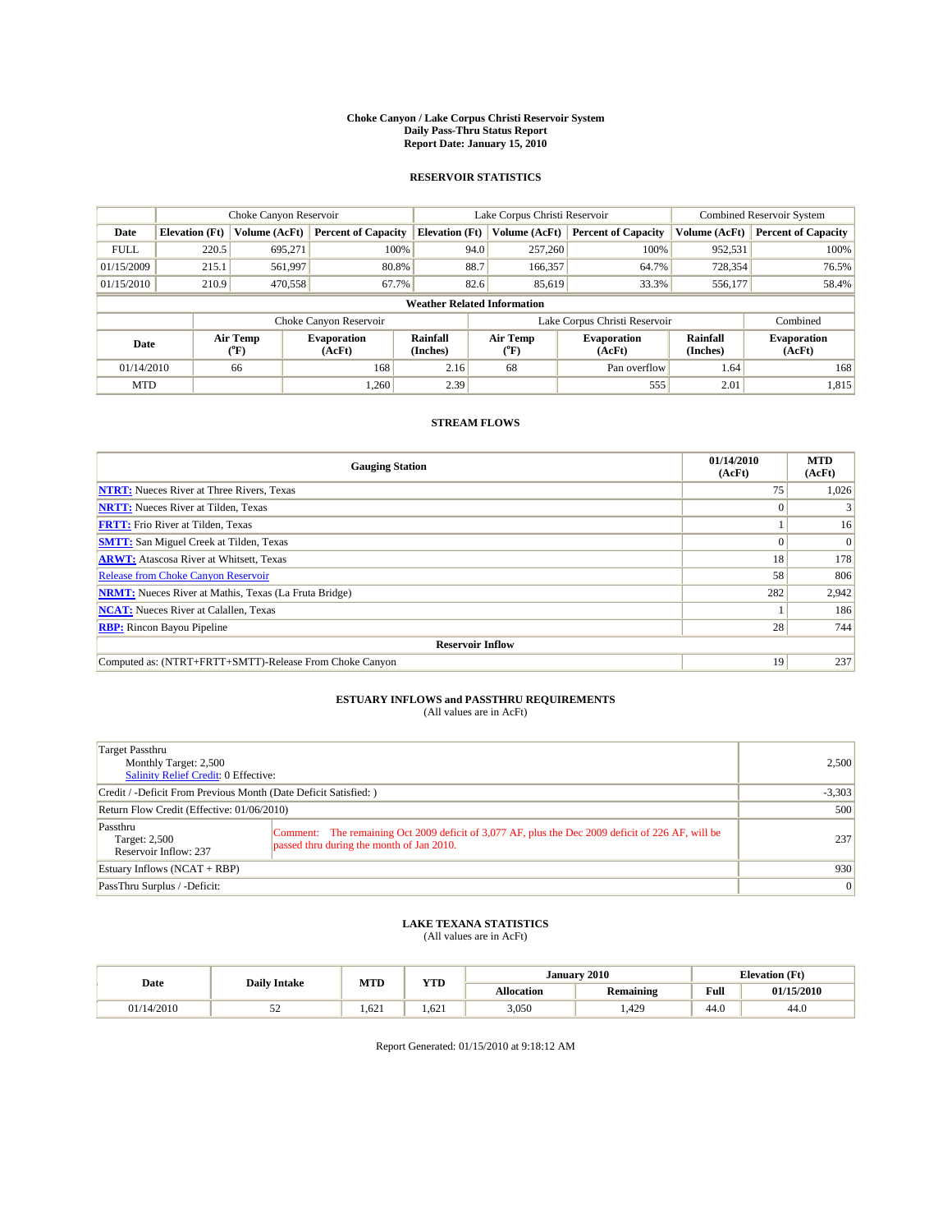#### **Choke Canyon / Lake Corpus Christi Reservoir System Daily Pass-Thru Status Report Report Date: January 15, 2010**

## **RESERVOIR STATISTICS**

|             |                       | Choke Canyon Reservoir |                              |                                    | Lake Corpus Christi Reservoir | <b>Combined Reservoir System</b> |                      |                              |
|-------------|-----------------------|------------------------|------------------------------|------------------------------------|-------------------------------|----------------------------------|----------------------|------------------------------|
| Date        | <b>Elevation</b> (Ft) | <b>Volume (AcFt)</b>   | <b>Percent of Capacity</b>   | <b>Elevation</b> (Ft)              | Volume (AcFt)                 | <b>Percent of Capacity</b>       | Volume (AcFt)        | <b>Percent of Capacity</b>   |
| <b>FULL</b> | 220.5                 | 695,271                | 100%                         | 94.0                               | 257,260                       | 100%                             | 952,531              | 100%                         |
| 01/15/2009  | 215.1                 | 561,997                | 80.8%                        | 88.7                               | 166,357                       | 64.7%                            | 728,354              | 76.5%                        |
| 01/15/2010  | 210.9                 | 470,558                | 67.7%                        | 82.6                               | 85,619                        | 33.3%                            | 556,177              | 58.4%                        |
|             |                       |                        |                              | <b>Weather Related Information</b> |                               |                                  |                      |                              |
|             |                       |                        | Choke Canyon Reservoir       |                                    | Lake Corpus Christi Reservoir |                                  |                      | Combined                     |
| Date        |                       | Air Temp<br>(°F)       | <b>Evaporation</b><br>(AcFt) | Rainfall<br>(Inches)               | Air Temp<br>("F)              | <b>Evaporation</b><br>(AcFt)     | Rainfall<br>(Inches) | <b>Evaporation</b><br>(AcFt) |
| 01/14/2010  |                       | 66                     | 168                          | 2.16                               | 68                            | Pan overflow                     | 1.64                 | 168                          |
| <b>MTD</b>  |                       |                        | 1.260                        | 2.39                               |                               | 555                              | 2.01                 | 1,815                        |

## **STREAM FLOWS**

| <b>Gauging Station</b>                                       | 01/14/2010<br>(AcFt) | <b>MTD</b><br>(AcFt) |
|--------------------------------------------------------------|----------------------|----------------------|
| <b>NTRT:</b> Nueces River at Three Rivers, Texas             | 75                   | 1,026                |
| <b>NRTT:</b> Nueces River at Tilden, Texas                   | $\Omega$             |                      |
| <b>FRTT:</b> Frio River at Tilden, Texas                     |                      | 16                   |
| <b>SMTT:</b> San Miguel Creek at Tilden, Texas               |                      | $\Omega$             |
| <b>ARWT:</b> Atascosa River at Whitsett, Texas               | 18                   | 178                  |
| <b>Release from Choke Canyon Reservoir</b>                   | 58                   | 806                  |
| <b>NRMT:</b> Nueces River at Mathis, Texas (La Fruta Bridge) | 282                  | 2,942                |
| <b>NCAT:</b> Nueces River at Calallen, Texas                 |                      | 186                  |
| <b>RBP:</b> Rincon Bayou Pipeline                            | 28                   | 744                  |
| <b>Reservoir Inflow</b>                                      |                      |                      |
| Computed as: (NTRT+FRTT+SMTT)-Release From Choke Canyon      | 19                   | 237                  |

# **ESTUARY INFLOWS and PASSTHRU REQUIREMENTS**<br>(All values are in AcFt)

| Target Passthru<br>Monthly Target: 2,500<br>Salinity Relief Credit: 0 Effective: |                                                                                                                                                |                 |  |  |  |
|----------------------------------------------------------------------------------|------------------------------------------------------------------------------------------------------------------------------------------------|-----------------|--|--|--|
| Credit / -Deficit From Previous Month (Date Deficit Satisfied: )                 |                                                                                                                                                |                 |  |  |  |
| Return Flow Credit (Effective: 01/06/2010)                                       |                                                                                                                                                |                 |  |  |  |
| Passthru<br>Target: 2,500<br>Reservoir Inflow: 237                               | Comment: The remaining Oct 2009 deficit of 3,077 AF, plus the Dec 2009 deficit of 226 AF, will be<br>passed thru during the month of Jan 2010. | 237             |  |  |  |
| Estuary Inflows (NCAT + RBP)                                                     | 930                                                                                                                                            |                 |  |  |  |
| PassThru Surplus / -Deficit:                                                     |                                                                                                                                                | $\vert 0 \vert$ |  |  |  |

## **LAKE TEXANA STATISTICS** (All values are in AcFt)

| Date       | <b>Daily Intake</b> |      | <b>YTD</b><br><b>MTD</b> |            | January 2010     | <b>Elevation</b> (Ft)                   |            |  |
|------------|---------------------|------|--------------------------|------------|------------------|-----------------------------------------|------------|--|
|            |                     |      |                          | Allocation | <b>Remaining</b> | Full<br>the contract of the contract of | 01/15/2010 |  |
| 01/14/2010 | ◡                   | .621 | 1.621                    | 3,050      | .429             | 44.0                                    | 44.0       |  |

Report Generated: 01/15/2010 at 9:18:12 AM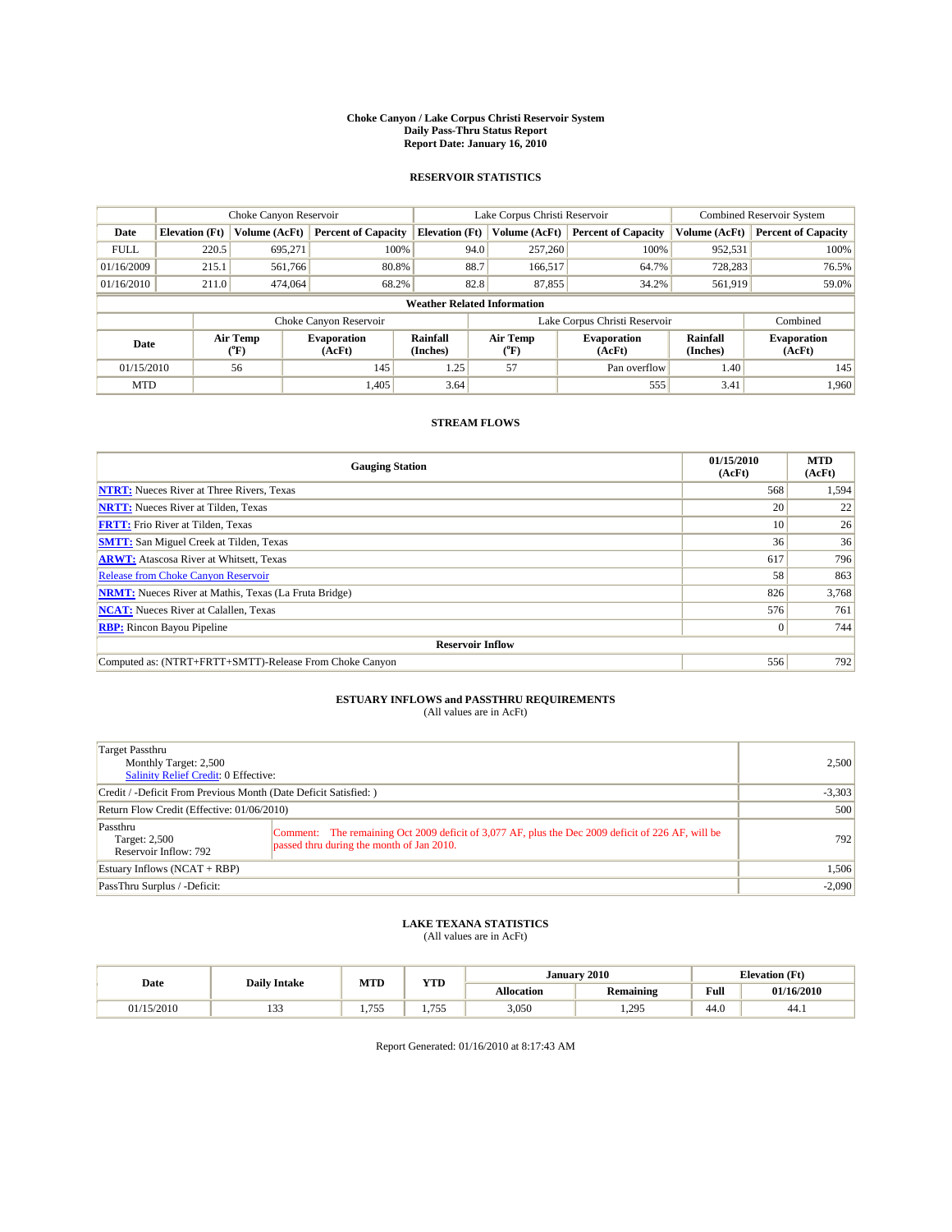#### **Choke Canyon / Lake Corpus Christi Reservoir System Daily Pass-Thru Status Report Report Date: January 16, 2010**

## **RESERVOIR STATISTICS**

|             |                       | Choke Canyon Reservoir |                              |                                    | Lake Corpus Christi Reservoir | <b>Combined Reservoir System</b> |                      |                              |
|-------------|-----------------------|------------------------|------------------------------|------------------------------------|-------------------------------|----------------------------------|----------------------|------------------------------|
| Date        | <b>Elevation</b> (Ft) | <b>Volume (AcFt)</b>   | <b>Percent of Capacity</b>   | <b>Elevation</b> (Ft)              | Volume (AcFt)                 | <b>Percent of Capacity</b>       | Volume (AcFt)        | <b>Percent of Capacity</b>   |
| <b>FULL</b> | 220.5                 | 695,271                | 100%                         | 94.0                               | 257,260                       | 100%                             | 952,531              | 100%                         |
| 01/16/2009  | 215.1                 | 561,766                | 80.8%                        | 88.7                               | 166,517                       | 64.7%                            | 728,283              | 76.5%                        |
| 01/16/2010  | 211.0                 | 474,064                | 68.2%                        | 82.8                               | 87,855                        | 34.2%                            | 561,919              | 59.0%                        |
|             |                       |                        |                              | <b>Weather Related Information</b> |                               |                                  |                      |                              |
|             |                       |                        | Choke Canyon Reservoir       |                                    | Lake Corpus Christi Reservoir |                                  |                      | Combined                     |
| Date        |                       | Air Temp<br>(°F)       | <b>Evaporation</b><br>(AcFt) | Rainfall<br>(Inches)               | Air Temp<br>("F)              | <b>Evaporation</b><br>(AcFt)     | Rainfall<br>(Inches) | <b>Evaporation</b><br>(AcFt) |
| 01/15/2010  |                       | 56                     | 145                          | 1.25                               | 57                            | Pan overflow                     | 1.40                 | 145                          |
| <b>MTD</b>  |                       |                        | 1.405                        | 3.64                               |                               | 555                              | 3.41                 | 1.960                        |

## **STREAM FLOWS**

| <b>Gauging Station</b>                                       | 01/15/2010<br>(AcFt) | <b>MTD</b><br>(AcFt) |
|--------------------------------------------------------------|----------------------|----------------------|
| <b>NTRT:</b> Nueces River at Three Rivers, Texas             | 568                  | 1,594                |
| <b>NRTT:</b> Nueces River at Tilden, Texas                   | 20                   | 22                   |
| <b>FRTT:</b> Frio River at Tilden, Texas                     | 10                   | 26                   |
| <b>SMTT:</b> San Miguel Creek at Tilden, Texas               | 36                   | 36                   |
| <b>ARWT:</b> Atascosa River at Whitsett, Texas               | 617                  | 796                  |
| <b>Release from Choke Canyon Reservoir</b>                   | 58                   | 863                  |
| <b>NRMT:</b> Nueces River at Mathis, Texas (La Fruta Bridge) | 826                  | 3,768                |
| <b>NCAT:</b> Nueces River at Calallen, Texas                 | 576                  | 761                  |
| <b>RBP:</b> Rincon Bayou Pipeline                            | $\vert 0 \vert$      | 744                  |
| <b>Reservoir Inflow</b>                                      |                      |                      |
| Computed as: (NTRT+FRTT+SMTT)-Release From Choke Canyon      | 556                  | 792                  |

# **ESTUARY INFLOWS and PASSTHRU REQUIREMENTS**<br>(All values are in AcFt)

| Target Passthru<br>Monthly Target: 2,500<br>Salinity Relief Credit: 0 Effective: |                                                                                                                                                | 2.500    |  |  |
|----------------------------------------------------------------------------------|------------------------------------------------------------------------------------------------------------------------------------------------|----------|--|--|
| Credit / -Deficit From Previous Month (Date Deficit Satisfied: )                 | $-3,303$                                                                                                                                       |          |  |  |
| Return Flow Credit (Effective: 01/06/2010)                                       |                                                                                                                                                |          |  |  |
| Passthru<br>Target: 2,500<br>Reservoir Inflow: 792                               | Comment: The remaining Oct 2009 deficit of 3,077 AF, plus the Dec 2009 deficit of 226 AF, will be<br>passed thru during the month of Jan 2010. | 792      |  |  |
| Estuary Inflows $(NCAT + RBP)$                                                   | 1,506                                                                                                                                          |          |  |  |
| PassThru Surplus / -Deficit:                                                     |                                                                                                                                                | $-2,090$ |  |  |

# **LAKE TEXANA STATISTICS** (All values are in AcFt)

| Date       |                     | <b>MTD</b>        | <b>YTD</b>              |                   | January 2010     |      | <b>Elevation (Ft)</b> |
|------------|---------------------|-------------------|-------------------------|-------------------|------------------|------|-----------------------|
|            | <b>Daily Intake</b> |                   |                         | <b>Allocation</b> | <b>Remaining</b> | Full | 01/16/2010            |
| 01/15/2010 | $\sim$<br>1 J J     | 755<br>. <i>.</i> | $- - -$<br>. . <i>.</i> | 3,050             | 295<br>1.273     | 44.0 | 44.)                  |

Report Generated: 01/16/2010 at 8:17:43 AM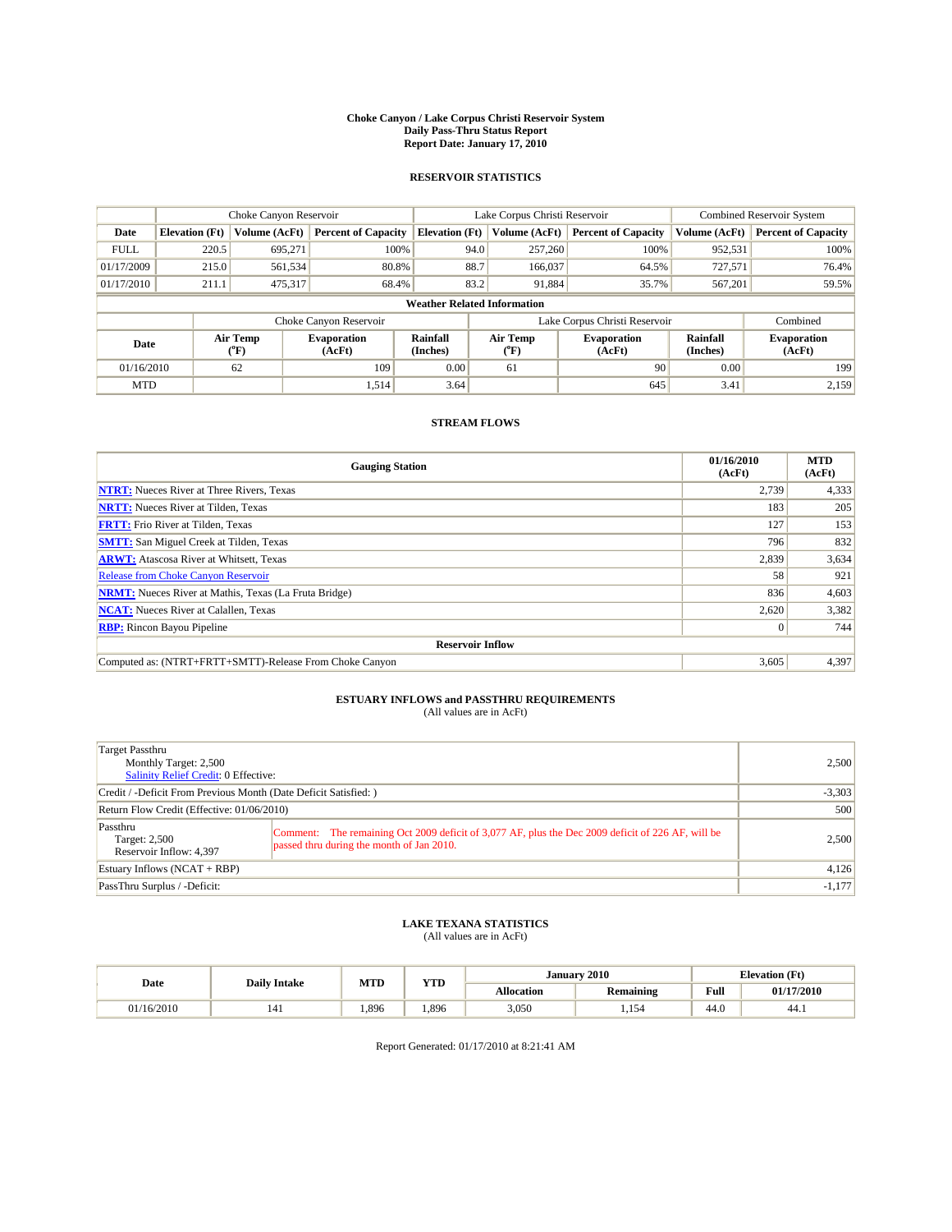#### **Choke Canyon / Lake Corpus Christi Reservoir System Daily Pass-Thru Status Report Report Date: January 17, 2010**

## **RESERVOIR STATISTICS**

|             | Choke Canyon Reservoir |                          | Lake Corpus Christi Reservoir |                                    |                               |                          | <b>Combined Reservoir System</b> |                      |                              |
|-------------|------------------------|--------------------------|-------------------------------|------------------------------------|-------------------------------|--------------------------|----------------------------------|----------------------|------------------------------|
| Date        | <b>Elevation</b> (Ft)  | Volume (AcFt)            | <b>Percent of Capacity</b>    | <b>Elevation</b> (Ft)              |                               | Volume (AcFt)            | <b>Percent of Capacity</b>       | Volume (AcFt)        | <b>Percent of Capacity</b>   |
| <b>FULL</b> | 220.5                  | 695,271                  | 100%                          |                                    | 94.0                          | 257,260                  | 100%                             | 952,531              | 100%                         |
| 01/17/2009  | 215.0                  | 561,534                  | 80.8%                         |                                    | 88.7                          | 166,037                  | 64.5%                            | 727,571              | 76.4%                        |
| 01/17/2010  | 211.1                  | 475,317                  | 68.4%                         |                                    | 83.2                          | 91,884                   | 35.7%                            | 567,201              | 59.5%                        |
|             |                        |                          |                               | <b>Weather Related Information</b> |                               |                          |                                  |                      |                              |
|             |                        |                          | Choke Canyon Reservoir        |                                    | Lake Corpus Christi Reservoir |                          |                                  | Combined             |                              |
| Date        |                        | Air Temp<br>$\rm ^{o}F)$ | <b>Evaporation</b><br>(AcFt)  | Rainfall<br>(Inches)               |                               | Air Temp<br>$\rm ^{o}F)$ | <b>Evaporation</b><br>(AcFt)     | Rainfall<br>(Inches) | <b>Evaporation</b><br>(AcFt) |
| 01/16/2010  |                        | 62                       | 109                           | 0.00                               |                               | 61                       | 90                               | 0.00                 | 199                          |
| <b>MTD</b>  |                        |                          | 1,514                         | 3.64                               |                               |                          | 645                              | 3.41                 | 2,159                        |

## **STREAM FLOWS**

| <b>Gauging Station</b>                                       | 01/16/2010<br>(AcFt) | <b>MTD</b><br>(AcFt) |
|--------------------------------------------------------------|----------------------|----------------------|
| <b>NTRT:</b> Nueces River at Three Rivers, Texas             | 2.739                | 4,333                |
| <b>NRTT:</b> Nueces River at Tilden, Texas                   | 183                  | 205                  |
| <b>FRTT:</b> Frio River at Tilden, Texas                     | 127                  | 153                  |
| <b>SMTT:</b> San Miguel Creek at Tilden, Texas               | 796                  | 832                  |
| <b>ARWT:</b> Atascosa River at Whitsett, Texas               | 2,839                | 3,634                |
| <b>Release from Choke Canyon Reservoir</b>                   | 58                   | 921                  |
| <b>NRMT:</b> Nueces River at Mathis, Texas (La Fruta Bridge) | 836                  | 4,603                |
| <b>NCAT:</b> Nueces River at Calallen, Texas                 | 2,620                | 3,382                |
| <b>RBP:</b> Rincon Bayou Pipeline                            | $\vert 0 \vert$      | 744                  |
| <b>Reservoir Inflow</b>                                      |                      |                      |
| Computed as: (NTRT+FRTT+SMTT)-Release From Choke Canyon      | 3,605                | 4,397                |

# **ESTUARY INFLOWS and PASSTHRU REQUIREMENTS**<br>(All values are in AcFt)

| Target Passthru<br>Monthly Target: 2,500<br>Salinity Relief Credit: 0 Effective: |                                                                                                                                                | 2.500    |  |
|----------------------------------------------------------------------------------|------------------------------------------------------------------------------------------------------------------------------------------------|----------|--|
| Credit / -Deficit From Previous Month (Date Deficit Satisfied: )                 | $-3,303$                                                                                                                                       |          |  |
| Return Flow Credit (Effective: 01/06/2010)                                       |                                                                                                                                                |          |  |
| Passthru<br>Target: 2,500<br>Reservoir Inflow: 4,397                             | Comment: The remaining Oct 2009 deficit of 3,077 AF, plus the Dec 2009 deficit of 226 AF, will be<br>passed thru during the month of Jan 2010. | 2,500    |  |
| Estuary Inflows $(NCAT + RBP)$                                                   | 4,126                                                                                                                                          |          |  |
| PassThru Surplus / -Deficit:                                                     |                                                                                                                                                | $-1,177$ |  |

# **LAKE TEXANA STATISTICS** (All values are in AcFt)

| Date       | <b>Daily Intake</b> | <b>MTD</b> | <b>YTD</b> |                   | January 2010     |      | <b>Elevation (Ft)</b> |
|------------|---------------------|------------|------------|-------------------|------------------|------|-----------------------|
|            |                     |            |            | <b>Allocation</b> | <b>Remaining</b> | Full | 01/17/2010            |
| 01/16/2010 |                     | 1.896      | .896       | 3,050             | 1.154            | 44.0 | -44.1                 |

Report Generated: 01/17/2010 at 8:21:41 AM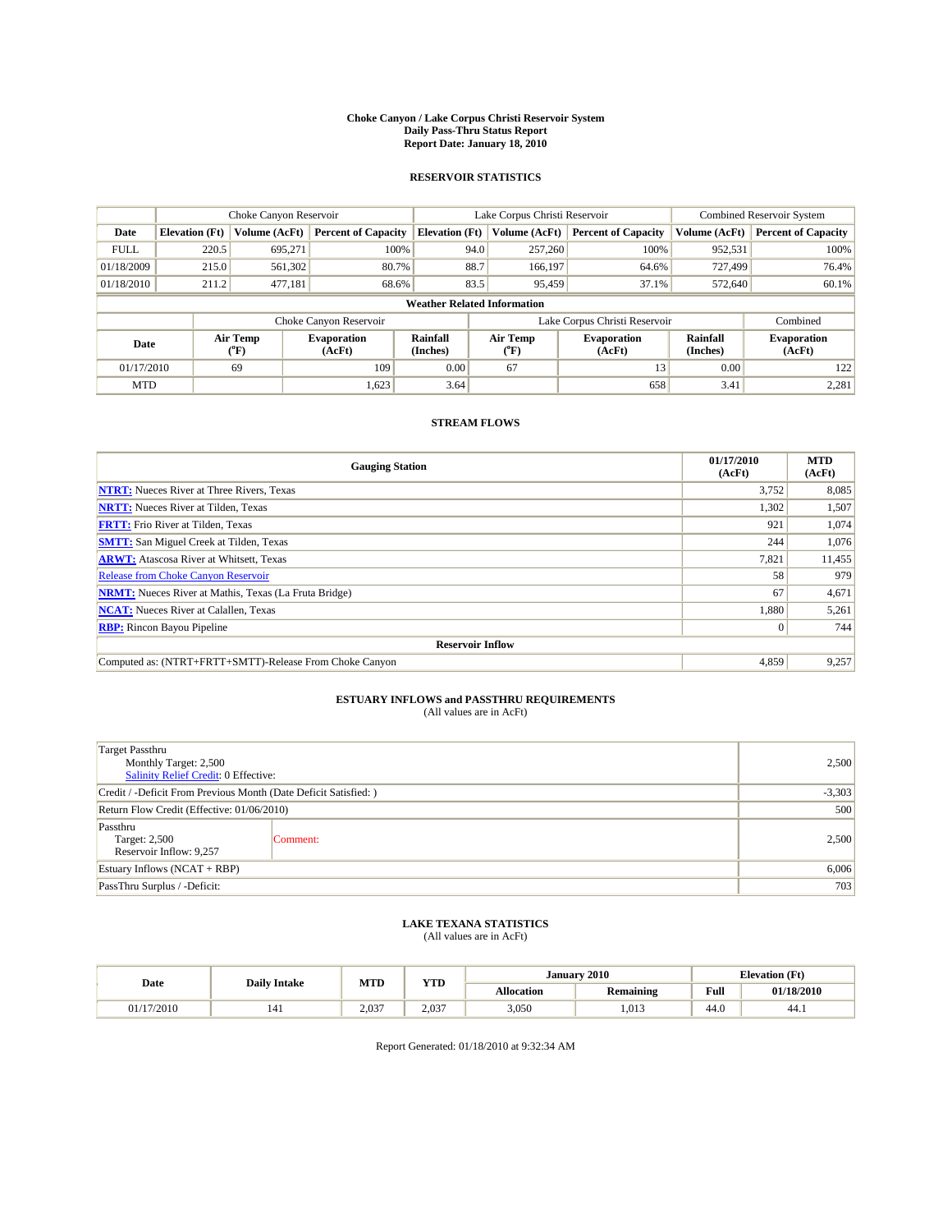#### **Choke Canyon / Lake Corpus Christi Reservoir System Daily Pass-Thru Status Report Report Date: January 18, 2010**

## **RESERVOIR STATISTICS**

|             |                       | Choke Canyon Reservoir |                              |                                    | Lake Corpus Christi Reservoir | <b>Combined Reservoir System</b> |                      |                              |
|-------------|-----------------------|------------------------|------------------------------|------------------------------------|-------------------------------|----------------------------------|----------------------|------------------------------|
| Date        | <b>Elevation</b> (Ft) | <b>Volume (AcFt)</b>   | <b>Percent of Capacity</b>   | <b>Elevation</b> (Ft)              | Volume (AcFt)                 | <b>Percent of Capacity</b>       | Volume (AcFt)        | <b>Percent of Capacity</b>   |
| <b>FULL</b> | 220.5                 | 695,271                | 100%                         | 94.0                               | 257,260                       | 100%                             | 952,531              | 100%                         |
| 01/18/2009  | 215.0                 | 561,302                | 80.7%                        | 88.7                               | 166,197                       | 64.6%                            | 727.499              | 76.4%                        |
| 01/18/2010  | 211.2                 | 477,181                | 68.6%                        | 83.5                               | 95,459                        | 37.1%                            | 572,640              | 60.1%                        |
|             |                       |                        |                              | <b>Weather Related Information</b> |                               |                                  |                      |                              |
|             |                       |                        | Choke Canyon Reservoir       |                                    | Lake Corpus Christi Reservoir |                                  |                      | Combined                     |
| Date        |                       | Air Temp<br>(°F)       | <b>Evaporation</b><br>(AcFt) | <b>Rainfall</b><br>(Inches)        | Air Temp<br>(°F)              | <b>Evaporation</b><br>(AcFt)     | Rainfall<br>(Inches) | <b>Evaporation</b><br>(AcFt) |
| 01/17/2010  |                       | 69                     | 109                          | 0.00                               | 67                            | 13                               | 0.00                 | 122                          |
| <b>MTD</b>  |                       |                        | 1,623                        | 3.64                               |                               | 658                              | 3.41                 | 2,281                        |

## **STREAM FLOWS**

| <b>Gauging Station</b>                                       | 01/17/2010<br>(AcFt) | <b>MTD</b><br>(AcFt) |
|--------------------------------------------------------------|----------------------|----------------------|
| <b>NTRT:</b> Nueces River at Three Rivers, Texas             | 3,752                | 8,085                |
| <b>NRTT:</b> Nueces River at Tilden, Texas                   | 1,302                | 1,507                |
| <b>FRTT:</b> Frio River at Tilden, Texas                     | 921                  | 1,074                |
| <b>SMTT:</b> San Miguel Creek at Tilden, Texas               | 244                  | 1,076                |
| <b>ARWT:</b> Atascosa River at Whitsett, Texas               | 7,821                | 11,455               |
| <b>Release from Choke Canyon Reservoir</b>                   | 58                   | 979                  |
| <b>NRMT:</b> Nueces River at Mathis, Texas (La Fruta Bridge) | 67                   | 4,671                |
| <b>NCAT:</b> Nueces River at Calallen, Texas                 | 1,880                | 5,261                |
| <b>RBP:</b> Rincon Bayou Pipeline                            | $\vert 0 \vert$      | 744                  |
| <b>Reservoir Inflow</b>                                      |                      |                      |
| Computed as: (NTRT+FRTT+SMTT)-Release From Choke Canyon      | 4,859                | 9,257                |

# **ESTUARY INFLOWS and PASSTHRU REQUIREMENTS**

|  | (All values are in AcFt) |
|--|--------------------------|
|--|--------------------------|

| <b>Target Passthru</b><br>Monthly Target: 2,500<br>Salinity Relief Credit: 0 Effective: | 2,500    |       |
|-----------------------------------------------------------------------------------------|----------|-------|
| Credit / -Deficit From Previous Month (Date Deficit Satisfied: )                        | $-3,303$ |       |
| Return Flow Credit (Effective: 01/06/2010)                                              | 500      |       |
| Passthru<br>Target: 2,500<br>Reservoir Inflow: 9,257                                    | Comment: | 2,500 |
| Estuary Inflows (NCAT + RBP)                                                            | 6,006    |       |
| PassThru Surplus / -Deficit:                                                            |          | 703   |

## **LAKE TEXANA STATISTICS** (All values are in AcFt)

|            | <b>Daily Intake</b> | MTD   | <b>XZOD</b><br>1 I.D | January 2010<br><b>Elevation</b> (Ft) |                  |                                         |            |
|------------|---------------------|-------|----------------------|---------------------------------------|------------------|-----------------------------------------|------------|
| Date       |                     |       |                      | <b>Allocation</b>                     | <b>Remaining</b> | Full<br>the contract of the contract of | 01/18/2010 |
| 01/17/2010 | 141                 | 2.037 | 2.037                | 3.050                                 | 1,013            | 44.0                                    | 44.1       |

Report Generated: 01/18/2010 at 9:32:34 AM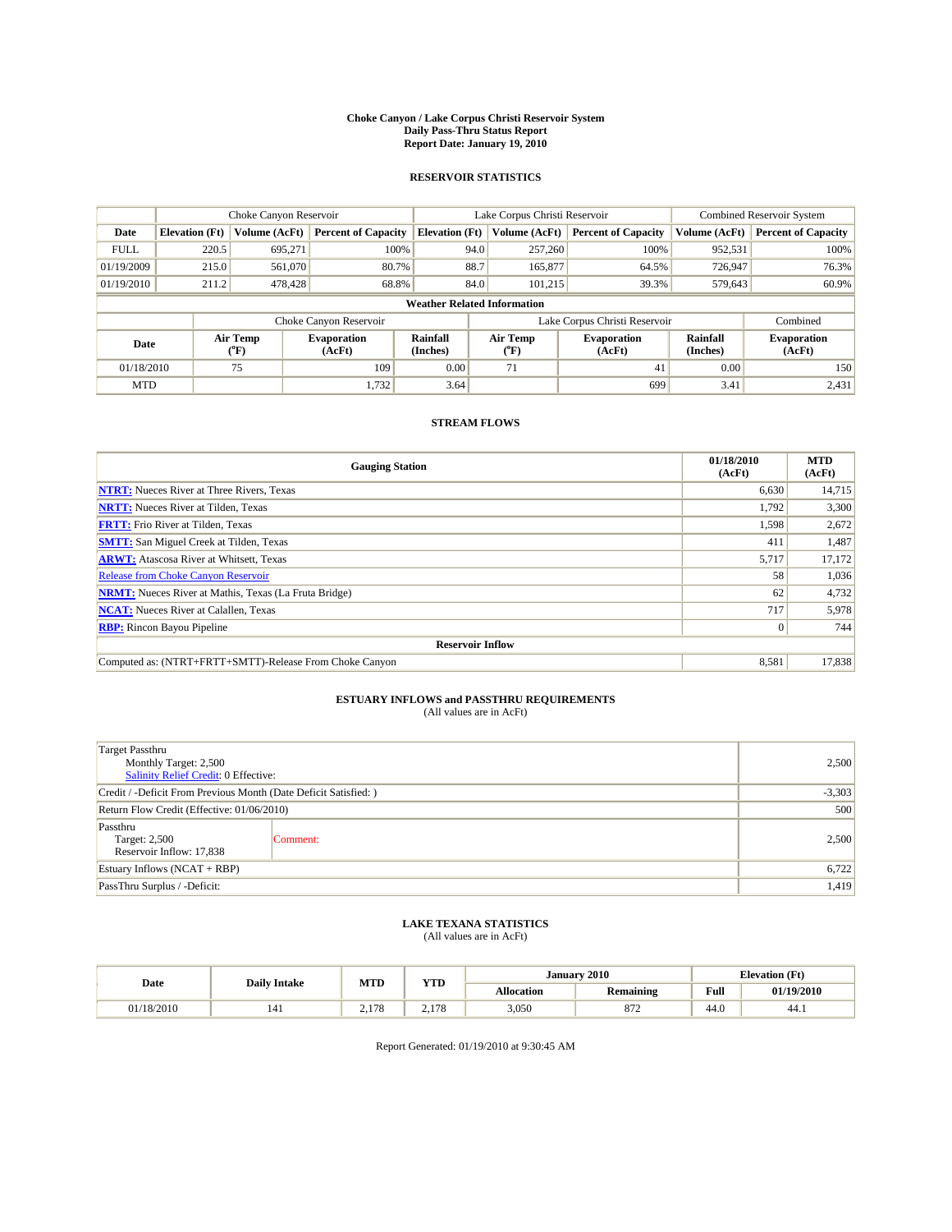#### **Choke Canyon / Lake Corpus Christi Reservoir System Daily Pass-Thru Status Report Report Date: January 19, 2010**

## **RESERVOIR STATISTICS**

|             | Choke Canyon Reservoir |                      |                              |                                    | Lake Corpus Christi Reservoir | <b>Combined Reservoir System</b> |                      |                              |
|-------------|------------------------|----------------------|------------------------------|------------------------------------|-------------------------------|----------------------------------|----------------------|------------------------------|
| Date        | <b>Elevation</b> (Ft)  | <b>Volume (AcFt)</b> | <b>Percent of Capacity</b>   | <b>Elevation</b> (Ft)              | Volume (AcFt)                 | <b>Percent of Capacity</b>       | Volume (AcFt)        | <b>Percent of Capacity</b>   |
| <b>FULL</b> | 220.5                  | 695,271              | 100%                         | 94.0                               | 257,260                       | 100%                             | 952,531              | 100%                         |
| 01/19/2009  | 215.0                  | 561,070              | 80.7%                        | 88.7                               | 165,877                       | 64.5%                            | 726,947              | 76.3%                        |
| 01/19/2010  | 211.2                  | 478,428              | 68.8%                        | 84.0                               | 101.215                       | 39.3%                            | 579,643              | 60.9%                        |
|             |                        |                      |                              | <b>Weather Related Information</b> |                               |                                  |                      |                              |
|             |                        |                      | Choke Canyon Reservoir       |                                    | Lake Corpus Christi Reservoir |                                  |                      | Combined                     |
| Date        |                        | Air Temp<br>(°F)     | <b>Evaporation</b><br>(AcFt) | <b>Rainfall</b><br>(Inches)        | Air Temp<br>(°F)              | <b>Evaporation</b><br>(AcFt)     | Rainfall<br>(Inches) | <b>Evaporation</b><br>(AcFt) |
| 01/18/2010  |                        | 75                   | 109                          | 0.00                               | 71                            | 41                               | 0.00                 | 150                          |
| <b>MTD</b>  |                        |                      | 1,732                        | 3.64                               |                               | 699                              | 3.41                 | 2,431                        |

## **STREAM FLOWS**

| <b>Gauging Station</b>                                       | 01/18/2010<br>(AcFt) | <b>MTD</b><br>(AcFt) |  |  |  |  |
|--------------------------------------------------------------|----------------------|----------------------|--|--|--|--|
| <b>NTRT:</b> Nueces River at Three Rivers, Texas             | 6,630                | 14,715               |  |  |  |  |
| <b>NRTT:</b> Nueces River at Tilden, Texas                   | 1,792                | 3,300                |  |  |  |  |
| <b>FRTT:</b> Frio River at Tilden, Texas                     | 1,598                | 2,672                |  |  |  |  |
| <b>SMTT:</b> San Miguel Creek at Tilden, Texas               | 411                  | 1,487                |  |  |  |  |
| <b>ARWT:</b> Atascosa River at Whitsett, Texas               | 5,717                | 17,172               |  |  |  |  |
| <b>Release from Choke Canyon Reservoir</b>                   | 58                   | 1,036                |  |  |  |  |
| <b>NRMT:</b> Nueces River at Mathis, Texas (La Fruta Bridge) | 62                   | 4,732                |  |  |  |  |
| <b>NCAT:</b> Nueces River at Calallen, Texas                 | 717                  | 5,978                |  |  |  |  |
| <b>RBP:</b> Rincon Bayou Pipeline                            | $\overline{0}$       | 744                  |  |  |  |  |
| <b>Reservoir Inflow</b>                                      |                      |                      |  |  |  |  |
| Computed as: (NTRT+FRTT+SMTT)-Release From Choke Canyon      | 8,581                | 17,838               |  |  |  |  |

# **ESTUARY INFLOWS and PASSTHRU REQUIREMENTS**<br>(All values are in AcFt)

| <b>Target Passthru</b><br>Monthly Target: 2,500<br><b>Salinity Relief Credit: 0 Effective:</b> | 2,500    |       |
|------------------------------------------------------------------------------------------------|----------|-------|
| Credit / -Deficit From Previous Month (Date Deficit Satisfied: )                               | $-3,303$ |       |
| Return Flow Credit (Effective: 01/06/2010)                                                     | 500      |       |
| Passthru<br>Target: 2,500<br>Reservoir Inflow: 17,838                                          | Comment: | 2,500 |
| Estuary Inflows $(NCAT + RBP)$                                                                 | 6,722    |       |
| PassThru Surplus / -Deficit:                                                                   |          | 1,419 |

## **LAKE TEXANA STATISTICS** (All values are in AcFt)

| <b>Daily Intake</b> |  | <b>MTD</b>                   | <b>YTD</b>                   | January 2010<br><b>Elevation (Ft)</b> |                  |      |            |
|---------------------|--|------------------------------|------------------------------|---------------------------------------|------------------|------|------------|
| Date                |  |                              |                              | <b>Allocation</b>                     | <b>Remaining</b> | Full | 01/19/2010 |
| 01/18/2010          |  | 170<br>$10^{-1}$<br>$\sim$ 1 | 170<br>$10^{-1}$<br><u>.</u> | 3,050                                 | 072<br>O/L       | 44.0 | 44.1       |

Report Generated: 01/19/2010 at 9:30:45 AM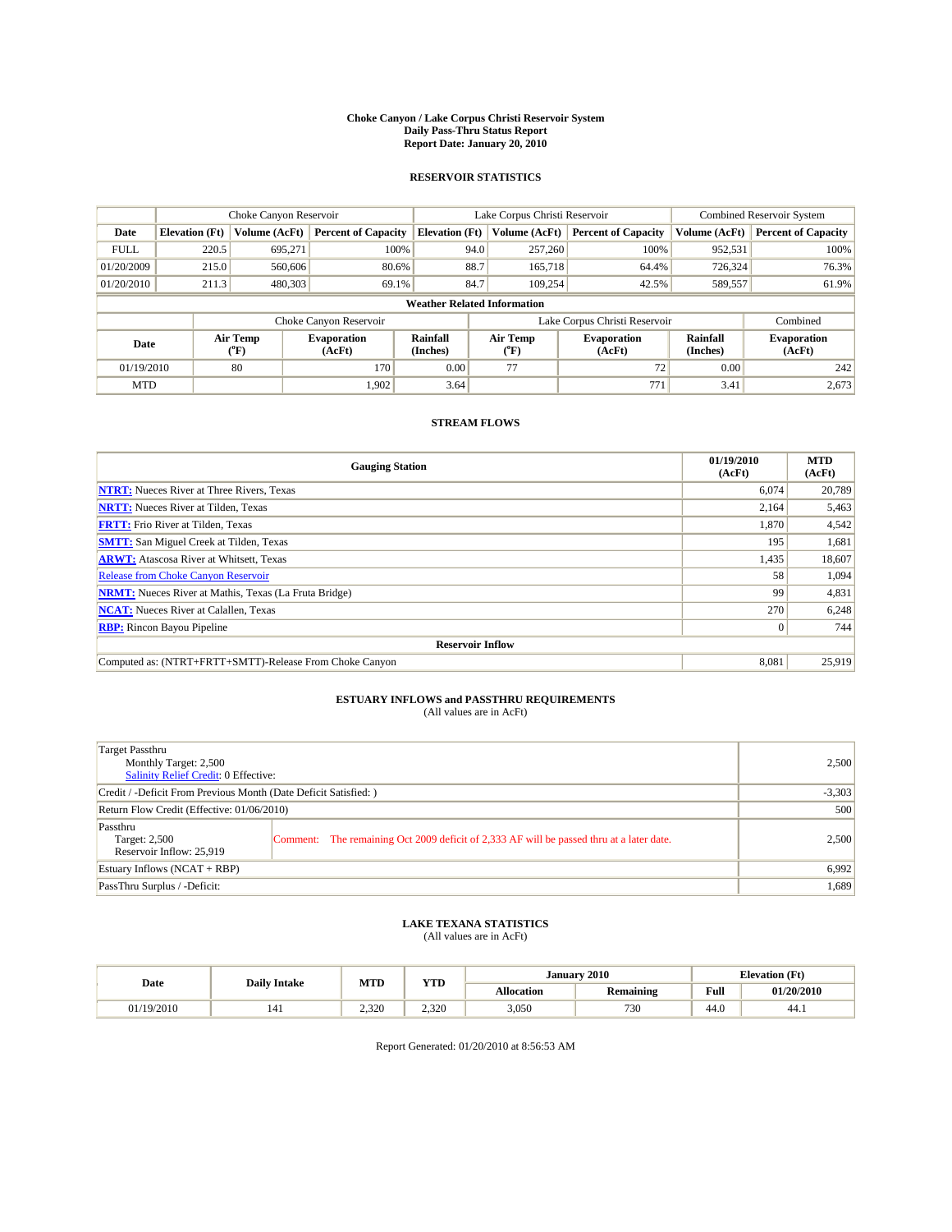#### **Choke Canyon / Lake Corpus Christi Reservoir System Daily Pass-Thru Status Report Report Date: January 20, 2010**

## **RESERVOIR STATISTICS**

|             | Choke Canyon Reservoir |                  |                              |                                    | Lake Corpus Christi Reservoir | <b>Combined Reservoir System</b> |                      |                              |
|-------------|------------------------|------------------|------------------------------|------------------------------------|-------------------------------|----------------------------------|----------------------|------------------------------|
| Date        | <b>Elevation</b> (Ft)  | Volume (AcFt)    | <b>Percent of Capacity</b>   | <b>Elevation</b> (Ft)              | Volume (AcFt)                 | <b>Percent of Capacity</b>       | Volume (AcFt)        | <b>Percent of Capacity</b>   |
| <b>FULL</b> | 220.5                  | 695,271          | 100%                         | 94.0                               | 257,260                       | 100%                             | 952,531              | 100%                         |
| 01/20/2009  | 215.0                  | 560,606          | 80.6%                        | 88.7                               | 165,718                       | 64.4%                            | 726,324              | 76.3%                        |
| 01/20/2010  | 211.3                  | 480,303          | 69.1%                        | 84.7                               | 109,254                       | 42.5%                            | 589,557              | 61.9%                        |
|             |                        |                  |                              | <b>Weather Related Information</b> |                               |                                  |                      |                              |
|             |                        |                  | Choke Canyon Reservoir       |                                    | Lake Corpus Christi Reservoir |                                  |                      | Combined                     |
| Date        |                        | Air Temp<br>(°F) | <b>Evaporation</b><br>(AcFt) | Rainfall<br>(Inches)               | Air Temp<br>("F)              | <b>Evaporation</b><br>(AcFt)     | Rainfall<br>(Inches) | <b>Evaporation</b><br>(AcFt) |
| 01/19/2010  |                        | 80               | 170                          | 0.00                               | 77                            | 72                               | 0.00                 | 242                          |
| <b>MTD</b>  |                        |                  | 1,902                        | 3.64                               |                               | 771                              | 3.41                 | 2,673                        |

## **STREAM FLOWS**

| <b>Gauging Station</b>                                       | 01/19/2010<br>(AcFt) | <b>MTD</b><br>(AcFt) |  |  |  |  |
|--------------------------------------------------------------|----------------------|----------------------|--|--|--|--|
| <b>NTRT:</b> Nueces River at Three Rivers, Texas             | 6.074                | 20,789               |  |  |  |  |
| <b>NRTT:</b> Nueces River at Tilden, Texas                   | 2,164                | 5,463                |  |  |  |  |
| <b>FRTT:</b> Frio River at Tilden, Texas                     | 1,870                | 4,542                |  |  |  |  |
| <b>SMTT:</b> San Miguel Creek at Tilden, Texas               | 195                  | 1,681                |  |  |  |  |
| <b>ARWT:</b> Atascosa River at Whitsett, Texas               | 1,435                | 18,607               |  |  |  |  |
| <b>Release from Choke Canyon Reservoir</b>                   | 58                   | 1,094                |  |  |  |  |
| <b>NRMT:</b> Nueces River at Mathis, Texas (La Fruta Bridge) | 99                   | 4,831                |  |  |  |  |
| <b>NCAT:</b> Nueces River at Calallen, Texas                 | 270                  | 6,248                |  |  |  |  |
| <b>RBP:</b> Rincon Bayou Pipeline                            | $\vert 0 \vert$      | 744                  |  |  |  |  |
| <b>Reservoir Inflow</b>                                      |                      |                      |  |  |  |  |
| Computed as: (NTRT+FRTT+SMTT)-Release From Choke Canyon      | 8,081                | 25,919               |  |  |  |  |

# **ESTUARY INFLOWS and PASSTHRU REQUIREMENTS**<br>(All values are in AcFt)

| Target Passthru<br>Monthly Target: 2,500<br>Salinity Relief Credit: 0 Effective: |                                                                                          | 2,500 |  |  |  |
|----------------------------------------------------------------------------------|------------------------------------------------------------------------------------------|-------|--|--|--|
| Credit / -Deficit From Previous Month (Date Deficit Satisfied: )                 |                                                                                          |       |  |  |  |
| Return Flow Credit (Effective: 01/06/2010)                                       |                                                                                          |       |  |  |  |
| Passthru<br>Target: 2,500<br>Reservoir Inflow: 25,919                            | Comment: The remaining Oct 2009 deficit of 2,333 AF will be passed thru at a later date. | 2.500 |  |  |  |
| Estuary Inflows (NCAT + RBP)                                                     | 6,992                                                                                    |       |  |  |  |
| PassThru Surplus / -Deficit:                                                     |                                                                                          | 1,689 |  |  |  |

# **LAKE TEXANA STATISTICS** (All values are in AcFt)

| <b>Daily Intake</b> |     | MTD             | <b>XZOD</b> | January 2010<br><b>Elevation</b> (Ft) |                  |                                         |            |
|---------------------|-----|-----------------|-------------|---------------------------------------|------------------|-----------------------------------------|------------|
| Date                |     |                 | .           | <b>Allocation</b>                     | <b>Remaining</b> | Full<br>the contract of the contract of | 01/20/2010 |
| 01/19/2010          | 141 | 0.220<br>ں ے دے | 2.320       | 3.050                                 | 730              | 44.0                                    | -44.1      |

Report Generated: 01/20/2010 at 8:56:53 AM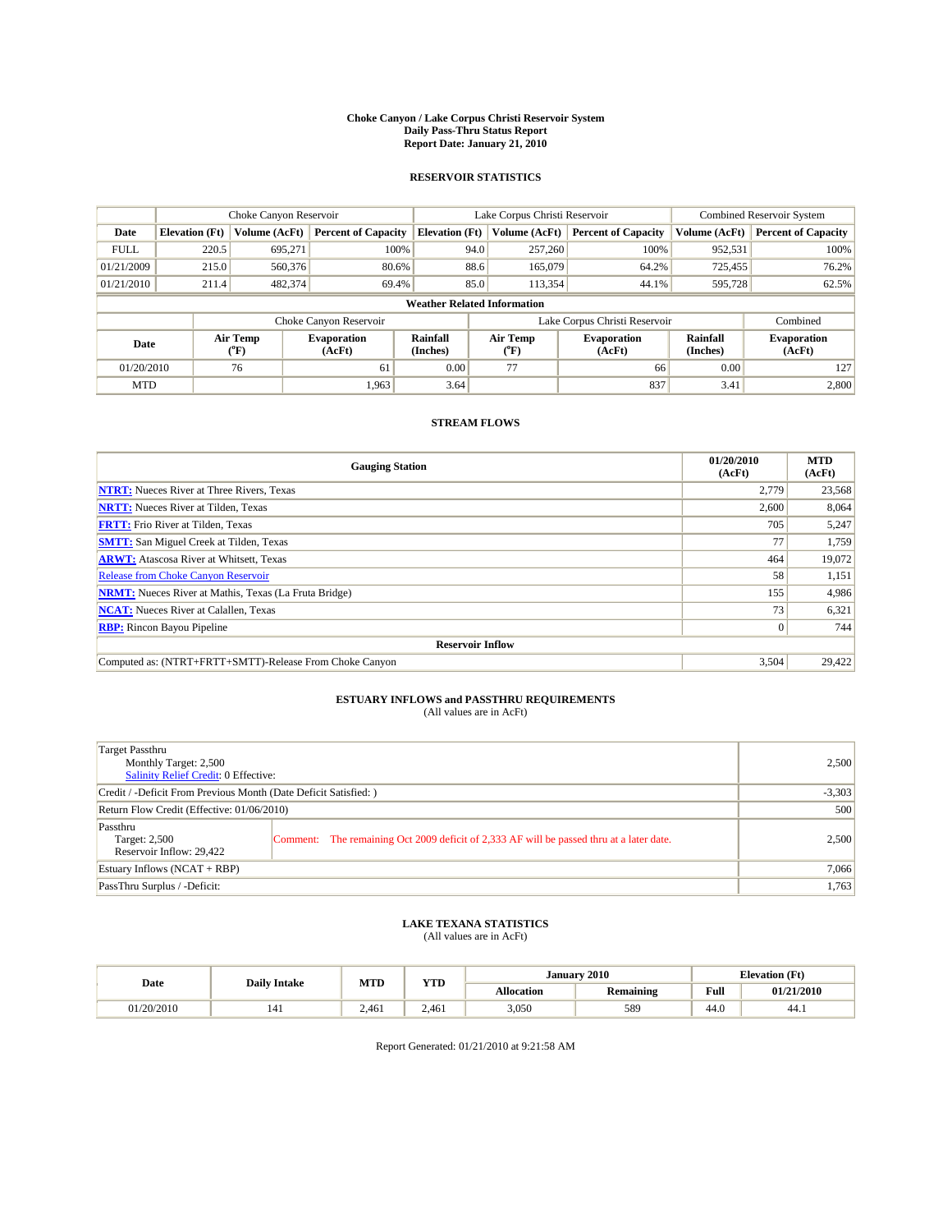#### **Choke Canyon / Lake Corpus Christi Reservoir System Daily Pass-Thru Status Report Report Date: January 21, 2010**

## **RESERVOIR STATISTICS**

|             | Choke Canyon Reservoir |                  |                              |                                    | Lake Corpus Christi Reservoir        | <b>Combined Reservoir System</b> |                      |                              |
|-------------|------------------------|------------------|------------------------------|------------------------------------|--------------------------------------|----------------------------------|----------------------|------------------------------|
| Date        | <b>Elevation</b> (Ft)  | Volume (AcFt)    | <b>Percent of Capacity</b>   | <b>Elevation</b> (Ft)              | Volume (AcFt)                        | <b>Percent of Capacity</b>       | Volume (AcFt)        | <b>Percent of Capacity</b>   |
| <b>FULL</b> | 220.5                  | 695,271          | 100%                         | 94.0                               | 257,260                              | 100%                             | 952,531              | 100%                         |
| 01/21/2009  | 215.0                  | 560,376          | 80.6%                        | 88.6                               | 165,079                              | 64.2%                            | 725,455              | 76.2%                        |
| 01/21/2010  | 211.4                  | 482,374          | 69.4%                        | 85.0                               | 113,354                              | 44.1%                            | 595,728              | 62.5%                        |
|             |                        |                  |                              | <b>Weather Related Information</b> |                                      |                                  |                      |                              |
|             |                        |                  | Choke Canyon Reservoir       |                                    | Lake Corpus Christi Reservoir        |                                  |                      | Combined                     |
| Date        |                        | Air Temp<br>(°F) | <b>Evaporation</b><br>(AcFt) | Rainfall<br>(Inches)               | Air Temp<br>$^{\prime\prime} \rm{F}$ | <b>Evaporation</b><br>(AcFt)     | Rainfall<br>(Inches) | <b>Evaporation</b><br>(AcFt) |
| 01/20/2010  |                        | 76               | 61                           | 0.00                               | 77                                   | 66                               | 0.00                 | 127                          |
| <b>MTD</b>  |                        |                  | 1.963                        | 3.64                               |                                      | 837                              | 3.41                 | 2,800                        |

## **STREAM FLOWS**

| <b>Gauging Station</b>                                       | 01/20/2010<br>(AcFt) | <b>MTD</b><br>(AcFt) |
|--------------------------------------------------------------|----------------------|----------------------|
| <b>NTRT:</b> Nueces River at Three Rivers, Texas             | 2.779                | 23,568               |
| <b>NRTT:</b> Nueces River at Tilden, Texas                   | 2,600                | 8,064                |
| <b>FRTT:</b> Frio River at Tilden, Texas                     | 705                  | 5,247                |
| <b>SMTT:</b> San Miguel Creek at Tilden, Texas               | 77                   | 1,759                |
| <b>ARWT:</b> Atascosa River at Whitsett, Texas               | 464                  | 19,072               |
| <b>Release from Choke Canyon Reservoir</b>                   | 58                   | 1,151                |
| <b>NRMT:</b> Nueces River at Mathis, Texas (La Fruta Bridge) | 155                  | 4,986                |
| <b>NCAT:</b> Nueces River at Calallen, Texas                 | 73                   | 6,321                |
| <b>RBP:</b> Rincon Bayou Pipeline                            | $\overline{0}$       | 744                  |
| <b>Reservoir Inflow</b>                                      |                      |                      |
| Computed as: (NTRT+FRTT+SMTT)-Release From Choke Canyon      | 3,504                | 29,422               |

# **ESTUARY INFLOWS and PASSTHRU REQUIREMENTS**<br>(All values are in AcFt)

| Target Passthru<br>Monthly Target: 2,500<br>Salinity Relief Credit: 0 Effective: |                                                                                          | 2,500 |  |  |  |
|----------------------------------------------------------------------------------|------------------------------------------------------------------------------------------|-------|--|--|--|
| Credit / -Deficit From Previous Month (Date Deficit Satisfied: )                 |                                                                                          |       |  |  |  |
| Return Flow Credit (Effective: 01/06/2010)                                       |                                                                                          |       |  |  |  |
| Passthru<br>Target: 2,500<br>Reservoir Inflow: 29.422                            | Comment: The remaining Oct 2009 deficit of 2,333 AF will be passed thru at a later date. | 2.500 |  |  |  |
| Estuary Inflows $(NCAT + RBP)$                                                   |                                                                                          | 7,066 |  |  |  |
| PassThru Surplus / -Deficit:                                                     |                                                                                          | 1,763 |  |  |  |

## **LAKE TEXANA STATISTICS** (All values are in AcFt)

| <b>Daily Intake</b> |     | MTD   | <b>XZOD</b> |                   | January 2010     | <b>Elevation</b> (Ft)                   |            |
|---------------------|-----|-------|-------------|-------------------|------------------|-----------------------------------------|------------|
| Date                |     |       | 1 I.D       | <b>Allocation</b> | <b>Remaining</b> | Full<br>the contract of the contract of | 01/21/2010 |
| 01/20/2010          | 141 | 2.461 | 2.461       | 3.050             | 589              | 44.0                                    | 44.1       |

Report Generated: 01/21/2010 at 9:21:58 AM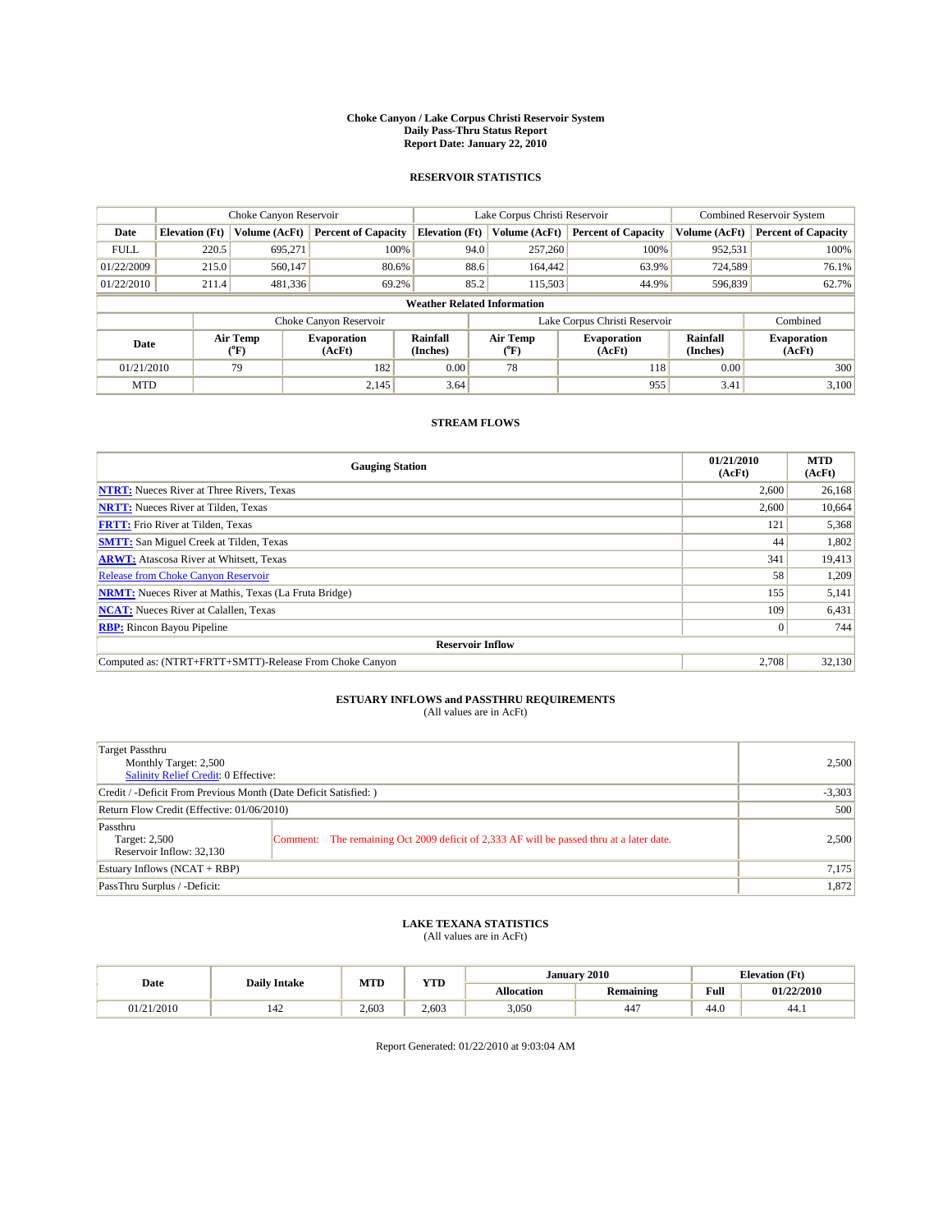#### **Choke Canyon / Lake Corpus Christi Reservoir System Daily Pass-Thru Status Report Report Date: January 22, 2010**

## **RESERVOIR STATISTICS**

|             | Choke Canyon Reservoir |                  |                              |                                    | Lake Corpus Christi Reservoir | <b>Combined Reservoir System</b> |                      |                              |
|-------------|------------------------|------------------|------------------------------|------------------------------------|-------------------------------|----------------------------------|----------------------|------------------------------|
| Date        | <b>Elevation</b> (Ft)  | Volume (AcFt)    | <b>Percent of Capacity</b>   | <b>Elevation</b> (Ft)              | Volume (AcFt)                 | <b>Percent of Capacity</b>       | Volume (AcFt)        | <b>Percent of Capacity</b>   |
| <b>FULL</b> | 220.5                  | 695,271          | 100%                         | 94.0                               | 257,260                       | 100%                             | 952,531              | 100%                         |
| 01/22/2009  | 215.0                  | 560,147          | 80.6%                        | 88.6                               | 164,442                       | 63.9%                            | 724,589              | 76.1%                        |
| 01/22/2010  | 211.4                  | 481,336          | 69.2%                        | 85.2                               | 115,503                       | 44.9%                            | 596,839              | 62.7%                        |
|             |                        |                  |                              | <b>Weather Related Information</b> |                               |                                  |                      |                              |
|             |                        |                  | Choke Canyon Reservoir       |                                    | Lake Corpus Christi Reservoir |                                  |                      | Combined                     |
| Date        |                        | Air Temp<br>(°F) | <b>Evaporation</b><br>(AcFt) | Rainfall<br>(Inches)               | Air Temp<br>("F)              | <b>Evaporation</b><br>(AcFt)     | Rainfall<br>(Inches) | <b>Evaporation</b><br>(AcFt) |
| 01/21/2010  |                        | 79               | 182                          | 0.00                               | 78                            | 118                              | 0.00                 | 300                          |
| <b>MTD</b>  |                        |                  | 2,145                        | 3.64                               |                               | 955                              | 3.41                 | 3,100                        |

## **STREAM FLOWS**

| <b>Gauging Station</b>                                       | 01/21/2010<br>(AcFt) | <b>MTD</b><br>(AcFt) |
|--------------------------------------------------------------|----------------------|----------------------|
| <b>NTRT:</b> Nueces River at Three Rivers, Texas             | 2.600                | 26,168               |
| <b>NRTT:</b> Nueces River at Tilden, Texas                   | 2,600                | 10,664               |
| <b>FRTT:</b> Frio River at Tilden, Texas                     | 121                  | 5,368                |
| <b>SMTT:</b> San Miguel Creek at Tilden, Texas               | 44                   | 1,802                |
| <b>ARWT:</b> Atascosa River at Whitsett, Texas               | 341                  | 19,413               |
| <b>Release from Choke Canyon Reservoir</b>                   | 58                   | 1,209                |
| <b>NRMT:</b> Nueces River at Mathis, Texas (La Fruta Bridge) | 155                  | 5,141                |
| <b>NCAT:</b> Nueces River at Calallen, Texas                 | 109                  | 6,431                |
| <b>RBP:</b> Rincon Bayou Pipeline                            | $\overline{0}$       | 744                  |
| <b>Reservoir Inflow</b>                                      |                      |                      |
| Computed as: (NTRT+FRTT+SMTT)-Release From Choke Canyon      | 2,708                | 32,130               |

# **ESTUARY INFLOWS and PASSTHRU REQUIREMENTS**<br>(All values are in AcFt)

| Target Passthru<br>Monthly Target: 2,500<br><b>Salinity Relief Credit: 0 Effective:</b> |                                                                                          | 2,500    |  |  |
|-----------------------------------------------------------------------------------------|------------------------------------------------------------------------------------------|----------|--|--|
| Credit / -Deficit From Previous Month (Date Deficit Satisfied: )                        |                                                                                          | $-3,303$ |  |  |
| Return Flow Credit (Effective: 01/06/2010)                                              |                                                                                          |          |  |  |
| Passthru<br>Target: 2,500<br>Reservoir Inflow: 32,130                                   | Comment: The remaining Oct 2009 deficit of 2,333 AF will be passed thru at a later date. | 2,500    |  |  |
| Estuary Inflows $(NCAT + RBP)$                                                          |                                                                                          | 7,175    |  |  |
| PassThru Surplus / -Deficit:                                                            |                                                                                          | 1,872    |  |  |

# **LAKE TEXANA STATISTICS** (All values are in AcFt)

|                    | <b>Daily Intake</b> | <b>MTD</b> | <b>XZOD</b><br>. | January           | 2010                  |      | <b>Elevation</b> (Ft) |
|--------------------|---------------------|------------|------------------|-------------------|-----------------------|------|-----------------------|
| Date               |                     |            |                  | <b>Allocation</b> | <b>Remaining</b>      | Full | 01/22/2010            |
| /21/2010<br>11/21. | ے 4ء                | 2.603      | 2.603            | 3.050             | $\overline{1}$<br>44. | 44.U | 44.1                  |

Report Generated: 01/22/2010 at 9:03:04 AM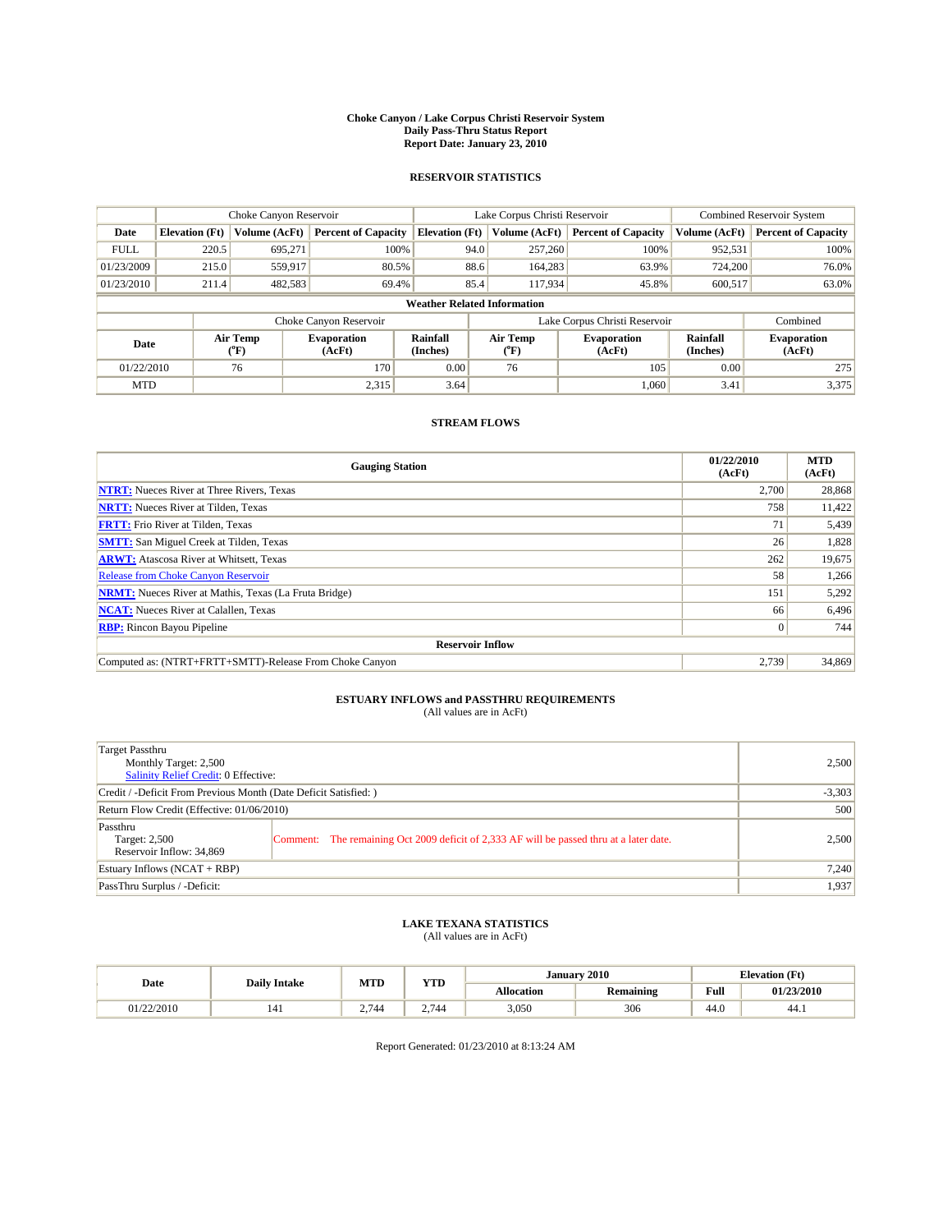#### **Choke Canyon / Lake Corpus Christi Reservoir System Daily Pass-Thru Status Report Report Date: January 23, 2010**

## **RESERVOIR STATISTICS**

|             | Choke Canyon Reservoir |                  |                              |                                    | Lake Corpus Christi Reservoir | <b>Combined Reservoir System</b> |                      |                              |
|-------------|------------------------|------------------|------------------------------|------------------------------------|-------------------------------|----------------------------------|----------------------|------------------------------|
| Date        | <b>Elevation</b> (Ft)  | Volume (AcFt)    | <b>Percent of Capacity</b>   | <b>Elevation</b> (Ft)              | Volume (AcFt)                 | <b>Percent of Capacity</b>       | Volume (AcFt)        | <b>Percent of Capacity</b>   |
| <b>FULL</b> | 220.5                  | 695,271          | 100%                         | 94.0                               | 257,260                       | 100%                             | 952,531              | 100%                         |
| 01/23/2009  | 215.0                  | 559,917          | 80.5%                        | 88.6                               | 164.283                       | 63.9%                            | 724,200              | 76.0%                        |
| 01/23/2010  | 211.4                  | 482,583          | 69.4%                        | 85.4                               | 117,934                       | 45.8%                            | 600,517              | 63.0%                        |
|             |                        |                  |                              | <b>Weather Related Information</b> |                               |                                  |                      |                              |
|             |                        |                  | Choke Canyon Reservoir       |                                    | Lake Corpus Christi Reservoir |                                  |                      | Combined                     |
| Date        |                        | Air Temp<br>(°F) | <b>Evaporation</b><br>(AcFt) | Rainfall<br>(Inches)               | Air Temp<br>("F)              | <b>Evaporation</b><br>(AcFt)     | Rainfall<br>(Inches) | <b>Evaporation</b><br>(AcFt) |
| 01/22/2010  |                        | 76               | 170                          | 0.00                               | 76                            | 105                              | 0.00                 | 275                          |
| <b>MTD</b>  |                        |                  | 2,315                        | 3.64                               |                               | 1.060                            | 3.41                 | 3,375                        |

## **STREAM FLOWS**

| <b>Gauging Station</b>                                       | 01/22/2010<br>(AcFt) | <b>MTD</b><br>(AcFt) |
|--------------------------------------------------------------|----------------------|----------------------|
| <b>NTRT:</b> Nueces River at Three Rivers, Texas             | 2.700                | 28,868               |
| <b>NRTT:</b> Nueces River at Tilden, Texas                   | 758                  | 11,422               |
| <b>FRTT:</b> Frio River at Tilden, Texas                     | 71                   | 5,439                |
| <b>SMTT:</b> San Miguel Creek at Tilden, Texas               | 26                   | 1,828                |
| <b>ARWT:</b> Atascosa River at Whitsett, Texas               | 262                  | 19,675               |
| Release from Choke Canyon Reservoir                          | 58                   | 1,266                |
| <b>NRMT:</b> Nueces River at Mathis, Texas (La Fruta Bridge) | 151                  | 5,292                |
| <b>NCAT:</b> Nueces River at Calallen, Texas                 | 66                   | 6,496                |
| <b>RBP:</b> Rincon Bayou Pipeline                            | $\overline{0}$       | 744                  |
| <b>Reservoir Inflow</b>                                      |                      |                      |
| Computed as: (NTRT+FRTT+SMTT)-Release From Choke Canyon      | 2.739                | 34,869               |

# **ESTUARY INFLOWS and PASSTHRU REQUIREMENTS**<br>(All values are in AcFt)

| <b>Target Passthru</b><br>Monthly Target: 2,500<br><b>Salinity Relief Credit: 0 Effective:</b> |                                                                                          | 2,500    |  |  |
|------------------------------------------------------------------------------------------------|------------------------------------------------------------------------------------------|----------|--|--|
| Credit / -Deficit From Previous Month (Date Deficit Satisfied: )                               |                                                                                          | $-3,303$ |  |  |
| Return Flow Credit (Effective: 01/06/2010)                                                     |                                                                                          |          |  |  |
| Passthru<br>Target: 2,500<br>Reservoir Inflow: 34,869                                          | Comment: The remaining Oct 2009 deficit of 2,333 AF will be passed thru at a later date. | 2,500    |  |  |
| Estuary Inflows $(NCAT + RBP)$                                                                 |                                                                                          | 7,240    |  |  |
| PassThru Surplus / -Deficit:                                                                   |                                                                                          | 1,937    |  |  |

# **LAKE TEXANA STATISTICS** (All values are in AcFt)

| <b>Daily Intake</b>       |  | <b>MTD</b>              | <b>XZOD</b> | January           | 2010             | <b>Elevation</b> (Ft) |            |
|---------------------------|--|-------------------------|-------------|-------------------|------------------|-----------------------|------------|
| Date                      |  |                         | .           | <b>Allocation</b> | <b>Remaining</b> | Full                  | 01/23/2010 |
| /22/2010<br>117 <i>44</i> |  | $274\Delta$<br><b>A</b> | 2.744       | 3,050             | 306              | 44.U                  | -44.1      |

Report Generated: 01/23/2010 at 8:13:24 AM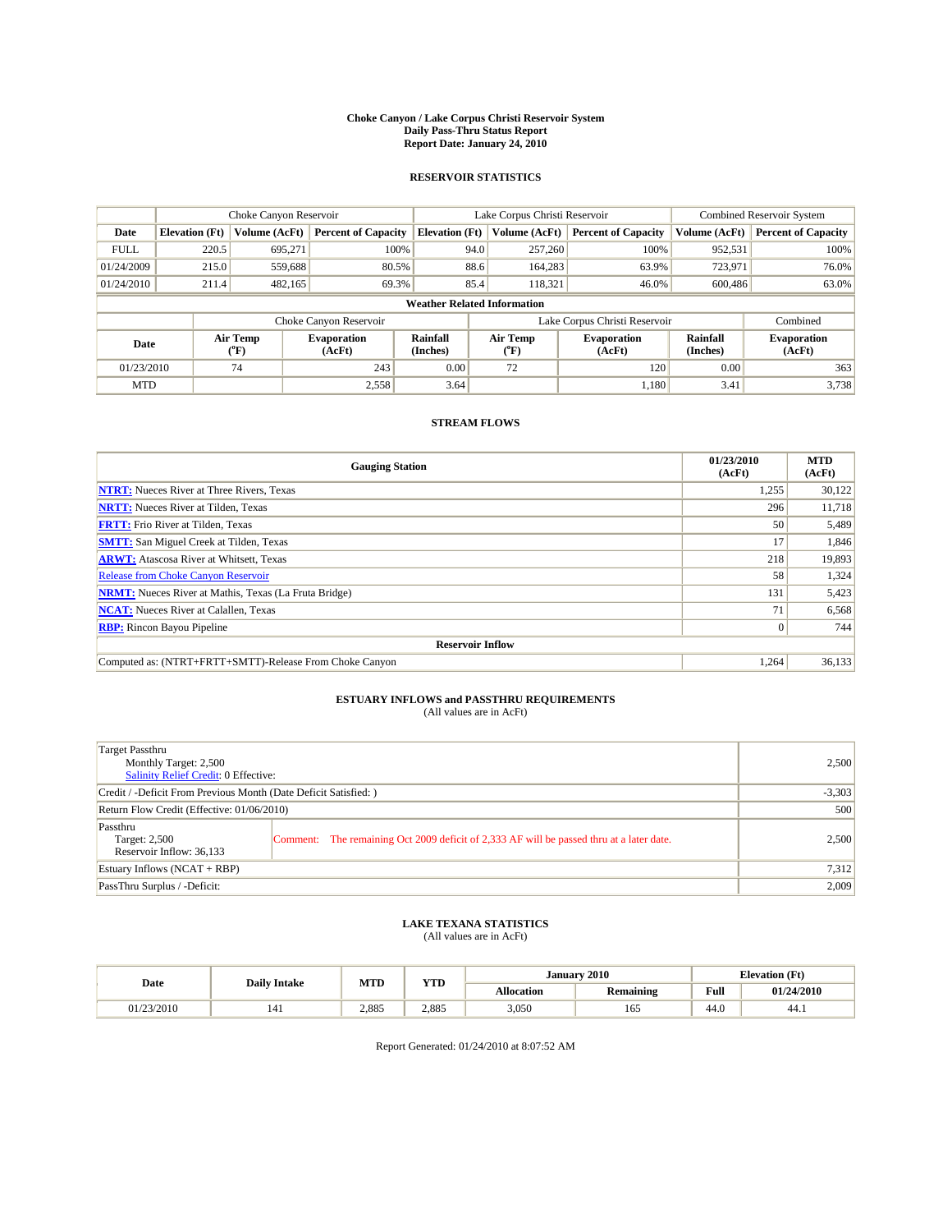#### **Choke Canyon / Lake Corpus Christi Reservoir System Daily Pass-Thru Status Report Report Date: January 24, 2010**

## **RESERVOIR STATISTICS**

|             | Choke Canyon Reservoir |                  |                              |                                    | Lake Corpus Christi Reservoir | <b>Combined Reservoir System</b> |                      |                              |
|-------------|------------------------|------------------|------------------------------|------------------------------------|-------------------------------|----------------------------------|----------------------|------------------------------|
| Date        | <b>Elevation</b> (Ft)  | Volume (AcFt)    | <b>Percent of Capacity</b>   | <b>Elevation</b> (Ft)              | Volume (AcFt)                 | <b>Percent of Capacity</b>       | Volume (AcFt)        | <b>Percent of Capacity</b>   |
| <b>FULL</b> | 220.5                  | 695,271          | 100%                         | 94.0                               | 257,260                       | 100%                             | 952,531              | 100%                         |
| 01/24/2009  | 215.0                  | 559,688          | 80.5%                        | 88.6                               | 164.283                       | 63.9%                            | 723,971              | 76.0%                        |
| 01/24/2010  | 211.4                  | 482,165          | 69.3%                        | 85.4                               | 118,321                       | 46.0%                            | 600,486              | 63.0%                        |
|             |                        |                  |                              | <b>Weather Related Information</b> |                               |                                  |                      |                              |
|             |                        |                  | Choke Canyon Reservoir       |                                    | Lake Corpus Christi Reservoir |                                  |                      | Combined                     |
| Date        |                        | Air Temp<br>(°F) | <b>Evaporation</b><br>(AcFt) | Rainfall<br>(Inches)               | Air Temp<br>("F)              | <b>Evaporation</b><br>(AcFt)     | Rainfall<br>(Inches) | <b>Evaporation</b><br>(AcFt) |
| 01/23/2010  |                        | 74               | 243                          | 0.00                               | 72                            | 120                              | 0.00                 | 363                          |
| <b>MTD</b>  |                        |                  | 2,558                        | 3.64                               |                               | 1.180                            | 3.41                 | 3,738                        |

## **STREAM FLOWS**

| <b>Gauging Station</b>                                       | 01/23/2010<br>(AcFt) | <b>MTD</b><br>(AcFt) |
|--------------------------------------------------------------|----------------------|----------------------|
| <b>NTRT:</b> Nueces River at Three Rivers, Texas             | 1,255                | 30,122               |
| <b>NRTT:</b> Nueces River at Tilden, Texas                   | 296                  | 11,718               |
| <b>FRTT:</b> Frio River at Tilden, Texas                     | 50                   | 5,489                |
| <b>SMTT:</b> San Miguel Creek at Tilden, Texas               | 17                   | 1,846                |
| <b>ARWT:</b> Atascosa River at Whitsett, Texas               | 218                  | 19,893               |
| <b>Release from Choke Canyon Reservoir</b>                   | 58                   | 1,324                |
| <b>NRMT:</b> Nueces River at Mathis, Texas (La Fruta Bridge) | 131                  | 5,423                |
| <b>NCAT:</b> Nueces River at Calallen, Texas                 | 71                   | 6,568                |
| <b>RBP:</b> Rincon Bayou Pipeline                            | $\overline{0}$       | 744                  |
| <b>Reservoir Inflow</b>                                      |                      |                      |
| Computed as: (NTRT+FRTT+SMTT)-Release From Choke Canyon      | 1,264                | 36,133               |

# **ESTUARY INFLOWS and PASSTHRU REQUIREMENTS**<br>(All values are in AcFt)

| Target Passthru<br>Monthly Target: 2,500<br>Salinity Relief Credit: 0 Effective: |                                                                                          | 2,500 |  |  |  |  |
|----------------------------------------------------------------------------------|------------------------------------------------------------------------------------------|-------|--|--|--|--|
|                                                                                  | Credit / -Deficit From Previous Month (Date Deficit Satisfied: )                         |       |  |  |  |  |
| Return Flow Credit (Effective: 01/06/2010)                                       |                                                                                          |       |  |  |  |  |
| Passthru<br>Target: 2,500<br>Reservoir Inflow: 36,133                            | Comment: The remaining Oct 2009 deficit of 2,333 AF will be passed thru at a later date. | 2.500 |  |  |  |  |
| Estuary Inflows (NCAT + RBP)                                                     |                                                                                          |       |  |  |  |  |
| PassThru Surplus / -Deficit:                                                     |                                                                                          | 2,009 |  |  |  |  |

## **LAKE TEXANA STATISTICS** (All values are in AcFt)

|            | <b>Daily Intake</b> | MTD   | <b>XZOD</b><br>1 I.D | January 2010      |                  | <b>Elevation</b> (Ft)                   |            |
|------------|---------------------|-------|----------------------|-------------------|------------------|-----------------------------------------|------------|
| Date       |                     |       |                      | <b>Allocation</b> | <b>Remaining</b> | Full<br>the contract of the contract of | 01/24/2010 |
| 01/23/2010 | 141                 | 2.885 | 2.885                | 3.050             | 165              | 44.0                                    | -44.1      |

Report Generated: 01/24/2010 at 8:07:52 AM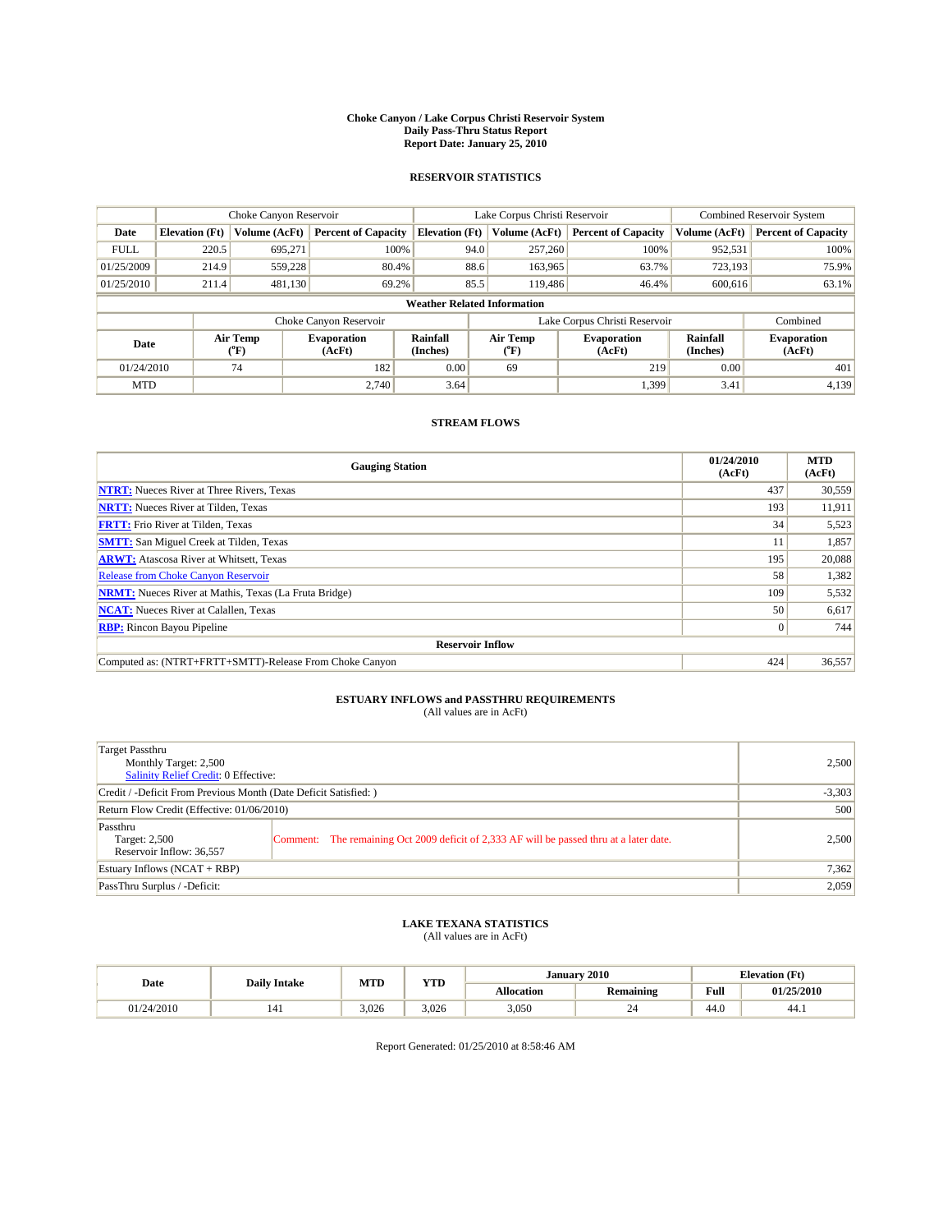#### **Choke Canyon / Lake Corpus Christi Reservoir System Daily Pass-Thru Status Report Report Date: January 25, 2010**

## **RESERVOIR STATISTICS**

|             | Choke Canyon Reservoir |                  |                              |                                    | Lake Corpus Christi Reservoir | <b>Combined Reservoir System</b> |                      |                              |
|-------------|------------------------|------------------|------------------------------|------------------------------------|-------------------------------|----------------------------------|----------------------|------------------------------|
| Date        | <b>Elevation</b> (Ft)  | Volume (AcFt)    | <b>Percent of Capacity</b>   | <b>Elevation</b> (Ft)              | Volume (AcFt)                 | <b>Percent of Capacity</b>       | Volume (AcFt)        | <b>Percent of Capacity</b>   |
| <b>FULL</b> | 220.5                  | 695,271          | 100%                         | 94.0                               | 257,260                       | 100%                             | 952,531              | 100%                         |
| 01/25/2009  | 214.9                  | 559.228          | 80.4%                        | 88.6                               | 163,965                       | 63.7%                            | 723,193              | 75.9%                        |
| 01/25/2010  | 211.4                  | 481,130          | 69.2%                        | 85.5                               | 119,486                       | 46.4%                            | 600,616              | 63.1%                        |
|             |                        |                  |                              | <b>Weather Related Information</b> |                               |                                  |                      |                              |
|             |                        |                  | Choke Canyon Reservoir       |                                    | Lake Corpus Christi Reservoir |                                  |                      | Combined                     |
| Date        |                        | Air Temp<br>(°F) | <b>Evaporation</b><br>(AcFt) | Rainfall<br>(Inches)               | Air Temp<br>("F)              | <b>Evaporation</b><br>(AcFt)     | Rainfall<br>(Inches) | <b>Evaporation</b><br>(AcFt) |
| 01/24/2010  |                        | 74               | 182                          | 0.00                               | 69                            | 219                              | 0.00                 | 401                          |
| <b>MTD</b>  |                        |                  | 2.740                        | 3.64                               |                               | 1,399                            | 3.41                 | 4,139                        |

## **STREAM FLOWS**

| <b>Gauging Station</b>                                       | 01/24/2010<br>(AcFt) | <b>MTD</b><br>(AcFt) |
|--------------------------------------------------------------|----------------------|----------------------|
| <b>NTRT:</b> Nueces River at Three Rivers, Texas             | 437                  | 30,559               |
| <b>NRTT:</b> Nueces River at Tilden, Texas                   | 193                  | 11,911               |
| <b>FRTT:</b> Frio River at Tilden, Texas                     | 34                   | 5,523                |
| <b>SMTT:</b> San Miguel Creek at Tilden, Texas               |                      | 1,857                |
| <b>ARWT:</b> Atascosa River at Whitsett, Texas               | 195                  | 20,088               |
| <b>Release from Choke Canyon Reservoir</b>                   | 58                   | 1,382                |
| <b>NRMT:</b> Nueces River at Mathis, Texas (La Fruta Bridge) | 109                  | 5,532                |
| <b>NCAT:</b> Nueces River at Calallen, Texas                 | 50                   | 6,617                |
| <b>RBP:</b> Rincon Bayou Pipeline                            | $\overline{0}$       | 744                  |
| <b>Reservoir Inflow</b>                                      |                      |                      |
| Computed as: (NTRT+FRTT+SMTT)-Release From Choke Canyon      | 424                  | 36,557               |

# **ESTUARY INFLOWS and PASSTHRU REQUIREMENTS**<br>(All values are in AcFt)

| Target Passthru                                                  |                                                                                          |       |  |  |  |
|------------------------------------------------------------------|------------------------------------------------------------------------------------------|-------|--|--|--|
| Monthly Target: 2,500                                            |                                                                                          | 2,500 |  |  |  |
| <b>Salinity Relief Credit: 0 Effective:</b>                      |                                                                                          |       |  |  |  |
| Credit / -Deficit From Previous Month (Date Deficit Satisfied: ) |                                                                                          |       |  |  |  |
| Return Flow Credit (Effective: 01/06/2010)                       | 500                                                                                      |       |  |  |  |
| Passthru                                                         |                                                                                          |       |  |  |  |
| Target: 2,500                                                    | Comment: The remaining Oct 2009 deficit of 2,333 AF will be passed thru at a later date. | 2,500 |  |  |  |
| Reservoir Inflow: 36,557                                         |                                                                                          |       |  |  |  |
| Estuary Inflows $(NCAT + RBP)$                                   |                                                                                          | 7,362 |  |  |  |
| PassThru Surplus / -Deficit:                                     |                                                                                          | 2,059 |  |  |  |

## **LAKE TEXANA STATISTICS** (All values are in AcFt)

|            | <b>Daily Intake</b> |       | <b>XZOD</b><br><b>MTD</b><br>. | January           | 2010             | <b>Elevation</b> (Ft) |            |
|------------|---------------------|-------|--------------------------------|-------------------|------------------|-----------------------|------------|
| Date       |                     |       |                                | <b>Allocation</b> | <b>Remaining</b> | Full                  | 01/25/2010 |
| 01/24/2010 |                     | 3.026 | 3.026                          | 3.050             | ∽                | 44.U                  | -44.1      |

Report Generated: 01/25/2010 at 8:58:46 AM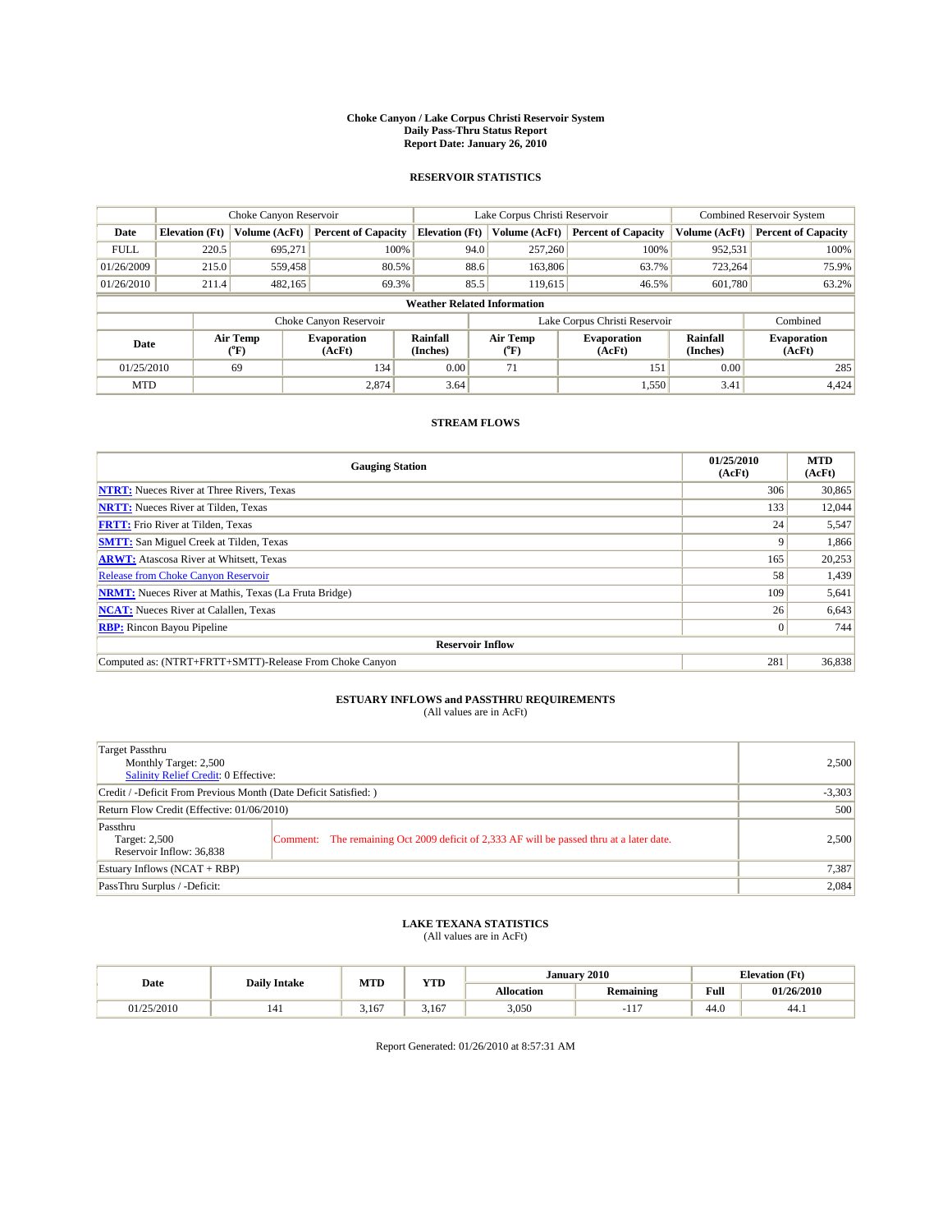#### **Choke Canyon / Lake Corpus Christi Reservoir System Daily Pass-Thru Status Report Report Date: January 26, 2010**

## **RESERVOIR STATISTICS**

|             | Choke Canyon Reservoir |                      |                              |                                    | Lake Corpus Christi Reservoir | <b>Combined Reservoir System</b> |                      |                              |
|-------------|------------------------|----------------------|------------------------------|------------------------------------|-------------------------------|----------------------------------|----------------------|------------------------------|
| Date        | <b>Elevation</b> (Ft)  | <b>Volume (AcFt)</b> | <b>Percent of Capacity</b>   | <b>Elevation</b> (Ft)              | Volume (AcFt)                 | <b>Percent of Capacity</b>       | Volume (AcFt)        | <b>Percent of Capacity</b>   |
| <b>FULL</b> | 220.5                  | 695,271              | 100%                         | 94.0                               | 257,260                       | 100%                             | 952,531              | 100%                         |
| 01/26/2009  | 215.0                  | 559,458              | 80.5%                        |                                    | 88.6<br>163,806               | 63.7%                            | 723,264              | 75.9%                        |
| 01/26/2010  | 211.4                  | 482,165              | 69.3%                        | 85.5                               | 119,615                       | 46.5%                            | 601.780              | 63.2%                        |
|             |                        |                      |                              | <b>Weather Related Information</b> |                               |                                  |                      |                              |
|             |                        |                      | Choke Canyon Reservoir       |                                    | Lake Corpus Christi Reservoir |                                  |                      | Combined                     |
| Date        |                        | Air Temp<br>(°F)     | <b>Evaporation</b><br>(AcFt) | <b>Rainfall</b><br>(Inches)        | Air Temp<br>(°F)              | <b>Evaporation</b><br>(AcFt)     | Rainfall<br>(Inches) | <b>Evaporation</b><br>(AcFt) |
| 01/25/2010  |                        | 69                   | 134                          | 0.00                               | 71                            | 151                              | 0.00                 | 285                          |
| <b>MTD</b>  |                        |                      | 2.874                        | 3.64                               |                               | 1,550                            | 3.41                 | 4,424                        |

## **STREAM FLOWS**

| <b>Gauging Station</b>                                       | 01/25/2010<br>(AcFt) | <b>MTD</b><br>(AcFt) |
|--------------------------------------------------------------|----------------------|----------------------|
| <b>NTRT:</b> Nueces River at Three Rivers, Texas             | 306                  | 30,865               |
| <b>NRTT:</b> Nueces River at Tilden, Texas                   | 133                  | 12,044               |
| <b>FRTT:</b> Frio River at Tilden, Texas                     | 24                   | 5,547                |
| <b>SMTT:</b> San Miguel Creek at Tilden, Texas               | 9                    | 1,866                |
| <b>ARWT:</b> Atascosa River at Whitsett, Texas               | 165                  | 20,253               |
| <b>Release from Choke Canyon Reservoir</b>                   | 58                   | 1,439                |
| <b>NRMT:</b> Nueces River at Mathis, Texas (La Fruta Bridge) | 109                  | 5,641                |
| <b>NCAT:</b> Nueces River at Calallen, Texas                 | 26                   | 6,643                |
| <b>RBP:</b> Rincon Bayou Pipeline                            | $\overline{0}$       | 744                  |
| <b>Reservoir Inflow</b>                                      |                      |                      |
| Computed as: (NTRT+FRTT+SMTT)-Release From Choke Canyon      | 281                  | 36,838               |

# **ESTUARY INFLOWS and PASSTHRU REQUIREMENTS**<br>(All values are in AcFt)

| Target Passthru<br>Monthly Target: 2,500<br>Salinity Relief Credit: 0 Effective: |                                                                                          | 2,500    |  |  |
|----------------------------------------------------------------------------------|------------------------------------------------------------------------------------------|----------|--|--|
| Credit / -Deficit From Previous Month (Date Deficit Satisfied: )                 |                                                                                          | $-3,303$ |  |  |
| Return Flow Credit (Effective: 01/06/2010)                                       |                                                                                          |          |  |  |
| Passthru<br>Target: 2,500<br>Reservoir Inflow: 36,838                            | Comment: The remaining Oct 2009 deficit of 2,333 AF will be passed thru at a later date. | 2.500    |  |  |
| Estuary Inflows (NCAT + RBP)                                                     | 7,387                                                                                    |          |  |  |
| PassThru Surplus / -Deficit:                                                     |                                                                                          | 2,084    |  |  |

# **LAKE TEXANA STATISTICS** (All values are in AcFt)

| <b>Daily Intake</b> |  | <b>MTD</b> | <b>YTD</b> |                   | January 2010           | <b>Elevation</b> (Ft) |            |
|---------------------|--|------------|------------|-------------------|------------------------|-----------------------|------------|
| Date                |  |            |            | <b>Allocation</b> | <b>Remaining</b>       | Full                  | 01/26/2010 |
| 01/25/2010          |  | 3.167      | 3.167      | 3,050             | $\overline{1}$<br>-11. | 44.0                  | 44.1       |

Report Generated: 01/26/2010 at 8:57:31 AM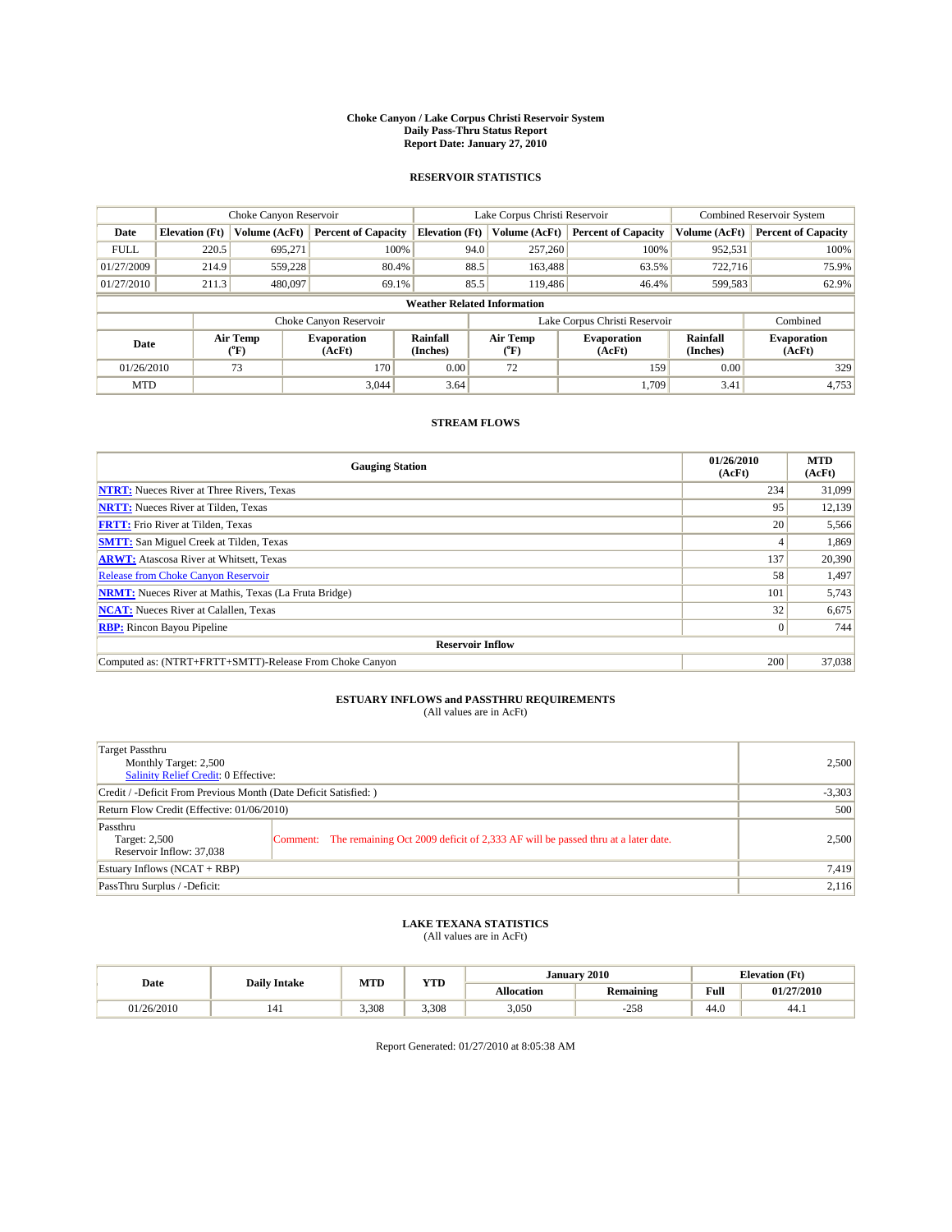#### **Choke Canyon / Lake Corpus Christi Reservoir System Daily Pass-Thru Status Report Report Date: January 27, 2010**

## **RESERVOIR STATISTICS**

|             | Choke Canyon Reservoir |                  |                              |                                    | Lake Corpus Christi Reservoir | <b>Combined Reservoir System</b> |                      |                              |
|-------------|------------------------|------------------|------------------------------|------------------------------------|-------------------------------|----------------------------------|----------------------|------------------------------|
| Date        | <b>Elevation</b> (Ft)  | Volume (AcFt)    | <b>Percent of Capacity</b>   | <b>Elevation</b> (Ft)              | Volume (AcFt)                 | <b>Percent of Capacity</b>       | Volume (AcFt)        | <b>Percent of Capacity</b>   |
| <b>FULL</b> | 220.5                  | 695,271          | 100%                         | 94.0                               | 257,260                       | 100%                             | 952,531              | 100%                         |
| 01/27/2009  | 214.9                  | 559.228          | 80.4%                        | 88.5                               | 163,488                       | 63.5%                            | 722.716              | 75.9%                        |
| 01/27/2010  | 211.3                  | 480,097          | 69.1%                        | 85.5                               | 119,486                       | 46.4%                            | 599,583              | 62.9%                        |
|             |                        |                  |                              | <b>Weather Related Information</b> |                               |                                  |                      |                              |
|             |                        |                  | Choke Canyon Reservoir       |                                    | Lake Corpus Christi Reservoir |                                  |                      | Combined                     |
| Date        |                        | Air Temp<br>(°F) | <b>Evaporation</b><br>(AcFt) | Rainfall<br>(Inches)               | Air Temp<br>("F)              | <b>Evaporation</b><br>(AcFt)     | Rainfall<br>(Inches) | <b>Evaporation</b><br>(AcFt) |
| 01/26/2010  |                        | 73               | 170                          | 0.00                               | 72                            | 159                              | 0.00                 | 329                          |
| <b>MTD</b>  |                        |                  | 3.044                        | 3.64                               |                               | 1.709                            | 3.41                 | 4,753                        |

## **STREAM FLOWS**

| <b>Gauging Station</b>                                       | 01/26/2010<br>(AcFt) | <b>MTD</b><br>(AcFt) |
|--------------------------------------------------------------|----------------------|----------------------|
| <b>NTRT:</b> Nueces River at Three Rivers, Texas             | 234                  | 31,099               |
| <b>NRTT:</b> Nueces River at Tilden, Texas                   | 95                   | 12,139               |
| <b>FRTT:</b> Frio River at Tilden, Texas                     | 20                   | 5,566                |
| <b>SMTT:</b> San Miguel Creek at Tilden, Texas               |                      | 1,869                |
| <b>ARWT:</b> Atascosa River at Whitsett, Texas               | 137                  | 20,390               |
| <b>Release from Choke Canyon Reservoir</b>                   | 58                   | 1,497                |
| <b>NRMT:</b> Nueces River at Mathis, Texas (La Fruta Bridge) | 101                  | 5,743                |
| <b>NCAT:</b> Nueces River at Calallen, Texas                 | 32                   | 6,675                |
| <b>RBP:</b> Rincon Bayou Pipeline                            | $\vert 0 \vert$      | 744                  |
| <b>Reservoir Inflow</b>                                      |                      |                      |
| Computed as: (NTRT+FRTT+SMTT)-Release From Choke Canyon      | 200                  | 37,038               |

# **ESTUARY INFLOWS and PASSTHRU REQUIREMENTS**<br>(All values are in AcFt)

| Target Passthru<br>Monthly Target: 2,500<br>Salinity Relief Credit: 0 Effective: |                                                                                          | 2,500    |  |  |
|----------------------------------------------------------------------------------|------------------------------------------------------------------------------------------|----------|--|--|
| Credit / -Deficit From Previous Month (Date Deficit Satisfied: )                 |                                                                                          | $-3,303$ |  |  |
| Return Flow Credit (Effective: 01/06/2010)                                       |                                                                                          |          |  |  |
| Passthru<br>Target: 2,500<br>Reservoir Inflow: 37,038                            | Comment: The remaining Oct 2009 deficit of 2,333 AF will be passed thru at a later date. | 2.500    |  |  |
| Estuary Inflows (NCAT + RBP)                                                     | 7,419                                                                                    |          |  |  |
| PassThru Surplus / -Deficit:                                                     |                                                                                          | 2,116    |  |  |

## **LAKE TEXANA STATISTICS** (All values are in AcFt)

|            | <b>Daily Intake</b> | <b>MTD</b> | <b>YTD</b> |                   | January 2010     |      | <b>Elevation</b> (Ft) |
|------------|---------------------|------------|------------|-------------------|------------------|------|-----------------------|
| Date       |                     |            |            | <b>Allocation</b> | <b>Remaining</b> | Full | 01/27/2010            |
| 01/26/2010 |                     | 3.308      | 3.308      | 3,050             | $-258$           | 44.0 | 44.1                  |

Report Generated: 01/27/2010 at 8:05:38 AM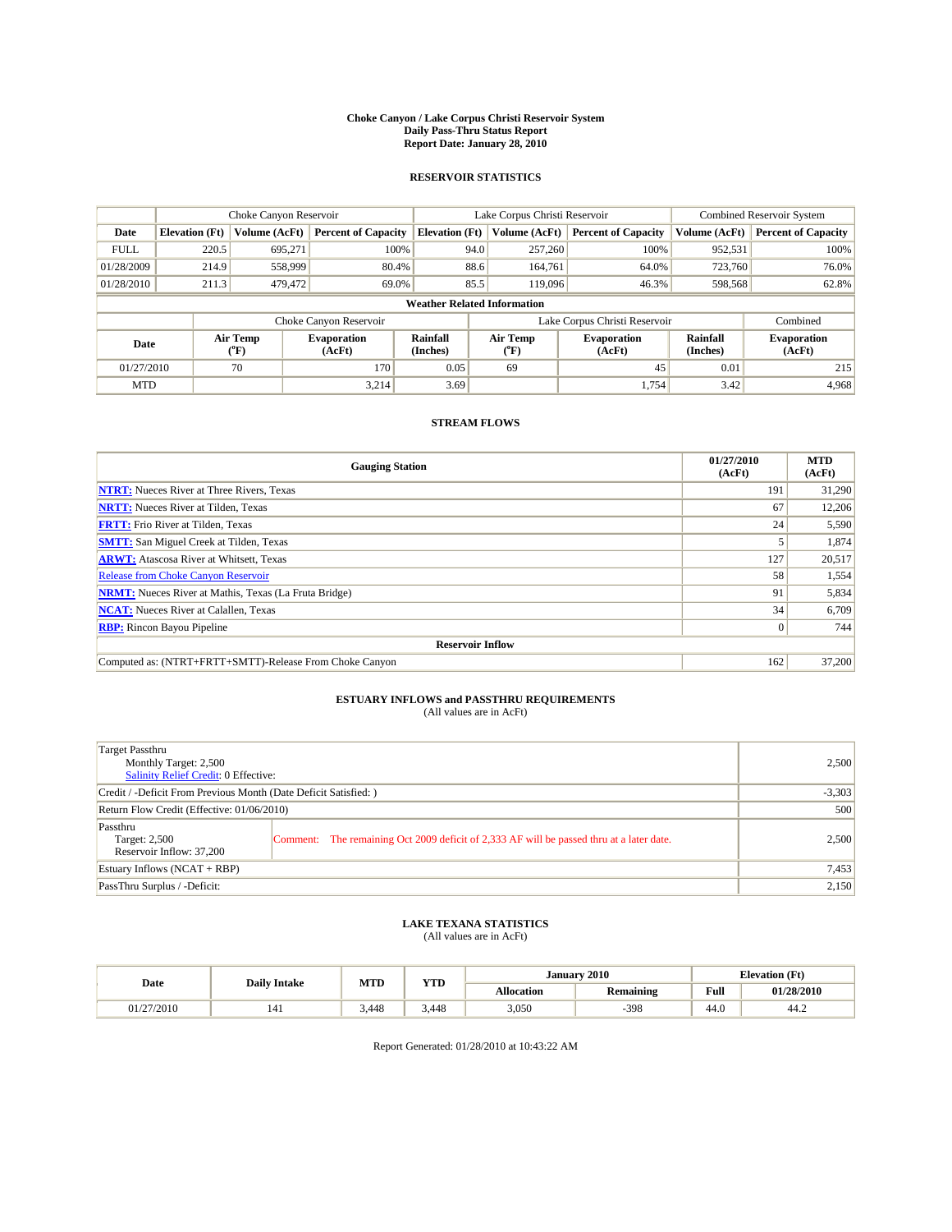#### **Choke Canyon / Lake Corpus Christi Reservoir System Daily Pass-Thru Status Report Report Date: January 28, 2010**

## **RESERVOIR STATISTICS**

|             | Choke Canyon Reservoir |                  |                              |                                    | Lake Corpus Christi Reservoir | <b>Combined Reservoir System</b> |                      |                              |
|-------------|------------------------|------------------|------------------------------|------------------------------------|-------------------------------|----------------------------------|----------------------|------------------------------|
| Date        | <b>Elevation</b> (Ft)  | Volume (AcFt)    | <b>Percent of Capacity</b>   | <b>Elevation</b> (Ft)              | Volume (AcFt)                 | <b>Percent of Capacity</b>       | Volume (AcFt)        | <b>Percent of Capacity</b>   |
| <b>FULL</b> | 220.5                  | 695,271          | 100%                         | 94.0                               | 257,260                       | 100%                             | 952,531              | 100%                         |
| 01/28/2009  | 214.9                  | 558,999          | 80.4%                        | 88.6                               | 164,761                       | 64.0%                            | 723,760              | 76.0%                        |
| 01/28/2010  | 211.3                  | 479,472          | 69.0%                        | 85.5                               | 119,096                       | 46.3%                            | 598,568              | 62.8%                        |
|             |                        |                  |                              | <b>Weather Related Information</b> |                               |                                  |                      |                              |
|             |                        |                  | Choke Canyon Reservoir       |                                    | Lake Corpus Christi Reservoir |                                  |                      | Combined                     |
| Date        |                        | Air Temp<br>(°F) | <b>Evaporation</b><br>(AcFt) | <b>Rainfall</b><br>(Inches)        | Air Temp<br>(°F)              | <b>Evaporation</b><br>(AcFt)     | Rainfall<br>(Inches) | <b>Evaporation</b><br>(AcFt) |
| 01/27/2010  |                        | 70               | 170                          | 0.05                               | 69                            | 45                               | 0.01                 | 215                          |
| <b>MTD</b>  |                        |                  | 3.214                        | 3.69                               |                               | 1.754                            | 3.42                 | 4,968                        |

## **STREAM FLOWS**

| <b>Gauging Station</b>                                       | 01/27/2010<br>(AcFt) | <b>MTD</b><br>(AcFt) |
|--------------------------------------------------------------|----------------------|----------------------|
| <b>NTRT:</b> Nueces River at Three Rivers, Texas             | 191                  | 31,290               |
| <b>NRTT:</b> Nueces River at Tilden, Texas                   | 67                   | 12,206               |
| <b>FRTT:</b> Frio River at Tilden, Texas                     | 24                   | 5,590                |
| <b>SMTT:</b> San Miguel Creek at Tilden, Texas               |                      | 1,874                |
| <b>ARWT:</b> Atascosa River at Whitsett, Texas               | 127                  | 20,517               |
| <b>Release from Choke Canyon Reservoir</b>                   | 58                   | 1,554                |
| <b>NRMT:</b> Nueces River at Mathis, Texas (La Fruta Bridge) | 91                   | 5,834                |
| <b>NCAT:</b> Nueces River at Calallen, Texas                 | 34                   | 6,709                |
| <b>RBP:</b> Rincon Bayou Pipeline                            | $\overline{0}$       | 744                  |
| <b>Reservoir Inflow</b>                                      |                      |                      |
| Computed as: (NTRT+FRTT+SMTT)-Release From Choke Canyon      | 162                  | 37,200               |

# **ESTUARY INFLOWS and PASSTHRU REQUIREMENTS**<br>(All values are in AcFt)

| Target Passthru<br>Monthly Target: 2,500<br>Salinity Relief Credit: 0 Effective: |                                                                                          | 2,500 |  |  |  |  |
|----------------------------------------------------------------------------------|------------------------------------------------------------------------------------------|-------|--|--|--|--|
|                                                                                  | Credit / -Deficit From Previous Month (Date Deficit Satisfied: )                         |       |  |  |  |  |
| Return Flow Credit (Effective: 01/06/2010)                                       | 500                                                                                      |       |  |  |  |  |
| Passthru<br>Target: 2,500<br>Reservoir Inflow: 37,200                            | Comment: The remaining Oct 2009 deficit of 2,333 AF will be passed thru at a later date. | 2.500 |  |  |  |  |
| Estuary Inflows (NCAT + RBP)                                                     | 7,453                                                                                    |       |  |  |  |  |
| PassThru Surplus / -Deficit:                                                     |                                                                                          | 2,150 |  |  |  |  |

## **LAKE TEXANA STATISTICS** (All values are in AcFt)

| <b>Daily Intake</b> |     | MTD   | <b>XZOD</b> | January 2010<br><b>Elevation</b> (Ft) |                  |                                         |            |
|---------------------|-----|-------|-------------|---------------------------------------|------------------|-----------------------------------------|------------|
| Date                |     |       | 1 I.D       | <b>Allocation</b>                     | <b>Remaining</b> | Full<br>the contract of the contract of | 01/28/2010 |
| 01/27/2010          | 141 | 3.448 | 3.448       | 3.050                                 | $-398$           | 44.0                                    | 44.2       |

Report Generated: 01/28/2010 at 10:43:22 AM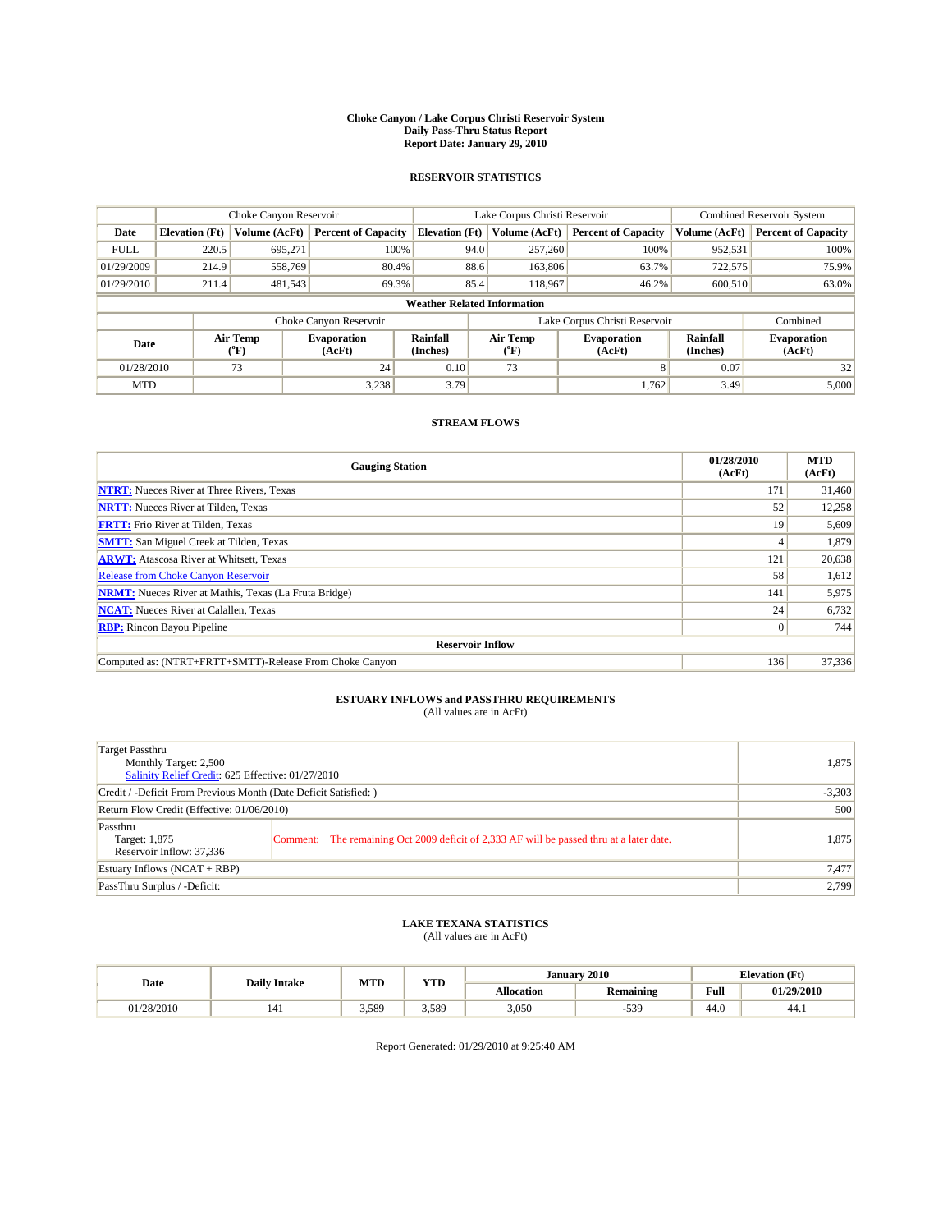#### **Choke Canyon / Lake Corpus Christi Reservoir System Daily Pass-Thru Status Report Report Date: January 29, 2010**

## **RESERVOIR STATISTICS**

|             | Choke Canyon Reservoir |                  |                              |                                    | Lake Corpus Christi Reservoir | <b>Combined Reservoir System</b> |                      |                              |
|-------------|------------------------|------------------|------------------------------|------------------------------------|-------------------------------|----------------------------------|----------------------|------------------------------|
| Date        | <b>Elevation</b> (Ft)  | Volume (AcFt)    | <b>Percent of Capacity</b>   | <b>Elevation</b> (Ft)              | Volume (AcFt)                 | <b>Percent of Capacity</b>       | Volume (AcFt)        | <b>Percent of Capacity</b>   |
| <b>FULL</b> | 220.5                  | 695,271          | 100%                         | 94.0                               | 257,260                       | 100%                             | 952,531              | 100%                         |
| 01/29/2009  | 214.9                  | 558,769          | 80.4%                        | 88.6                               | 163,806                       | 63.7%                            | 722,575              | 75.9%                        |
| 01/29/2010  | 211.4                  | 481,543          | 69.3%                        | 85.4                               | 118,967                       | 46.2%                            | 600,510              | 63.0%                        |
|             |                        |                  |                              | <b>Weather Related Information</b> |                               |                                  |                      |                              |
|             |                        |                  | Choke Canyon Reservoir       |                                    | Lake Corpus Christi Reservoir |                                  |                      | Combined                     |
| Date        |                        | Air Temp<br>(°F) | <b>Evaporation</b><br>(AcFt) | <b>Rainfall</b><br>(Inches)        | Air Temp<br>(°F)              | <b>Evaporation</b><br>(AcFt)     | Rainfall<br>(Inches) | <b>Evaporation</b><br>(AcFt) |
| 01/28/2010  |                        | 73               | 24                           | 0.10                               | 73                            | $\mathbf{8}$                     | 0.07                 | 32                           |
| <b>MTD</b>  |                        |                  | 3,238                        | 3.79                               |                               | 1.762                            | 3.49                 | 5,000                        |

## **STREAM FLOWS**

| <b>Gauging Station</b>                                       | 01/28/2010<br>(AcFt) | <b>MTD</b><br>(AcFt) |
|--------------------------------------------------------------|----------------------|----------------------|
| <b>NTRT:</b> Nueces River at Three Rivers, Texas             | 171                  | 31,460               |
| <b>NRTT:</b> Nueces River at Tilden, Texas                   | 52                   | 12,258               |
| <b>FRTT:</b> Frio River at Tilden, Texas                     | 19                   | 5,609                |
| <b>SMTT:</b> San Miguel Creek at Tilden, Texas               |                      | 1,879                |
| <b>ARWT:</b> Atascosa River at Whitsett, Texas               | 121                  | 20,638               |
| <b>Release from Choke Canyon Reservoir</b>                   | 58                   | 1,612                |
| <b>NRMT:</b> Nueces River at Mathis, Texas (La Fruta Bridge) | 141                  | 5,975                |
| <b>NCAT:</b> Nueces River at Calallen, Texas                 | 24                   | 6,732                |
| <b>RBP:</b> Rincon Bayou Pipeline                            | $\overline{0}$       | 744                  |
| <b>Reservoir Inflow</b>                                      |                      |                      |
| Computed as: (NTRT+FRTT+SMTT)-Release From Choke Canyon      | 136                  | 37,336               |

# **ESTUARY INFLOWS and PASSTHRU REQUIREMENTS**<br>(All values are in AcFt)

| Target Passthru<br>Monthly Target: 2,500<br>Salinity Relief Credit: 625 Effective: 01/27/2010 |                                                                                          |          |  |  |  |
|-----------------------------------------------------------------------------------------------|------------------------------------------------------------------------------------------|----------|--|--|--|
| Credit / -Deficit From Previous Month (Date Deficit Satisfied: )                              |                                                                                          | $-3,303$ |  |  |  |
| Return Flow Credit (Effective: 01/06/2010)                                                    |                                                                                          |          |  |  |  |
| Passthru<br>Target: 1,875<br>Reservoir Inflow: 37,336                                         | Comment: The remaining Oct 2009 deficit of 2,333 AF will be passed thru at a later date. | 1,875    |  |  |  |
| Estuary Inflows $(NCAT + RBP)$                                                                | 7,477                                                                                    |          |  |  |  |
| PassThru Surplus / -Deficit:                                                                  |                                                                                          | 2,799    |  |  |  |

# **LAKE TEXANA STATISTICS** (All values are in AcFt)

| MTD        |                     | <b>YTD</b> | January 2010<br><b>Elevation (Ft)</b> |            |                  |                                         |            |
|------------|---------------------|------------|---------------------------------------|------------|------------------|-----------------------------------------|------------|
| Date       | <b>Daily Intake</b> |            |                                       | Allocation | <b>Remaining</b> | Full<br>the contract of the contract of | 01/29/2010 |
| 01/28/2010 | 141                 | 3.589      | 5.589                                 | 3,050      | $-539$           | 44.0                                    | 44.1       |

Report Generated: 01/29/2010 at 9:25:40 AM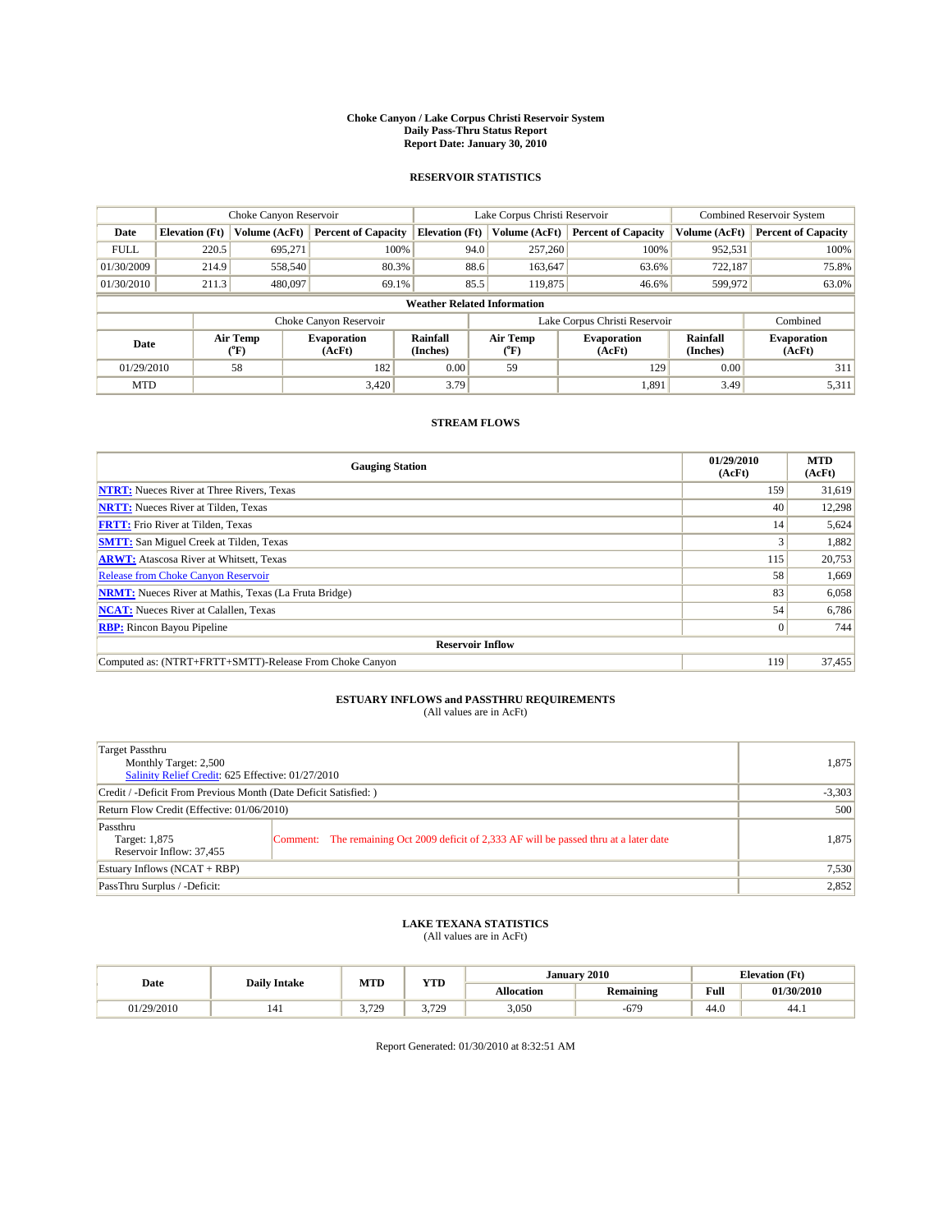#### **Choke Canyon / Lake Corpus Christi Reservoir System Daily Pass-Thru Status Report Report Date: January 30, 2010**

## **RESERVOIR STATISTICS**

|             | Choke Canyon Reservoir |                  |                              |                                    | Lake Corpus Christi Reservoir | <b>Combined Reservoir System</b> |                      |                              |
|-------------|------------------------|------------------|------------------------------|------------------------------------|-------------------------------|----------------------------------|----------------------|------------------------------|
| Date        | <b>Elevation</b> (Ft)  | Volume (AcFt)    | <b>Percent of Capacity</b>   | <b>Elevation</b> (Ft)              | Volume (AcFt)                 | <b>Percent of Capacity</b>       | Volume (AcFt)        | <b>Percent of Capacity</b>   |
| <b>FULL</b> | 220.5                  | 695,271          | 100%                         | 94.0                               | 257,260                       | 100%                             | 952,531              | 100%                         |
| 01/30/2009  | 214.9                  | 558,540          | 80.3%                        | 88.6                               | 163,647                       | 63.6%                            | 722,187              | 75.8%                        |
| 01/30/2010  | 211.3                  | 480,097          | 69.1%                        | 85.5                               | 119,875                       | 46.6%                            | 599,972              | 63.0%                        |
|             |                        |                  |                              | <b>Weather Related Information</b> |                               |                                  |                      |                              |
|             |                        |                  | Choke Canyon Reservoir       |                                    | Lake Corpus Christi Reservoir |                                  |                      | Combined                     |
| Date        |                        | Air Temp<br>(°F) | <b>Evaporation</b><br>(AcFt) | <b>Rainfall</b><br>(Inches)        | Air Temp<br>(°F)              | <b>Evaporation</b><br>(AcFt)     | Rainfall<br>(Inches) | <b>Evaporation</b><br>(AcFt) |
| 01/29/2010  |                        | 58               | 182                          | 0.00                               | 59                            | 129                              | 0.00                 | 311                          |
| <b>MTD</b>  |                        |                  | 3.420                        | 3.79                               |                               | 1,891                            | 3.49                 | 5,311                        |

## **STREAM FLOWS**

| <b>Gauging Station</b>                                       | 01/29/2010<br>(AcFt) | <b>MTD</b><br>(AcFt) |  |  |  |  |  |
|--------------------------------------------------------------|----------------------|----------------------|--|--|--|--|--|
| <b>NTRT:</b> Nueces River at Three Rivers, Texas             | 159                  | 31,619               |  |  |  |  |  |
| <b>NRTT:</b> Nueces River at Tilden, Texas                   | 40                   | 12,298               |  |  |  |  |  |
| <b>FRTT:</b> Frio River at Tilden, Texas                     | 14                   | 5,624                |  |  |  |  |  |
| <b>SMTT:</b> San Miguel Creek at Tilden, Texas               |                      | 1,882                |  |  |  |  |  |
| <b>ARWT:</b> Atascosa River at Whitsett, Texas               | 115                  | 20,753               |  |  |  |  |  |
| <b>Release from Choke Canyon Reservoir</b>                   | 58                   | 1,669                |  |  |  |  |  |
| <b>NRMT:</b> Nueces River at Mathis, Texas (La Fruta Bridge) | 83                   | 6,058                |  |  |  |  |  |
| <b>NCAT:</b> Nueces River at Calallen, Texas                 | 54                   | 6,786                |  |  |  |  |  |
| <b>RBP:</b> Rincon Bayou Pipeline                            | $\overline{0}$       | 744                  |  |  |  |  |  |
| <b>Reservoir Inflow</b>                                      |                      |                      |  |  |  |  |  |
| Computed as: (NTRT+FRTT+SMTT)-Release From Choke Canyon      | 119                  | 37,455               |  |  |  |  |  |

# **ESTUARY INFLOWS and PASSTHRU REQUIREMENTS**<br>(All values are in AcFt)

| Target Passthru<br>Monthly Target: 2,500<br>Salinity Relief Credit: 625 Effective: 01/27/2010 | 1,875                                                                                   |       |
|-----------------------------------------------------------------------------------------------|-----------------------------------------------------------------------------------------|-------|
| Credit / -Deficit From Previous Month (Date Deficit Satisfied: )                              | $-3,303$                                                                                |       |
| Return Flow Credit (Effective: 01/06/2010)                                                    | 500                                                                                     |       |
| Passthru<br>Target: 1,875<br>Reservoir Inflow: 37,455                                         | Comment: The remaining Oct 2009 deficit of 2,333 AF will be passed thru at a later date | 1,875 |
| Estuary Inflows $(NCAT + RBP)$                                                                | 7,530                                                                                   |       |
| PassThru Surplus / -Deficit:                                                                  |                                                                                         | 2,852 |

## **LAKE TEXANA STATISTICS** (All values are in AcFt)

| <b>MTD</b><br><b>Daily Intake</b> |  | <b>YTD</b>     | January 2010 |                   | <b>Elevation (Ft)</b> |      |            |
|-----------------------------------|--|----------------|--------------|-------------------|-----------------------|------|------------|
| Date                              |  |                |              | <b>Allocation</b> | <b>Remaining</b>      | Full | 01/30/2010 |
| 01/29/2010                        |  | 3 720<br>رے رہ | .720<br>.    | 3,050             | $-679$                | 44.0 | 44.1       |

Report Generated: 01/30/2010 at 8:32:51 AM